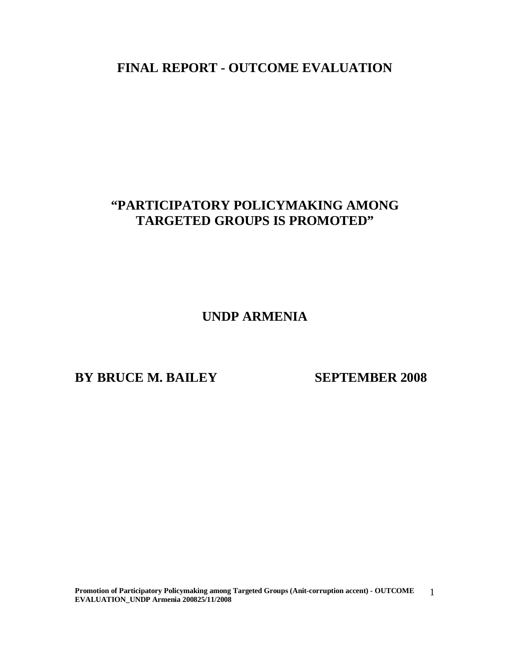## **FINAL REPORT - OUTCOME EVALUATION**

## **"PARTICIPATORY POLICYMAKING AMONG TARGETED GROUPS IS PROMOTED"**

**UNDP ARMENIA**

**BY BRUCE M. BAILEY SEPTEMBER 2008**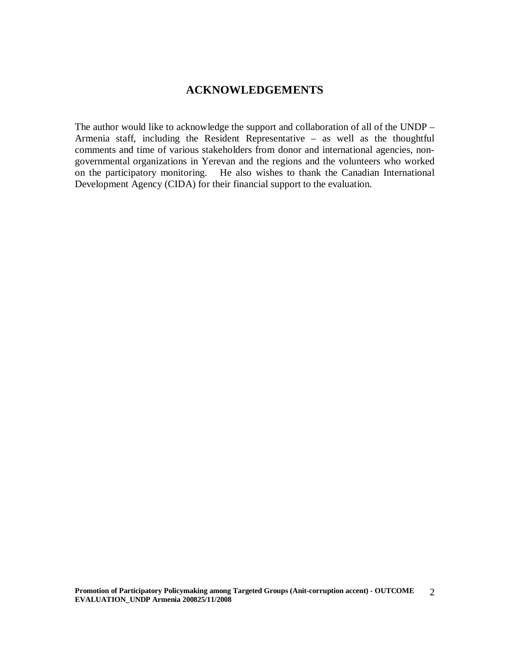#### **ACKNOWLEDGEMENTS**

The author would like to acknowledge the support and collaboration of all of the UNDP – Armenia staff, including the Resident Representative – as well as the thoughtful comments and time of various stakeholders from donor and international agencies, nongovernmental organizations in Yerevan and the regions and the volunteers who worked on the participatory monitoring. He also wishes to thank the Canadian International Development Agency (CIDA) for their financial support to the evaluation.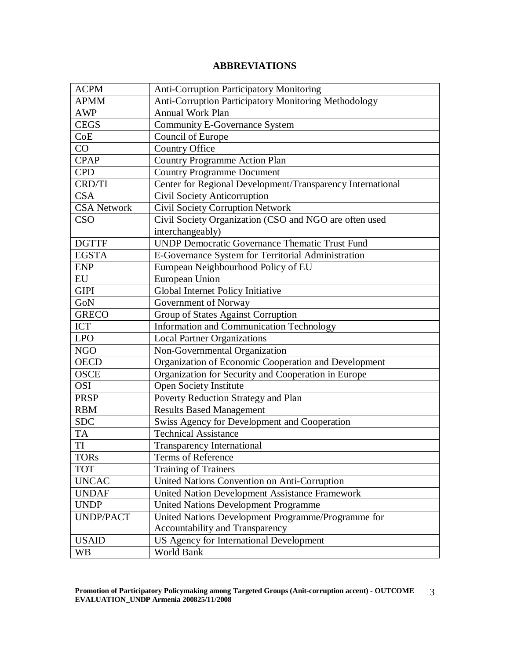#### **ABBREVIATIONS**

| <b>ACPM</b>        | Anti-Corruption Participatory Monitoring                   |
|--------------------|------------------------------------------------------------|
| <b>APMM</b>        | Anti-Corruption Participatory Monitoring Methodology       |
| <b>AWP</b>         | <b>Annual Work Plan</b>                                    |
| <b>CEGS</b>        | <b>Community E-Governance System</b>                       |
| CoE                | Council of Europe                                          |
| CO                 | <b>Country Office</b>                                      |
| <b>CPAP</b>        | <b>Country Programme Action Plan</b>                       |
| <b>CPD</b>         | <b>Country Programme Document</b>                          |
| CRD/TI             | Center for Regional Development/Transparency International |
| <b>CSA</b>         | <b>Civil Society Anticorruption</b>                        |
| <b>CSA Network</b> | <b>Civil Society Corruption Network</b>                    |
| <b>CSO</b>         | Civil Society Organization (CSO and NGO are often used     |
|                    | interchangeably)                                           |
| <b>DGTTF</b>       | <b>UNDP Democratic Governance Thematic Trust Fund</b>      |
| <b>EGSTA</b>       | E-Governance System for Territorial Administration         |
| <b>ENP</b>         | European Neighbourhood Policy of EU                        |
| ${\rm EU}$         | European Union                                             |
| <b>GIPI</b>        | Global Internet Policy Initiative                          |
| GoN                | <b>Government of Norway</b>                                |
| <b>GRECO</b>       | Group of States Against Corruption                         |
| <b>ICT</b>         | Information and Communication Technology                   |
| <b>LPO</b>         | <b>Local Partner Organizations</b>                         |
| <b>NGO</b>         | Non-Governmental Organization                              |
| <b>OECD</b>        | Organization of Economic Cooperation and Development       |
| <b>OSCE</b>        | Organization for Security and Cooperation in Europe        |
| <b>OSI</b>         | <b>Open Society Institute</b>                              |
| <b>PRSP</b>        | Poverty Reduction Strategy and Plan                        |
| <b>RBM</b>         | <b>Results Based Management</b>                            |
| <b>SDC</b>         | Swiss Agency for Development and Cooperation               |
| TA                 | <b>Technical Assistance</b>                                |
| TI                 | <b>Transparency International</b>                          |
| <b>TORs</b>        | Terms of Reference                                         |
| <b>TOT</b>         | Training of Trainers                                       |
| <b>UNCAC</b>       | United Nations Convention on Anti-Corruption               |
| <b>UNDAF</b>       | United Nation Development Assistance Framework             |
| <b>UNDP</b>        | <b>United Nations Development Programme</b>                |
| <b>UNDP/PACT</b>   | United Nations Development Programme/Programme for         |
|                    | Accountability and Transparency                            |
| <b>USAID</b>       | US Agency for International Development                    |
| WB                 | World Bank                                                 |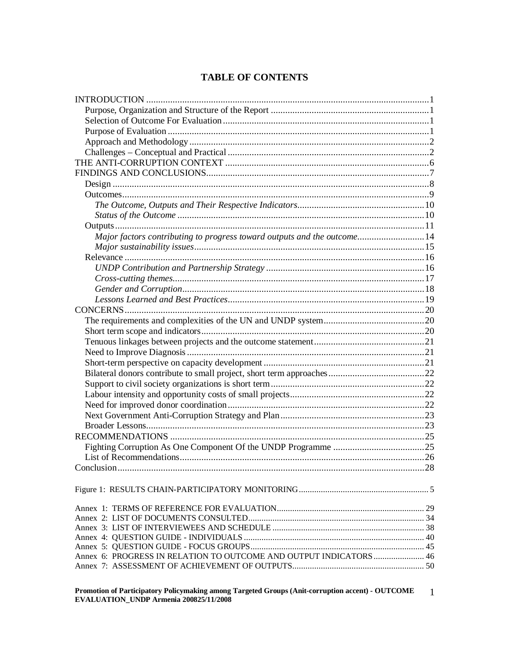#### **TABLE OF CONTENTS**

| Major factors contributing to progress toward outputs and the outcome14 |    |
|-------------------------------------------------------------------------|----|
|                                                                         |    |
|                                                                         |    |
|                                                                         |    |
|                                                                         |    |
|                                                                         |    |
|                                                                         |    |
|                                                                         |    |
|                                                                         |    |
|                                                                         |    |
|                                                                         |    |
|                                                                         |    |
|                                                                         |    |
|                                                                         |    |
|                                                                         |    |
|                                                                         |    |
|                                                                         |    |
|                                                                         |    |
|                                                                         |    |
|                                                                         |    |
|                                                                         |    |
|                                                                         |    |
|                                                                         | 28 |
|                                                                         |    |
|                                                                         |    |
|                                                                         |    |
|                                                                         |    |
|                                                                         |    |
|                                                                         |    |
|                                                                         |    |
| Annex 6: PROGRESS IN RELATION TO OUTCOME AND OUTPUT INDICATORS  46      |    |
|                                                                         |    |
|                                                                         |    |
|                                                                         |    |

Promotion of Participatory Policymaking among Targeted Groups (Anit-corruption accent) - OUTCOME EVALUATION\_UNDP Armenia 200825/11/2008  $\overline{1}$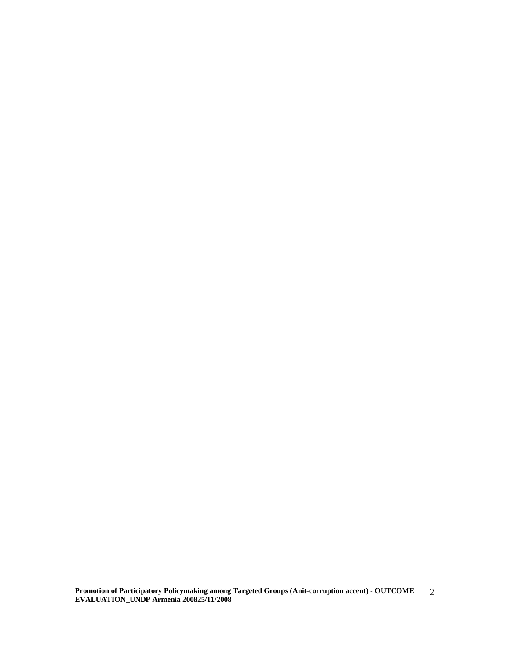**Promotion of Participatory Policymaking among Targeted Groups (Anit-corruption accent) - OUTCOME EVALUATION\_UNDP Armenia 200825/11/2008** 2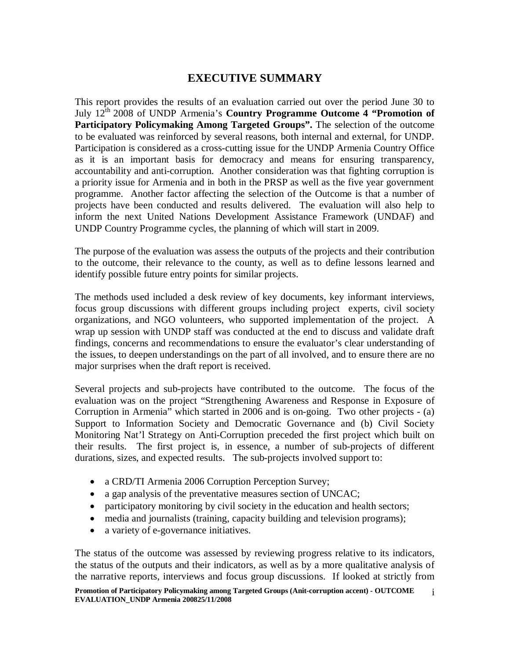### **EXECUTIVE SUMMARY**

This report provides the results of an evaluation carried out over the period June 30 to July 12th 2008 of UNDP Armenia's **Country Programme Outcome 4 "Promotion of Participatory Policymaking Among Targeted Groups".** The selection of the outcome to be evaluated was reinforced by several reasons, both internal and external, for UNDP. Participation is considered as a cross-cutting issue for the UNDP Armenia Country Office as it is an important basis for democracy and means for ensuring transparency, accountability and anti-corruption. Another consideration was that fighting corruption is a priority issue for Armenia and in both in the PRSP as well as the five year government programme. Another factor affecting the selection of the Outcome is that a number of projects have been conducted and results delivered. The evaluation will also help to inform the next United Nations Development Assistance Framework (UNDAF) and UNDP Country Programme cycles, the planning of which will start in 2009.

The purpose of the evaluation was assess the outputs of the projects and their contribution to the outcome, their relevance to the county, as well as to define lessons learned and identify possible future entry points for similar projects.

The methods used included a desk review of key documents, key informant interviews, focus group discussions with different groups including project experts, civil society organizations, and NGO volunteers, who supported implementation of the project. A wrap up session with UNDP staff was conducted at the end to discuss and validate draft findings, concerns and recommendations to ensure the evaluator's clear understanding of the issues, to deepen understandings on the part of all involved, and to ensure there are no major surprises when the draft report is received.

Several projects and sub-projects have contributed to the outcome. The focus of the evaluation was on the project "Strengthening Awareness and Response in Exposure of Corruption in Armenia" which started in 2006 and is on-going. Two other projects - (a) Support to Information Society and Democratic Governance and (b) Civil Society Monitoring Nat'l Strategy on Anti-Corruption preceded the first project which built on their results. The first project is, in essence, a number of sub-projects of different durations, sizes, and expected results. The sub-projects involved support to:

- a CRD/TI Armenia 2006 Corruption Perception Survey;
- $\bullet$  a gap analysis of the preventative measures section of UNCAC;
- $\bullet$  participatory monitoring by civil society in the education and health sectors;
- $\bullet$  media and journalists (training, capacity building and television programs);
- a variety of e-governance initiatives.

The status of the outcome was assessed by reviewing progress relative to its indicators, the status of the outputs and their indicators, as well as by a more qualitative analysis of the narrative reports, interviews and focus group discussions. If looked at strictly from

**Promotion of Participatory Policymaking among Targeted Groups (Anit-corruption accent) - OUTCOME EVALUATION\_UNDP Armenia 200825/11/2008** i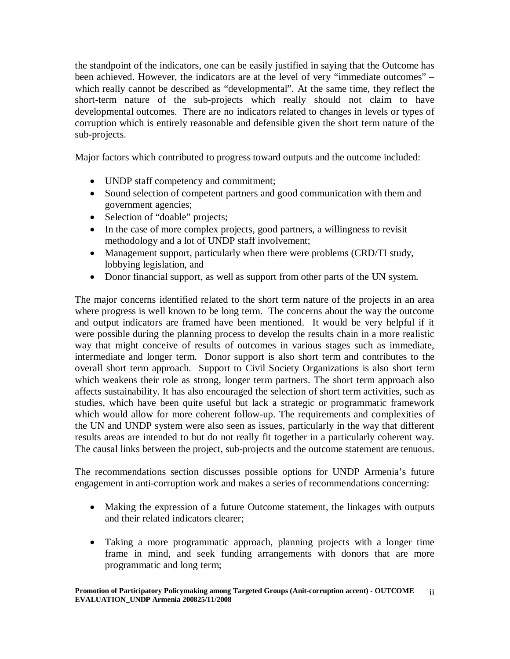the standpoint of the indicators, one can be easily justified in saying that the Outcome has been achieved. However, the indicators are at the level of very "immediate outcomes" – which really cannot be described as "developmental". At the same time, they reflect the short-term nature of the sub-projects which really should not claim to have developmental outcomes. There are no indicators related to changes in levels or types of corruption which is entirely reasonable and defensible given the short term nature of the sub-projects.

Major factors which contributed to progress toward outputs and the outcome included:

- UNDP staff competency and commitment;
- Sound selection of competent partners and good communication with them and government agencies;
- Selection of "doable" projects;
- $\bullet$  In the case of more complex projects, good partners, a willingness to revisit methodology and a lot of UNDP staff involvement;
- Management support, particularly when there were problems (CRD/TI study, lobbying legislation, and
- Donor financial support, as well as support from other parts of the UN system.

The major concerns identified related to the short term nature of the projects in an area where progress is well known to be long term. The concerns about the way the outcome and output indicators are framed have been mentioned. It would be very helpful if it were possible during the planning process to develop the results chain in a more realistic way that might conceive of results of outcomes in various stages such as immediate, intermediate and longer term. Donor support is also short term and contributes to the overall short term approach. Support to Civil Society Organizations is also short term which weakens their role as strong, longer term partners. The short term approach also affects sustainability. It has also encouraged the selection of short term activities, such as studies, which have been quite useful but lack a strategic or programmatic framework which would allow for more coherent follow-up. The requirements and complexities of the UN and UNDP system were also seen as issues, particularly in the way that different results areas are intended to but do not really fit together in a particularly coherent way. The causal links between the project, sub-projects and the outcome statement are tenuous.

The recommendations section discusses possible options for UNDP Armenia's future engagement in anti-corruption work and makes a series of recommendations concerning:

- Making the expression of a future Outcome statement, the linkages with outputs and their related indicators clearer;
- Taking a more programmatic approach, planning projects with a longer time frame in mind, and seek funding arrangements with donors that are more programmatic and long term;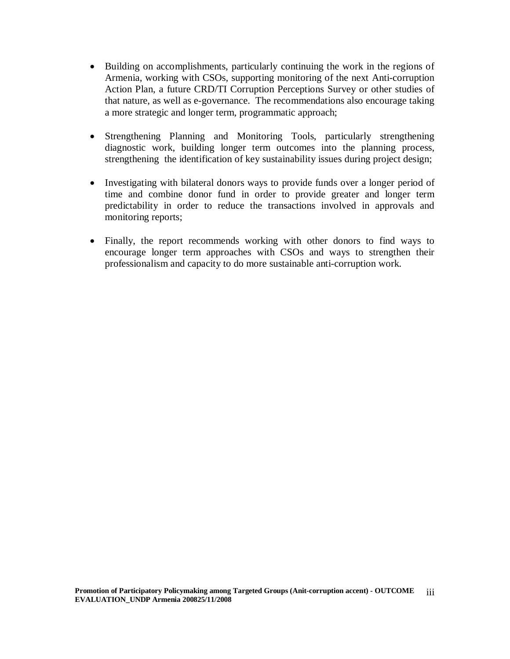- Building on accomplishments, particularly continuing the work in the regions of Armenia, working with CSOs, supporting monitoring of the next Anti-corruption Action Plan, a future CRD/TI Corruption Perceptions Survey or other studies of that nature, as well as e-governance. The recommendations also encourage taking a more strategic and longer term, programmatic approach;
- Strengthening Planning and Monitoring Tools, particularly strengthening diagnostic work, building longer term outcomes into the planning process, strengthening the identification of key sustainability issues during project design;
- Investigating with bilateral donors ways to provide funds over a longer period of time and combine donor fund in order to provide greater and longer term predictability in order to reduce the transactions involved in approvals and monitoring reports;
- Finally, the report recommends working with other donors to find ways to encourage longer term approaches with CSOs and ways to strengthen their professionalism and capacity to do more sustainable anti-corruption work.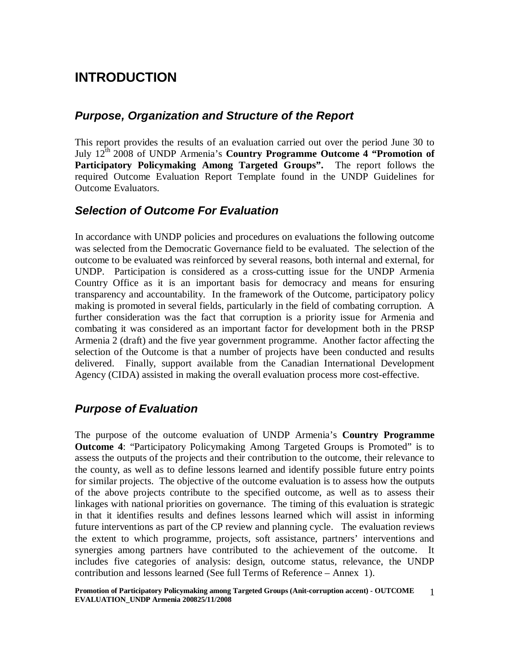## **INTRODUCTION**

#### *Purpose, Organization and Structure of the Report*

This report provides the results of an evaluation carried out over the period June 30 to July 12th 2008 of UNDP Armenia's **Country Programme Outcome 4 "Promotion of Participatory Policymaking Among Targeted Groups".** The report follows the required Outcome Evaluation Report Template found in the UNDP Guidelines for Outcome Evaluators.

### *Selection of Outcome For Evaluation*

In accordance with UNDP policies and procedures on evaluations the following outcome was selected from the Democratic Governance field to be evaluated. The selection of the outcome to be evaluated was reinforced by several reasons, both internal and external, for UNDP. Participation is considered as a cross-cutting issue for the UNDP Armenia Country Office as it is an important basis for democracy and means for ensuring transparency and accountability. In the framework of the Outcome, participatory policy making is promoted in several fields, particularly in the field of combating corruption. A further consideration was the fact that corruption is a priority issue for Armenia and combating it was considered as an important factor for development both in the PRSP Armenia 2 (draft) and the five year government programme. Another factor affecting the selection of the Outcome is that a number of projects have been conducted and results delivered. Finally, support available from the Canadian International Development Agency (CIDA) assisted in making the overall evaluation process more cost-effective.

## *Purpose of Evaluation*

The purpose of the outcome evaluation of UNDP Armenia's **Country Programme Outcome 4**: "Participatory Policymaking Among Targeted Groups is Promoted" is to assess the outputs of the projects and their contribution to the outcome, their relevance to the county, as well as to define lessons learned and identify possible future entry points for similar projects. The objective of the outcome evaluation is to assess how the outputs of the above projects contribute to the specified outcome, as well as to assess their linkages with national priorities on governance. The timing of this evaluation is strategic in that it identifies results and defines lessons learned which will assist in informing future interventions as part of the CP review and planning cycle. The evaluation reviews the extent to which programme, projects, soft assistance, partners' interventions and synergies among partners have contributed to the achievement of the outcome. It includes five categories of analysis: design, outcome status, relevance, the UNDP contribution and lessons learned (See full Terms of Reference – Annex 1).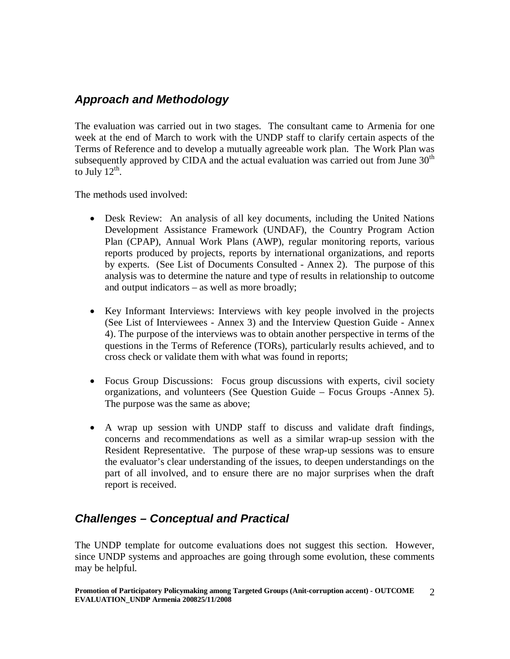## *Approach and Methodology*

The evaluation was carried out in two stages. The consultant came to Armenia for one week at the end of March to work with the UNDP staff to clarify certain aspects of the Terms of Reference and to develop a mutually agreeable work plan. The Work Plan was subsequently approved by CIDA and the actual evaluation was carried out from June  $30<sup>th</sup>$ to July  $12^{\text{th}}$ .

The methods used involved:

- Desk Review: An analysis of all key documents, including the United Nations Development Assistance Framework (UNDAF), the Country Program Action Plan (CPAP), Annual Work Plans (AWP), regular monitoring reports, various reports produced by projects, reports by international organizations, and reports by experts. (See List of Documents Consulted - Annex 2). The purpose of this analysis was to determine the nature and type of results in relationship to outcome and output indicators – as well as more broadly;
- Key Informant Interviews: Interviews with key people involved in the projects (See List of Interviewees - Annex 3) and the Interview Question Guide - Annex 4). The purpose of the interviews was to obtain another perspective in terms of the questions in the Terms of Reference (TORs), particularly results achieved, and to cross check or validate them with what was found in reports;
- Focus Group Discussions: Focus group discussions with experts, civil society organizations, and volunteers (See Question Guide – Focus Groups -Annex 5). The purpose was the same as above;
- A wrap up session with UNDP staff to discuss and validate draft findings, concerns and recommendations as well as a similar wrap-up session with the Resident Representative. The purpose of these wrap-up sessions was to ensure the evaluator's clear understanding of the issues, to deepen understandings on the part of all involved, and to ensure there are no major surprises when the draft report is received.

## *Challenges – Conceptual and Practical*

The UNDP template for outcome evaluations does not suggest this section. However, since UNDP systems and approaches are going through some evolution, these comments may be helpful.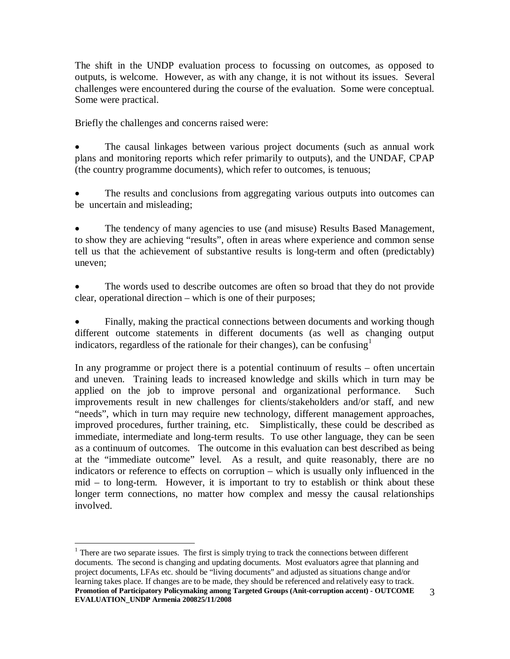The shift in the UNDP evaluation process to focussing on outcomes, as opposed to outputs, is welcome. However, as with any change, it is not without its issues. Several challenges were encountered during the course of the evaluation. Some were conceptual. Some were practical.

Briefly the challenges and concerns raised were:

• The causal linkages between various project documents (such as annual work plans and monitoring reports which refer primarily to outputs), and the UNDAF, CPAP (the country programme documents), which refer to outcomes, is tenuous;

The results and conclusions from aggregating various outputs into outcomes can be uncertain and misleading;

The tendency of many agencies to use (and misuse) Results Based Management, to show they are achieving "results", often in areas where experience and common sense tell us that the achievement of substantive results is long-term and often (predictably) uneven;

• The words used to describe outcomes are often so broad that they do not provide clear, operational direction – which is one of their purposes;

• Finally, making the practical connections between documents and working though different outcome statements in different documents (as well as changing output indicators, regardless of the rationale for their changes), can be confusing  $1$ 

In any programme or project there is a potential continuum of results – often uncertain and uneven. Training leads to increased knowledge and skills which in turn may be applied on the job to improve personal and organizational performance. Such improvements result in new challenges for clients/stakeholders and/or staff, and new "needs", which in turn may require new technology, different management approaches, improved procedures, further training, etc. Simplistically, these could be described as immediate, intermediate and long-term results. To use other language, they can be seen as a continuum of outcomes. The outcome in this evaluation can best described as being at the "immediate outcome" level. As a result, and quite reasonably, there are no indicators or reference to effects on corruption – which is usually only influenced in the mid – to long-term. However, it is important to try to establish or think about these longer term connections, no matter how complex and messy the causal relationships involved.

3

**Promotion of Participatory Policymaking among Targeted Groups (Anit-corruption accent) - OUTCOME EVALUATION\_UNDP Armenia 200825/11/2008**  $1$  There are two separate issues. The first is simply trying to track the connections between different documents. The second is changing and updating documents. Most evaluators agree that planning and project documents, LFAs etc. should be "living documents" and adjusted as situations change and/or learning takes place. If changes are to be made, they should be referenced and relatively easy to track.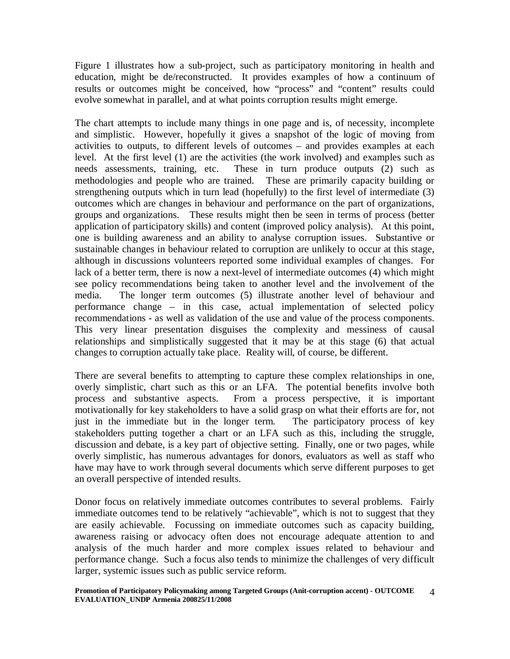Figure 1 illustrates how a sub-project, such as participatory monitoring in health and education, might be de/reconstructed. It provides examples of how a continuum of results or outcomes might be conceived, how "process" and "content" results could evolve somewhat in parallel, and at what points corruption results might emerge.

The chart attempts to include many things in one page and is, of necessity, incomplete and simplistic. However, hopefully it gives a snapshot of the logic of moving from activities to outputs, to different levels of outcomes – and provides examples at each level. At the first level (1) are the activities (the work involved) and examples such as needs assessments, training, etc. These in turn produce outputs (2) such as methodologies and people who are trained. These are primarily capacity building or strengthening outputs which in turn lead (hopefully) to the first level of intermediate (3) outcomes which are changes in behaviour and performance on the part of organizations, groups and organizations. These results might then be seen in terms of process (better application of participatory skills) and content (improved policy analysis). At this point, one is building awareness and an ability to analyse corruption issues. Substantive or sustainable changes in behaviour related to corruption are unlikely to occur at this stage, although in discussions volunteers reported some individual examples of changes. For lack of a better term, there is now a next-level of intermediate outcomes (4) which might see policy recommendations being taken to another level and the involvement of the media. The longer term outcomes (5) illustrate another level of behaviour and performance change – in this case, actual implementation of selected policy recommendations - as well as validation of the use and value of the process components. This very linear presentation disguises the complexity and messiness of causal relationships and simplistically suggested that it may be at this stage (6) that actual changes to corruption actually take place. Reality will, of course, be different.

There are several benefits to attempting to capture these complex relationships in one, overly simplistic, chart such as this or an LFA. The potential benefits involve both process and substantive aspects. From a process perspective, it is important motivationally for key stakeholders to have a solid grasp on what their efforts are for, not just in the immediate but in the longer term. The participatory process of key stakeholders putting together a chart or an LFA such as this, including the struggle, discussion and debate, is a key part of objective setting. Finally, one or two pages, while overly simplistic, has numerous advantages for donors, evaluators as well as staff who have may have to work through several documents which serve different purposes to get an overall perspective of intended results.

Donor focus on relatively immediate outcomes contributes to several problems. Fairly immediate outcomes tend to be relatively "achievable", which is not to suggest that they are easily achievable. Focussing on immediate outcomes such as capacity building, awareness raising or advocacy often does not encourage adequate attention to and analysis of the much harder and more complex issues related to behaviour and performance change. Such a focus also tends to minimize the challenges of very difficult larger, systemic issues such as public service reform.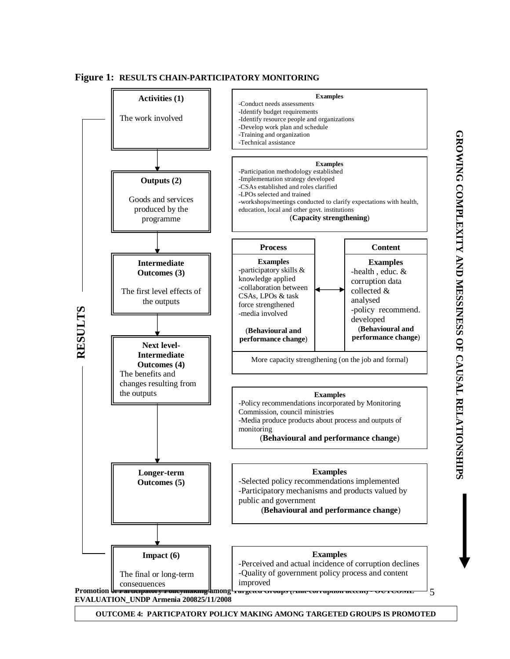



**OUTCOME 4: PARTICPATORY POLICY MAKING AMONG TARGETED GROUPS IS PROMOTED**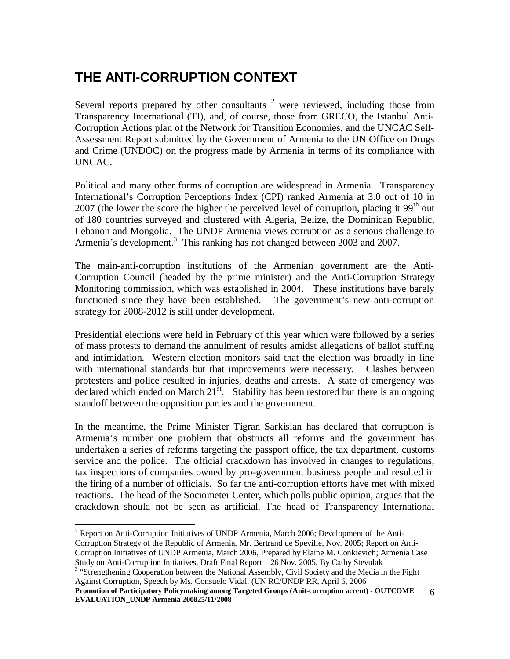# **THE ANTI-CORRUPTION CONTEXT**

Several reports prepared by other consultants  $2$  were reviewed, including those from Transparency International (TI), and, of course, those from GRECO, the Istanbul Anti-Corruption Actions plan of the Network for Transition Economies, and the UNCAC Self-Assessment Report submitted by the Government of Armenia to the UN Office on Drugs and Crime (UNDOC) on the progress made by Armenia in terms of its compliance with UNCAC.

Political and many other forms of corruption are widespread in Armenia. Transparency International's Corruption Perceptions Index (CPI) ranked Armenia at 3.0 out of 10 in 2007 (the lower the score the higher the perceived level of corruption, placing it  $99<sup>th</sup>$  out of 180 countries surveyed and clustered with Algeria, Belize, the Dominican Republic, Lebanon and Mongolia. The UNDP Armenia views corruption as a serious challenge to Armenia's development.<sup>3</sup> This ranking has not changed between 2003 and 2007.

The main-anti-corruption institutions of the Armenian government are the Anti-Corruption Council (headed by the prime minister) and the Anti-Corruption Strategy Monitoring commission, which was established in 2004. These institutions have barely functioned since they have been established. The government's new anti-corruption strategy for 2008-2012 is still under development.

Presidential elections were held in February of this year which were followed by a series of mass protests to demand the annulment of results amidst allegations of ballot stuffing and intimidation. Western election monitors said that the election was broadly in line with international standards but that improvements were necessary. Clashes between protesters and police resulted in injuries, deaths and arrests. A state of emergency was declared which ended on March  $21<sup>st</sup>$ . Stability has been restored but there is an ongoing standoff between the opposition parties and the government.

In the meantime, the Prime Minister Tigran Sarkisian has declared that corruption is Armenia's number one problem that obstructs all reforms and the government has undertaken a series of reforms targeting the passport office, the tax department, customs service and the police. The official crackdown has involved in changes to regulations, tax inspections of companies owned by pro-government business people and resulted in the firing of a number of officials. So far the anti-corruption efforts have met with mixed reactions. The head of the Sociometer Center, which polls public opinion, argues that the crackdown should not be seen as artificial. The head of Transparency International

 $2^{2}$  Report on Anti-Corruption Initiatives of UNDP Armenia, March 2006; Development of the Anti-Corruption Strategy of the Republic of Armenia, Mr. Bertrand de Speville, Nov. 2005; Report on Anti-Corruption Initiatives of UNDP Armenia, March 2006, Prepared by Elaine M. Conkievich; Armenia Case Study on Anti-Corruption Initiatives, Draft Final Report – 26 Nov. 2005, By Cathy Stevulak

<sup>3</sup> "Strengthening Cooperation between the National Assembly, Civil Society and the Media in the Fight Against Corruption, Speech by Ms. Consuelo Vidal, (UN RC/UNDP RR, April 6, 2006

**Promotion of Participatory Policymaking among Targeted Groups (Anit-corruption accent) - OUTCOME EVALUATION\_UNDP Armenia 200825/11/2008** 6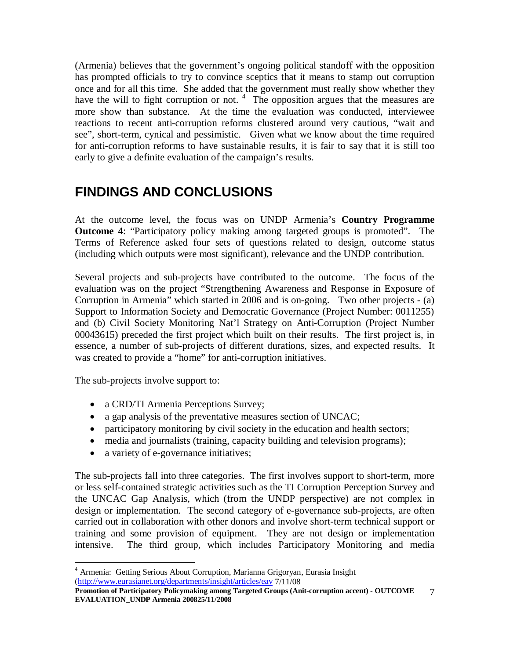(Armenia) believes that the government's ongoing political standoff with the opposition has prompted officials to try to convince sceptics that it means to stamp out corruption once and for all this time. She added that the government must really show whether they have the will to fight corruption or not.  $4$  The opposition argues that the measures are more show than substance. At the time the evaluation was conducted, interviewee reactions to recent anti-corruption reforms clustered around very cautious, "wait and see", short-term, cynical and pessimistic. Given what we know about the time required for anti-corruption reforms to have sustainable results, it is fair to say that it is still too early to give a definite evaluation of the campaign's results.

# **FINDINGS AND CONCLUSIONS**

At the outcome level, the focus was on UNDP Armenia's **Country Programme Outcome 4**: "Participatory policy making among targeted groups is promoted". The Terms of Reference asked four sets of questions related to design, outcome status (including which outputs were most significant), relevance and the UNDP contribution.

Several projects and sub-projects have contributed to the outcome. The focus of the evaluation was on the project "Strengthening Awareness and Response in Exposure of Corruption in Armenia" which started in 2006 and is on-going. Two other projects - (a) Support to Information Society and Democratic Governance (Project Number: 0011255) and (b) Civil Society Monitoring Nat'l Strategy on Anti-Corruption (Project Number 00043615) preceded the first project which built on their results. The first project is, in essence, a number of sub-projects of different durations, sizes, and expected results. It was created to provide a "home" for anti-corruption initiatives.

The sub-projects involve support to:

- a CRD/TI Armenia Perceptions Survey;
- $\bullet$  a gap analysis of the preventative measures section of UNCAC;
- participatory monitoring by civil society in the education and health sectors;
- media and journalists (training, capacity building and television programs);
- a variety of e-governance initiatives;

The sub-projects fall into three categories. The first involves support to short-term, more or less self-contained strategic activities such as the TI Corruption Perception Survey and the UNCAC Gap Analysis, which (from the UNDP perspective) are not complex in design or implementation. The second category of e-governance sub-projects, are often carried out in collaboration with other donors and involve short-term technical support or training and some provision of equipment. They are not design or implementation intensive. The third group, which includes Participatory Monitoring and media

<sup>4</sup> Armenia: Getting Serious About Corruption, Marianna Grigoryan, Eurasia Insight [\(http://www.eurasianet.org/departments/insight/articles/eav](http://www.eurasianet.org/departments/insight/articles/eav) 7/11/08

**Promotion of Participatory Policymaking among Targeted Groups (Anit-corruption accent) - OUTCOME EVALUATION\_UNDP Armenia 200825/11/2008** 7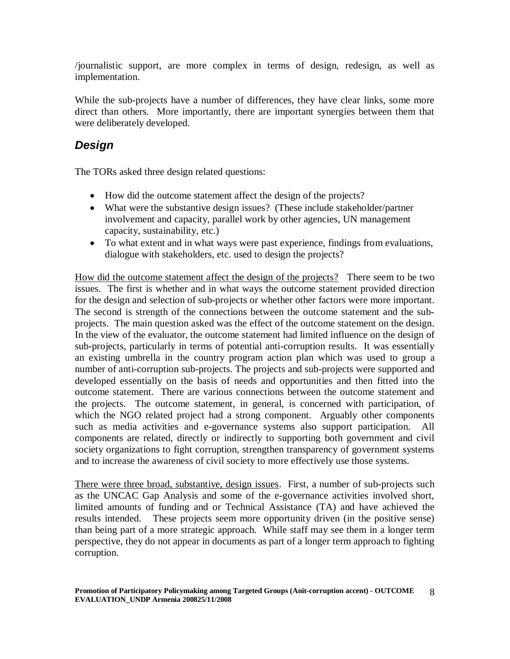/journalistic support, are more complex in terms of design, redesign, as well as implementation.

While the sub-projects have a number of differences, they have clear links, some more direct than others. More importantly, there are important synergies between them that were deliberately developed.

## *Design*

The TORs asked three design related questions:

- How did the outcome statement affect the design of the projects?
- What were the substantive design issues? (These include stakeholder/partner involvement and capacity, parallel work by other agencies, UN management capacity, sustainability, etc.)
- To what extent and in what ways were past experience, findings from evaluations, dialogue with stakeholders, etc. used to design the projects?

How did the outcome statement affect the design of the projects? There seem to be two issues. The first is whether and in what ways the outcome statement provided direction for the design and selection of sub-projects or whether other factors were more important. The second is strength of the connections between the outcome statement and the subprojects. The main question asked was the effect of the outcome statement on the design. In the view of the evaluator, the outcome statement had limited influence on the design of sub-projects, particularly in terms of potential anti-corruption results. It was essentially an existing umbrella in the country program action plan which was used to group a number of anti-corruption sub-projects. The projects and sub-projects were supported and developed essentially on the basis of needs and opportunities and then fitted into the outcome statement. There are various connections between the outcome statement and the projects. The outcome statement, in general, is concerned with participation, of which the NGO related project had a strong component. Arguably other components such as media activities and e-governance systems also support participation. All components are related, directly or indirectly to supporting both government and civil society organizations to fight corruption, strengthen transparency of government systems and to increase the awareness of civil society to more effectively use those systems.

There were three broad, substantive, design issues. First, a number of sub-projects such as the UNCAC Gap Analysis and some of the e-governance activities involved short, limited amounts of funding and or Technical Assistance (TA) and have achieved the results intended. These projects seem more opportunity driven (in the positive sense) than being part of a more strategic approach. While staff may see them in a longer term perspective, they do not appear in documents as part of a longer term approach to fighting corruption.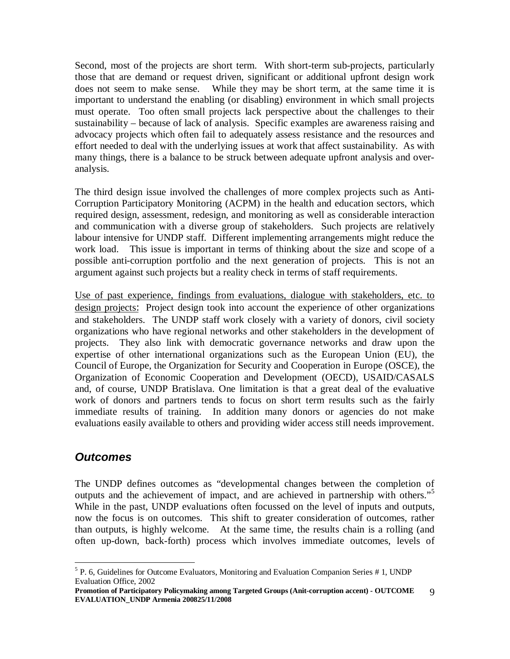Second, most of the projects are short term. With short-term sub-projects, particularly those that are demand or request driven, significant or additional upfront design work does not seem to make sense. While they may be short term, at the same time it is important to understand the enabling (or disabling) environment in which small projects must operate. Too often small projects lack perspective about the challenges to their sustainability – because of lack of analysis. Specific examples are awareness raising and advocacy projects which often fail to adequately assess resistance and the resources and effort needed to deal with the underlying issues at work that affect sustainability. As with many things, there is a balance to be struck between adequate upfront analysis and overanalysis.

The third design issue involved the challenges of more complex projects such as Anti-Corruption Participatory Monitoring (ACPM) in the health and education sectors, which required design, assessment, redesign, and monitoring as well as considerable interaction and communication with a diverse group of stakeholders. Such projects are relatively labour intensive for UNDP staff. Different implementing arrangements might reduce the work load. This issue is important in terms of thinking about the size and scope of a possible anti-corruption portfolio and the next generation of projects. This is not an argument against such projects but a reality check in terms of staff requirements.

Use of past experience, findings from evaluations, dialogue with stakeholders, etc. to design projects: Project design took into account the experience of other organizations and stakeholders. The UNDP staff work closely with a variety of donors, civil society organizations who have regional networks and other stakeholders in the development of projects. They also link with democratic governance networks and draw upon the expertise of other international organizations such as the European Union (EU), the Council of Europe, the Organization for Security and Cooperation in Europe (OSCE), the Organization of Economic Cooperation and Development (OECD), USAID/CASALS and, of course, UNDP Bratislava. One limitation is that a great deal of the evaluative work of donors and partners tends to focus on short term results such as the fairly immediate results of training. In addition many donors or agencies do not make evaluations easily available to others and providing wider access still needs improvement.

### *Outcomes*

The UNDP defines outcomes as "developmental changes between the completion of outputs and the achievement of impact, and are achieved in partnership with others."<sup>5</sup> While in the past, UNDP evaluations often focussed on the level of inputs and outputs, now the focus is on outcomes. This shift to greater consideration of outcomes, rather than outputs, is highly welcome. At the same time, the results chain is a rolling (and often up-down, back-forth) process which involves immediate outcomes, levels of

<sup>&</sup>lt;sup>5</sup> P. 6, Guidelines for Outcome Evaluators, Monitoring and Evaluation Companion Series #1, UNDP Evaluation Office, 2002

**Promotion of Participatory Policymaking among Targeted Groups (Anit-corruption accent) - OUTCOME EVALUATION\_UNDP Armenia 200825/11/2008** 9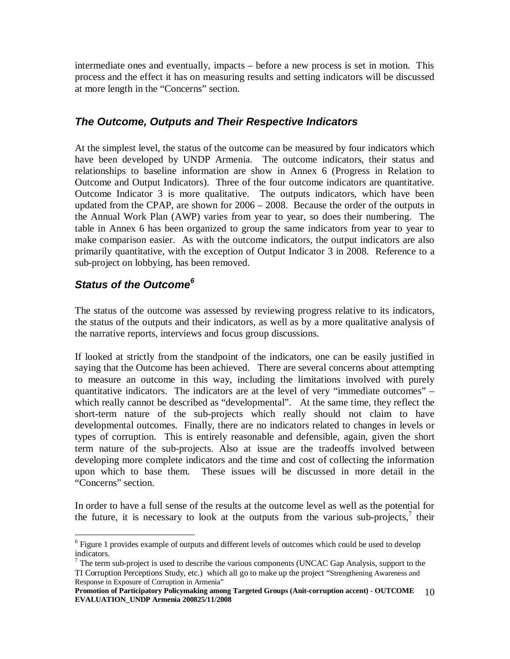intermediate ones and eventually, impacts – before a new process is set in motion. This process and the effect it has on measuring results and setting indicators will be discussed at more length in the "Concerns" section.

#### *The Outcome, Outputs and Their Respective Indicators*

At the simplest level, the status of the outcome can be measured by four indicators which have been developed by UNDP Armenia. The outcome indicators, their status and relationships to baseline information are show in Annex 6 (Progress in Relation to Outcome and Output Indicators). Three of the four outcome indicators are quantitative. Outcome Indicator 3 is more qualitative. The outputs indicators, which have been updated from the CPAP, are shown for 2006 – 2008. Because the order of the outputs in the Annual Work Plan (AWP) varies from year to year, so does their numbering. The table in Annex 6 has been organized to group the same indicators from year to year to make comparison easier. As with the outcome indicators, the output indicators are also primarily quantitative, with the exception of Output Indicator 3 in 2008. Reference to a sub-project on lobbying, has been removed.

## *Status of the Outcome<sup>6</sup>*

The status of the outcome was assessed by reviewing progress relative to its indicators, the status of the outputs and their indicators, as well as by a more qualitative analysis of the narrative reports, interviews and focus group discussions.

If looked at strictly from the standpoint of the indicators, one can be easily justified in saying that the Outcome has been achieved. There are several concerns about attempting to measure an outcome in this way, including the limitations involved with purely quantitative indicators. The indicators are at the level of very "immediate outcomes" – which really cannot be described as "developmental". At the same time, they reflect the short-term nature of the sub-projects which really should not claim to have developmental outcomes. Finally, there are no indicators related to changes in levels or types of corruption. This is entirely reasonable and defensible, again, given the short term nature of the sub-projects. Also at issue are the tradeoffs involved between developing more complete indicators and the time and cost of collecting the information upon which to base them. These issues will be discussed in more detail in the "Concerns" section.

In order to have a full sense of the results at the outcome level as well as the potential for the future, it is necessary to look at the outputs from the various sub-projects,<sup>7</sup> their

<sup>&</sup>lt;sup>6</sup> Figure 1 provides example of outputs and different levels of outcomes which could be used to develop indicators.

 $<sup>7</sup>$  The term sub-project is used to describe the various components (UNCAC Gap Analysis, support to the</sup> TI Corruption Perceptions Study, etc.) which all go to make up the project "Strengthening Awareness and Response in Exposure of Corruption in Armenia"

**Promotion of Participatory Policymaking among Targeted Groups (Anit-corruption accent) - OUTCOME** 10 **EVALUATION\_UNDP Armenia 200825/11/2008**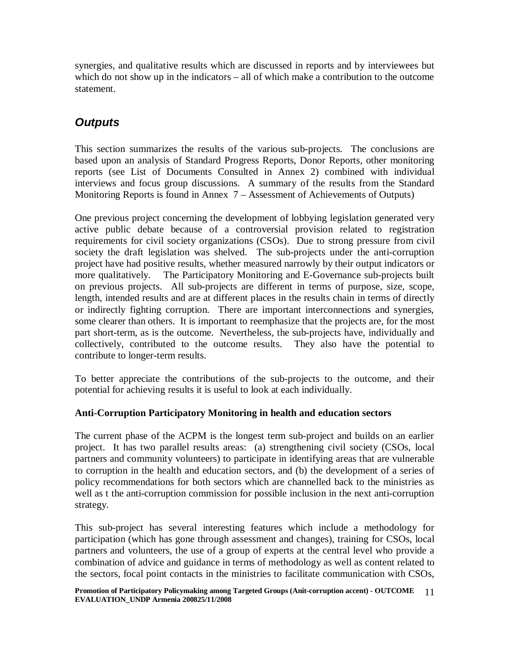synergies, and qualitative results which are discussed in reports and by interviewees but which do not show up in the indicators – all of which make a contribution to the outcome statement.

## *Outputs*

This section summarizes the results of the various sub-projects. The conclusions are based upon an analysis of Standard Progress Reports, Donor Reports, other monitoring reports (see List of Documents Consulted in Annex 2) combined with individual interviews and focus group discussions. A summary of the results from the Standard Monitoring Reports is found in Annex 7 – Assessment of Achievements of Outputs)

One previous project concerning the development of lobbying legislation generated very active public debate because of a controversial provision related to registration requirements for civil society organizations (CSOs). Due to strong pressure from civil society the draft legislation was shelved. The sub-projects under the anti-corruption project have had positive results, whether measured narrowly by their output indicators or more qualitatively. The Participatory Monitoring and E-Governance sub-projects built on previous projects. All sub-projects are different in terms of purpose, size, scope, length, intended results and are at different places in the results chain in terms of directly or indirectly fighting corruption. There are important interconnections and synergies, some clearer than others. It is important to reemphasize that the projects are, for the most part short-term, as is the outcome. Nevertheless, the sub-projects have, individually and collectively, contributed to the outcome results. They also have the potential to contribute to longer-term results.

To better appreciate the contributions of the sub-projects to the outcome, and their potential for achieving results it is useful to look at each individually.

#### **Anti-Corruption Participatory Monitoring in health and education sectors**

The current phase of the ACPM is the longest term sub-project and builds on an earlier project. It has two parallel results areas: (a) strengthening civil society (CSOs, local partners and community volunteers) to participate in identifying areas that are vulnerable to corruption in the health and education sectors, and (b) the development of a series of policy recommendations for both sectors which are channelled back to the ministries as well as t the anti-corruption commission for possible inclusion in the next anti-corruption strategy.

This sub-project has several interesting features which include a methodology for participation (which has gone through assessment and changes), training for CSOs, local partners and volunteers, the use of a group of experts at the central level who provide a combination of advice and guidance in terms of methodology as well as content related to the sectors, focal point contacts in the ministries to facilitate communication with CSOs,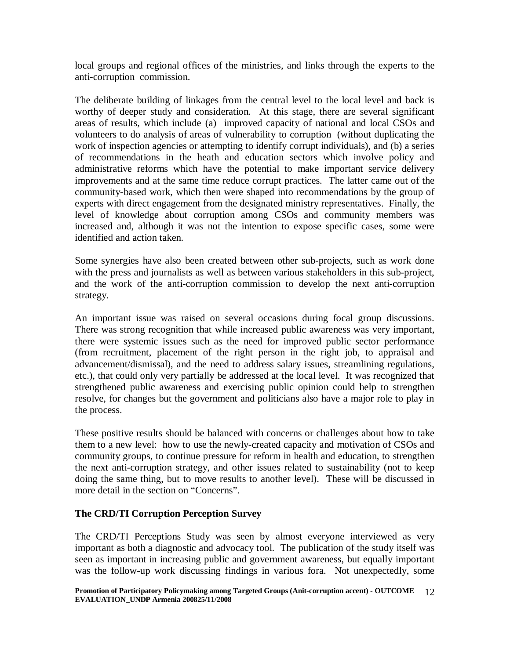local groups and regional offices of the ministries, and links through the experts to the anti-corruption commission.

The deliberate building of linkages from the central level to the local level and back is worthy of deeper study and consideration. At this stage, there are several significant areas of results, which include (a) improved capacity of national and local CSOs and volunteers to do analysis of areas of vulnerability to corruption (without duplicating the work of inspection agencies or attempting to identify corrupt individuals), and (b) a series of recommendations in the heath and education sectors which involve policy and administrative reforms which have the potential to make important service delivery improvements and at the same time reduce corrupt practices. The latter came out of the community-based work, which then were shaped into recommendations by the group of experts with direct engagement from the designated ministry representatives. Finally, the level of knowledge about corruption among CSOs and community members was increased and, although it was not the intention to expose specific cases, some were identified and action taken.

Some synergies have also been created between other sub-projects, such as work done with the press and journalists as well as between various stakeholders in this sub-project, and the work of the anti-corruption commission to develop the next anti-corruption strategy.

An important issue was raised on several occasions during focal group discussions. There was strong recognition that while increased public awareness was very important, there were systemic issues such as the need for improved public sector performance (from recruitment, placement of the right person in the right job, to appraisal and advancement/dismissal), and the need to address salary issues, streamlining regulations, etc.), that could only very partially be addressed at the local level. It was recognized that strengthened public awareness and exercising public opinion could help to strengthen resolve, for changes but the government and politicians also have a major role to play in the process.

These positive results should be balanced with concerns or challenges about how to take them to a new level: how to use the newly-created capacity and motivation of CSOs and community groups, to continue pressure for reform in health and education, to strengthen the next anti-corruption strategy, and other issues related to sustainability (not to keep doing the same thing, but to move results to another level). These will be discussed in more detail in the section on "Concerns".

#### **The CRD/TI Corruption Perception Survey**

The CRD/TI Perceptions Study was seen by almost everyone interviewed as very important as both a diagnostic and advocacy tool. The publication of the study itself was seen as important in increasing public and government awareness, but equally important was the follow-up work discussing findings in various fora. Not unexpectedly, some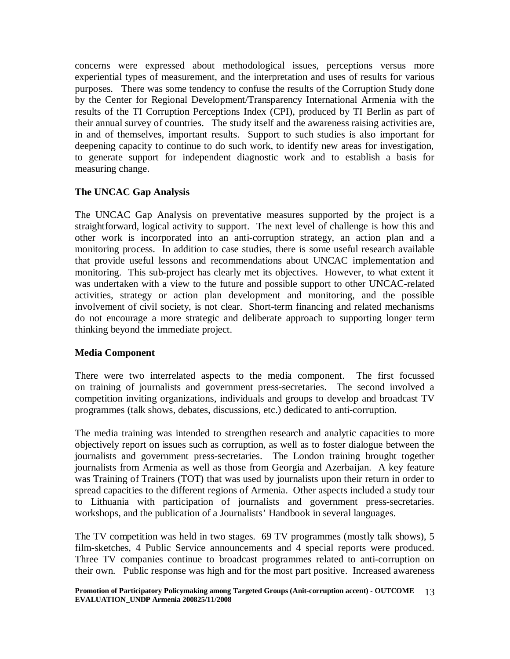concerns were expressed about methodological issues, perceptions versus more experiential types of measurement, and the interpretation and uses of results for various purposes. There was some tendency to confuse the results of the Corruption Study done by the Center for Regional Development/Transparency International Armenia with the results of the TI Corruption Perceptions Index (CPI), produced by TI Berlin as part of their annual survey of countries. The study itself and the awareness raising activities are, in and of themselves, important results. Support to such studies is also important for deepening capacity to continue to do such work, to identify new areas for investigation, to generate support for independent diagnostic work and to establish a basis for measuring change.

#### **The UNCAC Gap Analysis**

The UNCAC Gap Analysis on preventative measures supported by the project is a straightforward, logical activity to support. The next level of challenge is how this and other work is incorporated into an anti-corruption strategy, an action plan and a monitoring process. In addition to case studies, there is some useful research available that provide useful lessons and recommendations about UNCAC implementation and monitoring. This sub-project has clearly met its objectives. However, to what extent it was undertaken with a view to the future and possible support to other UNCAC-related activities, strategy or action plan development and monitoring, and the possible involvement of civil society, is not clear. Short-term financing and related mechanisms do not encourage a more strategic and deliberate approach to supporting longer term thinking beyond the immediate project.

#### **Media Component**

There were two interrelated aspects to the media component. The first focussed on training of journalists and government press-secretaries. The second involved a competition inviting organizations, individuals and groups to develop and broadcast TV programmes (talk shows, debates, discussions, etc.) dedicated to anti-corruption.

The media training was intended to strengthen research and analytic capacities to more objectively report on issues such as corruption, as well as to foster dialogue between the journalists and government press-secretaries. The London training brought together journalists from Armenia as well as those from Georgia and Azerbaijan. A key feature was Training of Trainers (TOT) that was used by journalists upon their return in order to spread capacities to the different regions of Armenia. Other aspects included a study tour to Lithuania with participation of journalists and government press-secretaries. workshops, and the publication of a Journalists' Handbook in several languages.

The TV competition was held in two stages. 69 TV programmes (mostly talk shows), 5 film-sketches, 4 Public Service announcements and 4 special reports were produced. Three TV companies continue to broadcast programmes related to anti-corruption on their own. Public response was high and for the most part positive. Increased awareness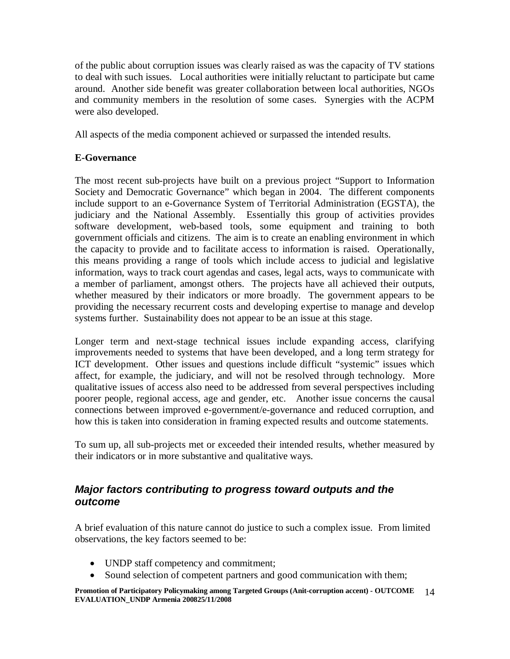of the public about corruption issues was clearly raised as was the capacity of TV stations to deal with such issues. Local authorities were initially reluctant to participate but came around. Another side benefit was greater collaboration between local authorities, NGOs and community members in the resolution of some cases. Synergies with the ACPM were also developed.

All aspects of the media component achieved or surpassed the intended results.

#### **E-Governance**

The most recent sub-projects have built on a previous project "Support to Information Society and Democratic Governance" which began in 2004. The different components include support to an e-Governance System of Territorial Administration (EGSTA), the judiciary and the National Assembly. Essentially this group of activities provides software development, web-based tools, some equipment and training to both government officials and citizens. The aim is to create an enabling environment in which the capacity to provide and to facilitate access to information is raised. Operationally, this means providing a range of tools which include access to judicial and legislative information, ways to track court agendas and cases, legal acts, ways to communicate with a member of parliament, amongst others. The projects have all achieved their outputs, whether measured by their indicators or more broadly. The government appears to be providing the necessary recurrent costs and developing expertise to manage and develop systems further. Sustainability does not appear to be an issue at this stage.

Longer term and next-stage technical issues include expanding access, clarifying improvements needed to systems that have been developed, and a long term strategy for ICT development. Other issues and questions include difficult "systemic" issues which affect, for example, the judiciary, and will not be resolved through technology. More qualitative issues of access also need to be addressed from several perspectives including poorer people, regional access, age and gender, etc. Another issue concerns the causal connections between improved e-government/e-governance and reduced corruption, and how this is taken into consideration in framing expected results and outcome statements.

To sum up, all sub-projects met or exceeded their intended results, whether measured by their indicators or in more substantive and qualitative ways.

#### *Major factors contributing to progress toward outputs and the outcome*

A brief evaluation of this nature cannot do justice to such a complex issue. From limited observations, the key factors seemed to be:

- UNDP staff competency and commitment;
- Sound selection of competent partners and good communication with them;

**Promotion of Participatory Policymaking among Targeted Groups (Anit-corruption accent) - OUTCOME** 14 **EVALUATION\_UNDP Armenia 200825/11/2008**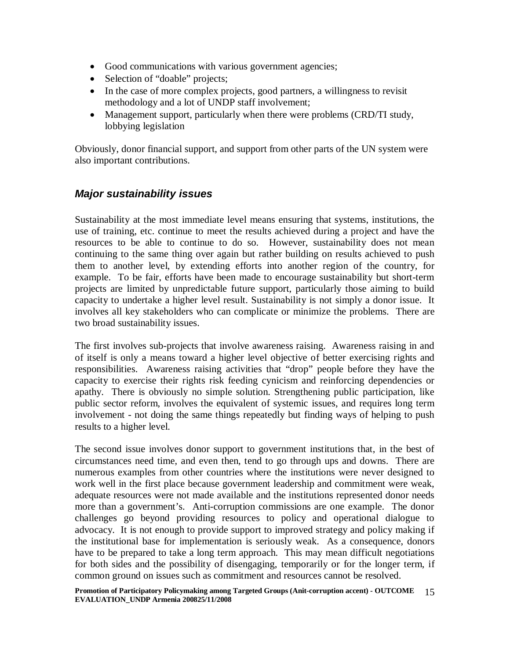- Good communications with various government agencies;
- Selection of "doable" projects;
- In the case of more complex projects, good partners, a willingness to revisit methodology and a lot of UNDP staff involvement;
- Management support, particularly when there were problems (CRD/TI study, lobbying legislation

Obviously, donor financial support, and support from other parts of the UN system were also important contributions.

#### *Major sustainability issues*

Sustainability at the most immediate level means ensuring that systems, institutions, the use of training, etc. continue to meet the results achieved during a project and have the resources to be able to continue to do so. However, sustainability does not mean continuing to the same thing over again but rather building on results achieved to push them to another level, by extending efforts into another region of the country, for example. To be fair, efforts have been made to encourage sustainability but short-term projects are limited by unpredictable future support, particularly those aiming to build capacity to undertake a higher level result. Sustainability is not simply a donor issue. It involves all key stakeholders who can complicate or minimize the problems. There are two broad sustainability issues.

The first involves sub-projects that involve awareness raising. Awareness raising in and of itself is only a means toward a higher level objective of better exercising rights and responsibilities. Awareness raising activities that "drop" people before they have the capacity to exercise their rights risk feeding cynicism and reinforcing dependencies or apathy. There is obviously no simple solution. Strengthening public participation, like public sector reform, involves the equivalent of systemic issues, and requires long term involvement - not doing the same things repeatedly but finding ways of helping to push results to a higher level.

The second issue involves donor support to government institutions that, in the best of circumstances need time, and even then, tend to go through ups and downs. There are numerous examples from other countries where the institutions were never designed to work well in the first place because government leadership and commitment were weak, adequate resources were not made available and the institutions represented donor needs more than a government's. Anti-corruption commissions are one example. The donor challenges go beyond providing resources to policy and operational dialogue to advocacy. It is not enough to provide support to improved strategy and policy making if the institutional base for implementation is seriously weak. As a consequence, donors have to be prepared to take a long term approach. This may mean difficult negotiations for both sides and the possibility of disengaging, temporarily or for the longer term, if common ground on issues such as commitment and resources cannot be resolved.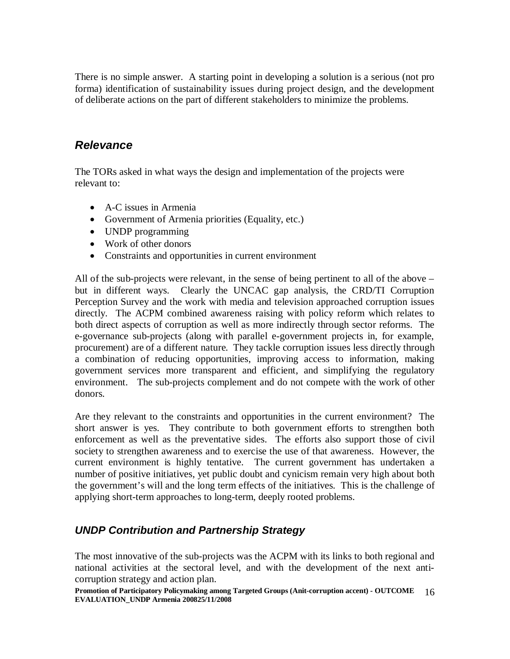There is no simple answer. A starting point in developing a solution is a serious (not pro forma) identification of sustainability issues during project design, and the development of deliberate actions on the part of different stakeholders to minimize the problems.

#### *Relevance*

The TORs asked in what ways the design and implementation of the projects were relevant to:

- $\bullet$  A-C issues in Armenia
- Government of Armenia priorities (Equality, etc.)
- UNDP programming
- Work of other donors
- Constraints and opportunities in current environment

All of the sub-projects were relevant, in the sense of being pertinent to all of the above – but in different ways. Clearly the UNCAC gap analysis, the CRD/TI Corruption Perception Survey and the work with media and television approached corruption issues directly. The ACPM combined awareness raising with policy reform which relates to both direct aspects of corruption as well as more indirectly through sector reforms. The e-governance sub-projects (along with parallel e-government projects in, for example, procurement) are of a different nature. They tackle corruption issues less directly through a combination of reducing opportunities, improving access to information, making government services more transparent and efficient, and simplifying the regulatory environment. The sub-projects complement and do not compete with the work of other donors.

Are they relevant to the constraints and opportunities in the current environment? The short answer is yes. They contribute to both government efforts to strengthen both enforcement as well as the preventative sides. The efforts also support those of civil society to strengthen awareness and to exercise the use of that awareness. However, the current environment is highly tentative. The current government has undertaken a number of positive initiatives, yet public doubt and cynicism remain very high about both the government's will and the long term effects of the initiatives. This is the challenge of applying short-term approaches to long-term, deeply rooted problems.

### *UNDP Contribution and Partnership Strategy*

The most innovative of the sub-projects was the ACPM with its links to both regional and national activities at the sectoral level, and with the development of the next anticorruption strategy and action plan.

**Promotion of Participatory Policymaking among Targeted Groups (Anit-corruption accent) - OUTCOME EVALUATION\_UNDP Armenia 200825/11/2008** 16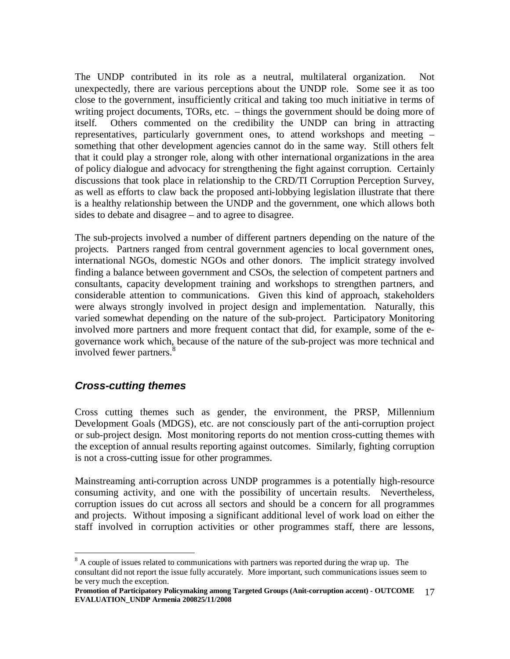The UNDP contributed in its role as a neutral, multilateral organization. Not unexpectedly, there are various perceptions about the UNDP role. Some see it as too close to the government, insufficiently critical and taking too much initiative in terms of writing project documents, TORs, etc. – things the government should be doing more of itself. Others commented on the credibility the UNDP can bring in attracting representatives, particularly government ones, to attend workshops and meeting – something that other development agencies cannot do in the same way. Still others felt that it could play a stronger role, along with other international organizations in the area of policy dialogue and advocacy for strengthening the fight against corruption. Certainly discussions that took place in relationship to the CRD/TI Corruption Perception Survey, as well as efforts to claw back the proposed anti-lobbying legislation illustrate that there is a healthy relationship between the UNDP and the government, one which allows both sides to debate and disagree – and to agree to disagree.

The sub-projects involved a number of different partners depending on the nature of the projects. Partners ranged from central government agencies to local government ones, international NGOs, domestic NGOs and other donors. The implicit strategy involved finding a balance between government and CSOs, the selection of competent partners and consultants, capacity development training and workshops to strengthen partners, and considerable attention to communications. Given this kind of approach, stakeholders were always strongly involved in project design and implementation. Naturally, this varied somewhat depending on the nature of the sub-project. Participatory Monitoring involved more partners and more frequent contact that did, for example, some of the egovernance work which, because of the nature of the sub-project was more technical and involved fewer partners.<sup>8</sup>

#### *Cross-cutting themes*

Cross cutting themes such as gender, the environment, the PRSP, Millennium Development Goals (MDGS), etc. are not consciously part of the anti-corruption project or sub-project design. Most monitoring reports do not mention cross-cutting themes with the exception of annual results reporting against outcomes. Similarly, fighting corruption is not a cross-cutting issue for other programmes.

Mainstreaming anti-corruption across UNDP programmes is a potentially high-resource consuming activity, and one with the possibility of uncertain results. Nevertheless, corruption issues do cut across all sectors and should be a concern for all programmes and projects. Without imposing a significant additional level of work load on either the staff involved in corruption activities or other programmes staff, there are lessons,

 $8$  A couple of issues related to communications with partners was reported during the wrap up. The consultant did not report the issue fully accurately. More important, such communications issues seem to be very much the exception.

**Promotion of Participatory Policymaking among Targeted Groups (Anit-corruption accent) - OUTCOME** 17 **EVALUATION\_UNDP Armenia 200825/11/2008**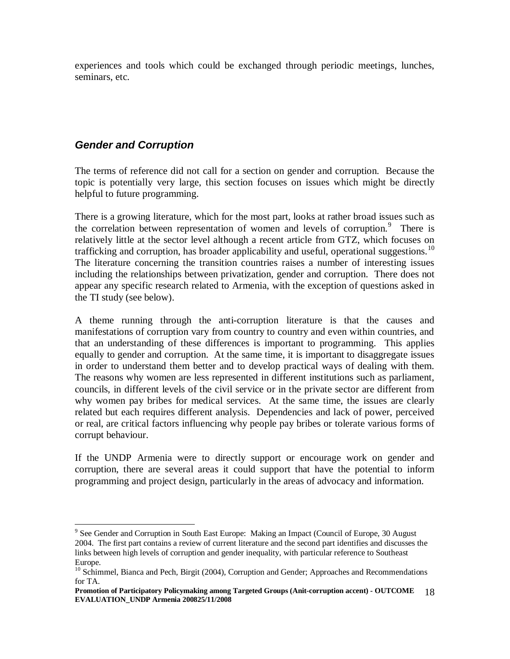experiences and tools which could be exchanged through periodic meetings, lunches, seminars, etc.

#### *Gender and Corruption*

The terms of reference did not call for a section on gender and corruption. Because the topic is potentially very large, this section focuses on issues which might be directly helpful to future programming.

There is a growing literature, which for the most part, looks at rather broad issues such as the correlation between representation of women and levels of corruption.<sup>9</sup> There is relatively little at the sector level although a recent article from GTZ, which focuses on trafficking and corruption, has broader applicability and useful, operational suggestions.<sup>10</sup> The literature concerning the transition countries raises a number of interesting issues including the relationships between privatization, gender and corruption. There does not appear any specific research related to Armenia, with the exception of questions asked in the TI study (see below).

A theme running through the anti-corruption literature is that the causes and manifestations of corruption vary from country to country and even within countries, and that an understanding of these differences is important to programming. This applies equally to gender and corruption. At the same time, it is important to disaggregate issues in order to understand them better and to develop practical ways of dealing with them. The reasons why women are less represented in different institutions such as parliament, councils, in different levels of the civil service or in the private sector are different from why women pay bribes for medical services. At the same time, the issues are clearly related but each requires different analysis. Dependencies and lack of power, perceived or real, are critical factors influencing why people pay bribes or tolerate various forms of corrupt behaviour.

If the UNDP Armenia were to directly support or encourage work on gender and corruption, there are several areas it could support that have the potential to inform programming and project design, particularly in the areas of advocacy and information.

<sup>&</sup>lt;sup>9</sup> See Gender and Corruption in South East Europe: Making an Impact (Council of Europe, 30 August 2004. The first part contains a review of current literature and the second part identifies and discusses the links between high levels of corruption and gender inequality, with particular reference to Southeast Europe.

<sup>&</sup>lt;sup>10</sup> Schimmel, Bianca and Pech, Birgit (2004), Corruption and Gender; Approaches and Recommendations for TA.

**Promotion of Participatory Policymaking among Targeted Groups (Anit-corruption accent) - OUTCOME** 18 **EVALUATION\_UNDP Armenia 200825/11/2008**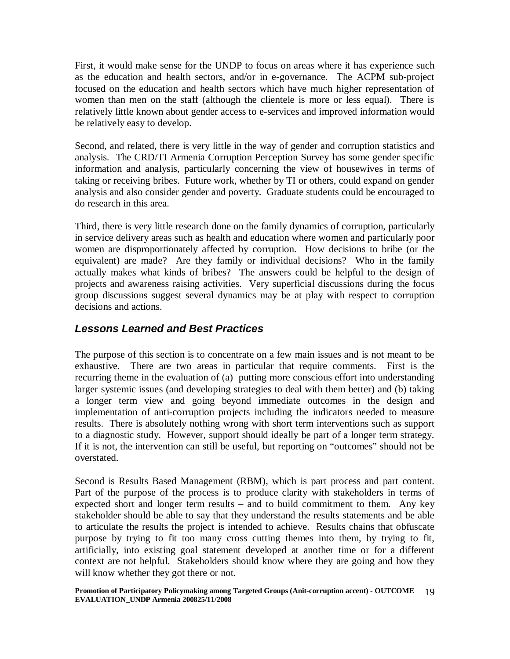First, it would make sense for the UNDP to focus on areas where it has experience such as the education and health sectors, and/or in e-governance. The ACPM sub-project focused on the education and health sectors which have much higher representation of women than men on the staff (although the clientele is more or less equal). There is relatively little known about gender access to e-services and improved information would be relatively easy to develop.

Second, and related, there is very little in the way of gender and corruption statistics and analysis. The CRD/TI Armenia Corruption Perception Survey has some gender specific information and analysis, particularly concerning the view of housewives in terms of taking or receiving bribes. Future work, whether by TI or others, could expand on gender analysis and also consider gender and poverty. Graduate students could be encouraged to do research in this area.

Third, there is very little research done on the family dynamics of corruption, particularly in service delivery areas such as health and education where women and particularly poor women are disproportionately affected by corruption. How decisions to bribe (or the equivalent) are made? Are they family or individual decisions? Who in the family actually makes what kinds of bribes? The answers could be helpful to the design of projects and awareness raising activities. Very superficial discussions during the focus group discussions suggest several dynamics may be at play with respect to corruption decisions and actions.

#### *Lessons Learned and Best Practices*

The purpose of this section is to concentrate on a few main issues and is not meant to be exhaustive. There are two areas in particular that require comments. First is the recurring theme in the evaluation of (a) putting more conscious effort into understanding larger systemic issues (and developing strategies to deal with them better) and (b) taking a longer term view and going beyond immediate outcomes in the design and implementation of anti-corruption projects including the indicators needed to measure results. There is absolutely nothing wrong with short term interventions such as support to a diagnostic study. However, support should ideally be part of a longer term strategy. If it is not, the intervention can still be useful, but reporting on "outcomes" should not be overstated.

Second is Results Based Management (RBM), which is part process and part content. Part of the purpose of the process is to produce clarity with stakeholders in terms of expected short and longer term results – and to build commitment to them. Any key stakeholder should be able to say that they understand the results statements and be able to articulate the results the project is intended to achieve. Results chains that obfuscate purpose by trying to fit too many cross cutting themes into them, by trying to fit, artificially, into existing goal statement developed at another time or for a different context are not helpful. Stakeholders should know where they are going and how they will know whether they got there or not.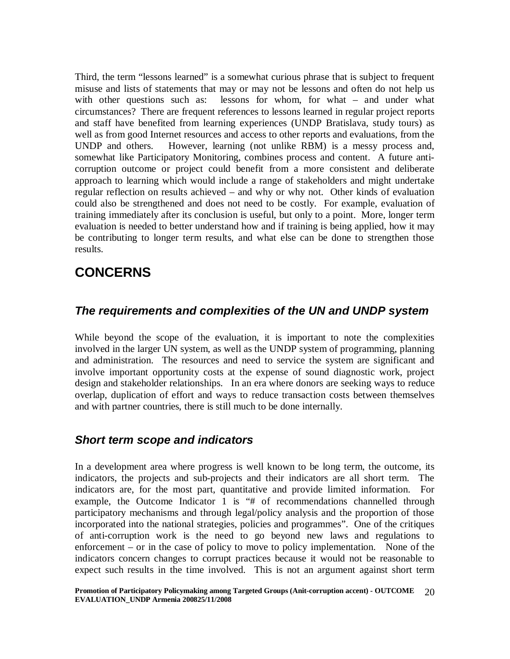Third, the term "lessons learned" is a somewhat curious phrase that is subject to frequent misuse and lists of statements that may or may not be lessons and often do not help us with other questions such as: lessons for whom, for what – and under what circumstances? There are frequent references to lessons learned in regular project reports and staff have benefited from learning experiences (UNDP Bratislava, study tours) as well as from good Internet resources and access to other reports and evaluations, from the UNDP and others. However, learning (not unlike RBM) is a messy process and, somewhat like Participatory Monitoring, combines process and content. A future anticorruption outcome or project could benefit from a more consistent and deliberate approach to learning which would include a range of stakeholders and might undertake regular reflection on results achieved – and why or why not. Other kinds of evaluation could also be strengthened and does not need to be costly. For example, evaluation of training immediately after its conclusion is useful, but only to a point. More, longer term evaluation is needed to better understand how and if training is being applied, how it may be contributing to longer term results, and what else can be done to strengthen those results.

# **CONCERNS**

## *The requirements and complexities of the UN and UNDP system*

While beyond the scope of the evaluation, it is important to note the complexities involved in the larger UN system, as well as the UNDP system of programming, planning and administration. The resources and need to service the system are significant and involve important opportunity costs at the expense of sound diagnostic work, project design and stakeholder relationships. In an era where donors are seeking ways to reduce overlap, duplication of effort and ways to reduce transaction costs between themselves and with partner countries, there is still much to be done internally.

### *Short term scope and indicators*

In a development area where progress is well known to be long term, the outcome, its indicators, the projects and sub-projects and their indicators are all short term. The indicators are, for the most part, quantitative and provide limited information. For example, the Outcome Indicator 1 is "# of recommendations channelled through participatory mechanisms and through legal/policy analysis and the proportion of those incorporated into the national strategies, policies and programmes". One of the critiques of anti-corruption work is the need to go beyond new laws and regulations to enforcement – or in the case of policy to move to policy implementation. None of the indicators concern changes to corrupt practices because it would not be reasonable to expect such results in the time involved. This is not an argument against short term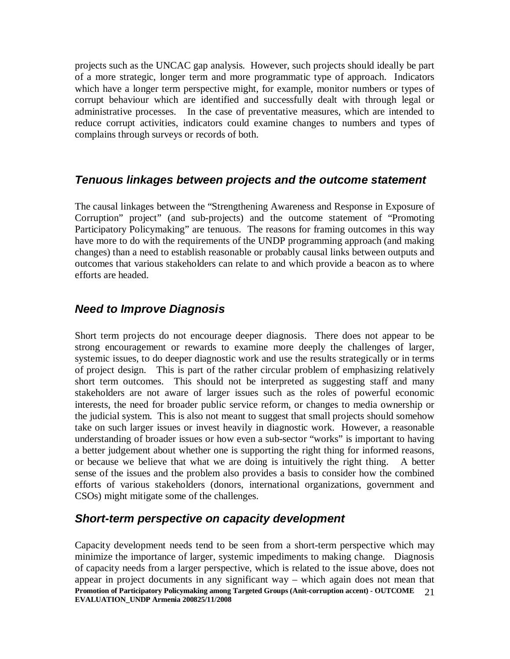projects such as the UNCAC gap analysis. However, such projects should ideally be part of a more strategic, longer term and more programmatic type of approach. Indicators which have a longer term perspective might, for example, monitor numbers or types of corrupt behaviour which are identified and successfully dealt with through legal or administrative processes. In the case of preventative measures, which are intended to reduce corrupt activities, indicators could examine changes to numbers and types of complains through surveys or records of both.

### *Tenuous linkages between projects and the outcome statement*

The causal linkages between the "Strengthening Awareness and Response in Exposure of Corruption" project" (and sub-projects) and the outcome statement of "Promoting Participatory Policymaking" are tenuous. The reasons for framing outcomes in this way have more to do with the requirements of the UNDP programming approach (and making changes) than a need to establish reasonable or probably causal links between outputs and outcomes that various stakeholders can relate to and which provide a beacon as to where efforts are headed.

## *Need to Improve Diagnosis*

Short term projects do not encourage deeper diagnosis. There does not appear to be strong encouragement or rewards to examine more deeply the challenges of larger, systemic issues, to do deeper diagnostic work and use the results strategically or in terms of project design. This is part of the rather circular problem of emphasizing relatively short term outcomes. This should not be interpreted as suggesting staff and many stakeholders are not aware of larger issues such as the roles of powerful economic interests, the need for broader public service reform, or changes to media ownership or the judicial system. This is also not meant to suggest that small projects should somehow take on such larger issues or invest heavily in diagnostic work. However, a reasonable understanding of broader issues or how even a sub-sector "works" is important to having a better judgement about whether one is supporting the right thing for informed reasons, or because we believe that what we are doing is intuitively the right thing. A better sense of the issues and the problem also provides a basis to consider how the combined efforts of various stakeholders (donors, international organizations, government and CSOs) might mitigate some of the challenges.

## *Short-term perspective on capacity development*

**Promotion of Participatory Policymaking among Targeted Groups (Anit-corruption accent) - OUTCOME EVALUATION\_UNDP Armenia 200825/11/2008** 21 Capacity development needs tend to be seen from a short-term perspective which may minimize the importance of larger, systemic impediments to making change. Diagnosis of capacity needs from a larger perspective, which is related to the issue above, does not appear in project documents in any significant way – which again does not mean that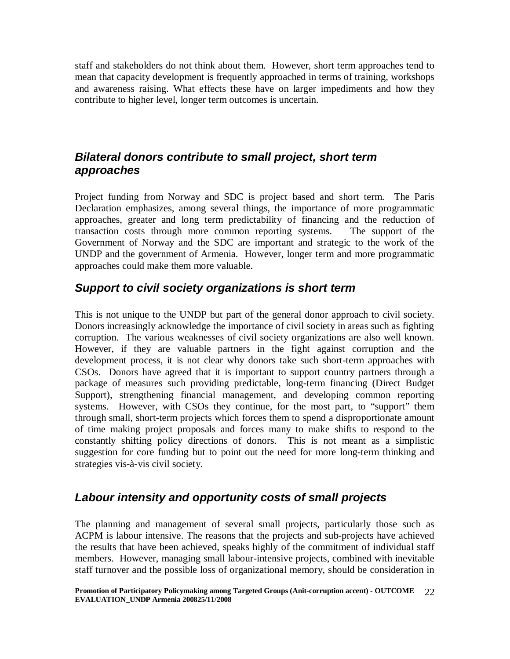staff and stakeholders do not think about them. However, short term approaches tend to mean that capacity development is frequently approached in terms of training, workshops and awareness raising. What effects these have on larger impediments and how they contribute to higher level, longer term outcomes is uncertain.

## *Bilateral donors contribute to small project, short term approaches*

Project funding from Norway and SDC is project based and short term. The Paris Declaration emphasizes, among several things, the importance of more programmatic approaches, greater and long term predictability of financing and the reduction of transaction costs through more common reporting systems. The support of the Government of Norway and the SDC are important and strategic to the work of the UNDP and the government of Armenia. However, longer term and more programmatic approaches could make them more valuable.

## *Support to civil society organizations is short term*

This is not unique to the UNDP but part of the general donor approach to civil society. Donors increasingly acknowledge the importance of civil society in areas such as fighting corruption. The various weaknesses of civil society organizations are also well known. However, if they are valuable partners in the fight against corruption and the development process, it is not clear why donors take such short-term approaches with CSOs. Donors have agreed that it is important to support country partners through a package of measures such providing predictable, long-term financing (Direct Budget Support), strengthening financial management, and developing common reporting systems. However, with CSOs they continue, for the most part, to "support" them through small, short-term projects which forces them to spend a disproportionate amount of time making project proposals and forces many to make shifts to respond to the constantly shifting policy directions of donors. This is not meant as a simplistic suggestion for core funding but to point out the need for more long-term thinking and strategies vis-à-vis civil society.

## *Labour intensity and opportunity costs of small projects*

The planning and management of several small projects, particularly those such as ACPM is labour intensive. The reasons that the projects and sub-projects have achieved the results that have been achieved, speaks highly of the commitment of individual staff members. However, managing small labour-intensive projects, combined with inevitable staff turnover and the possible loss of organizational memory, should be consideration in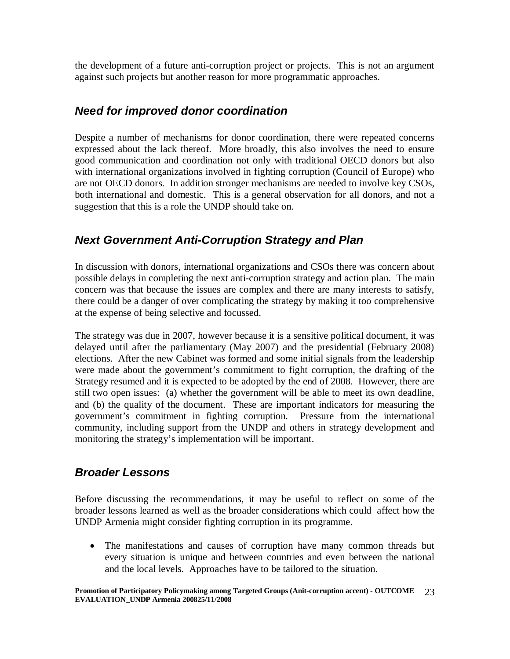the development of a future anti-corruption project or projects. This is not an argument against such projects but another reason for more programmatic approaches.

## *Need for improved donor coordination*

Despite a number of mechanisms for donor coordination, there were repeated concerns expressed about the lack thereof. More broadly, this also involves the need to ensure good communication and coordination not only with traditional OECD donors but also with international organizations involved in fighting corruption (Council of Europe) who are not OECD donors. In addition stronger mechanisms are needed to involve key CSOs, both international and domestic. This is a general observation for all donors, and not a suggestion that this is a role the UNDP should take on.

## *Next Government Anti-Corruption Strategy and Plan*

In discussion with donors, international organizations and CSOs there was concern about possible delays in completing the next anti-corruption strategy and action plan. The main concern was that because the issues are complex and there are many interests to satisfy, there could be a danger of over complicating the strategy by making it too comprehensive at the expense of being selective and focussed.

The strategy was due in 2007, however because it is a sensitive political document, it was delayed until after the parliamentary (May 2007) and the presidential (February 2008) elections. After the new Cabinet was formed and some initial signals from the leadership were made about the government's commitment to fight corruption, the drafting of the Strategy resumed and it is expected to be adopted by the end of 2008. However, there are still two open issues: (a) whether the government will be able to meet its own deadline, and (b) the quality of the document. These are important indicators for measuring the government's commitment in fighting corruption. Pressure from the international community, including support from the UNDP and others in strategy development and monitoring the strategy's implementation will be important.

#### *Broader Lessons*

Before discussing the recommendations, it may be useful to reflect on some of the broader lessons learned as well as the broader considerations which could affect how the UNDP Armenia might consider fighting corruption in its programme.

• The manifestations and causes of corruption have many common threads but every situation is unique and between countries and even between the national and the local levels. Approaches have to be tailored to the situation.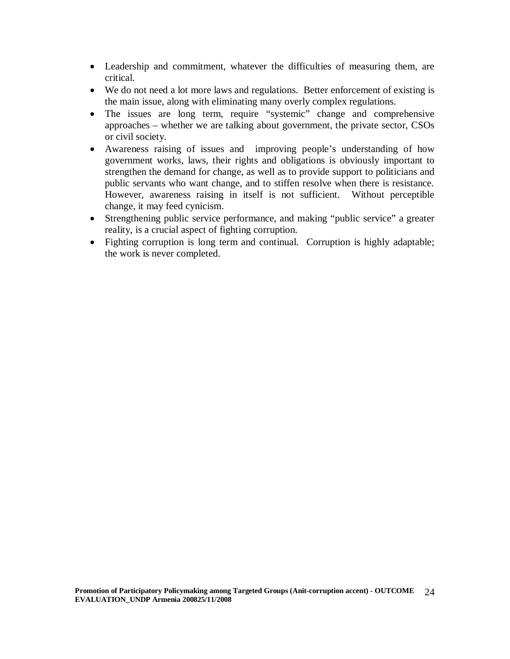- Leadership and commitment, whatever the difficulties of measuring them, are critical.
- We do not need a lot more laws and regulations. Better enforcement of existing is the main issue, along with eliminating many overly complex regulations.
- The issues are long term, require "systemic" change and comprehensive approaches – whether we are talking about government, the private sector, CSOs or civil society.
- Awareness raising of issues and improving people's understanding of how government works, laws, their rights and obligations is obviously important to strengthen the demand for change, as well as to provide support to politicians and public servants who want change, and to stiffen resolve when there is resistance. However, awareness raising in itself is not sufficient. Without perceptible change, it may feed cynicism.
- Strengthening public service performance, and making "public service" a greater reality, is a crucial aspect of fighting corruption.
- Fighting corruption is long term and continual. Corruption is highly adaptable; the work is never completed.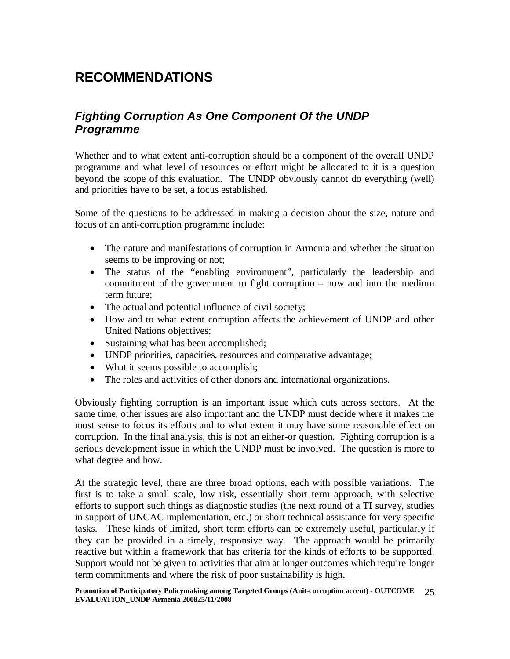# **RECOMMENDATIONS**

## *Fighting Corruption As One Component Of the UNDP Programme*

Whether and to what extent anti-corruption should be a component of the overall UNDP programme and what level of resources or effort might be allocated to it is a question beyond the scope of this evaluation. The UNDP obviously cannot do everything (well) and priorities have to be set, a focus established.

Some of the questions to be addressed in making a decision about the size, nature and focus of an anti-corruption programme include:

- The nature and manifestations of corruption in Armenia and whether the situation seems to be improving or not;
- The status of the "enabling environment", particularly the leadership and commitment of the government to fight corruption – now and into the medium term future;
- The actual and potential influence of civil society;
- How and to what extent corruption affects the achievement of UNDP and other United Nations objectives;
- Sustaining what has been accomplished;
- UNDP priorities, capacities, resources and comparative advantage;
- What it seems possible to accomplish;
- The roles and activities of other donors and international organizations.

Obviously fighting corruption is an important issue which cuts across sectors. At the same time, other issues are also important and the UNDP must decide where it makes the most sense to focus its efforts and to what extent it may have some reasonable effect on corruption. In the final analysis, this is not an either-or question. Fighting corruption is a serious development issue in which the UNDP must be involved. The question is more to what degree and how.

At the strategic level, there are three broad options, each with possible variations. The first is to take a small scale, low risk, essentially short term approach, with selective efforts to support such things as diagnostic studies (the next round of a TI survey, studies in support of UNCAC implementation, etc.) or short technical assistance for very specific tasks. These kinds of limited, short term efforts can be extremely useful, particularly if they can be provided in a timely, responsive way. The approach would be primarily reactive but within a framework that has criteria for the kinds of efforts to be supported. Support would not be given to activities that aim at longer outcomes which require longer term commitments and where the risk of poor sustainability is high.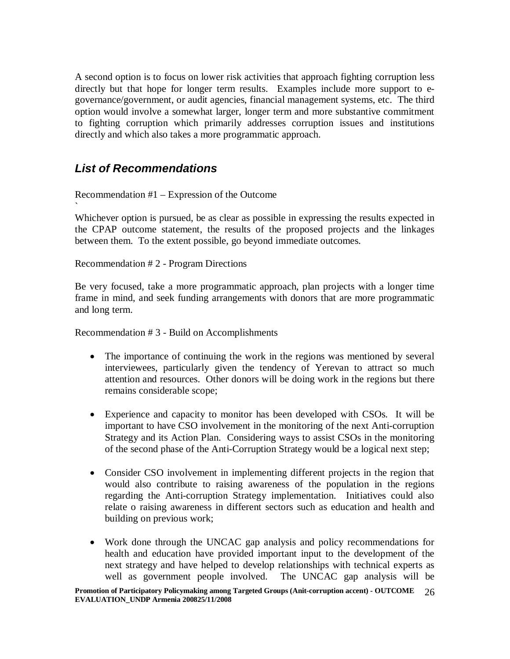A second option is to focus on lower risk activities that approach fighting corruption less directly but that hope for longer term results. Examples include more support to egovernance/government, or audit agencies, financial management systems, etc. The third option would involve a somewhat larger, longer term and more substantive commitment to fighting corruption which primarily addresses corruption issues and institutions directly and which also takes a more programmatic approach.

## *List of Recommendations*

`

Recommendation #1 – Expression of the Outcome

Whichever option is pursued, be as clear as possible in expressing the results expected in the CPAP outcome statement, the results of the proposed projects and the linkages between them. To the extent possible, go beyond immediate outcomes.

Recommendation # 2 - Program Directions

Be very focused, take a more programmatic approach, plan projects with a longer time frame in mind, and seek funding arrangements with donors that are more programmatic and long term.

Recommendation # 3 - Build on Accomplishments

- The importance of continuing the work in the regions was mentioned by several interviewees, particularly given the tendency of Yerevan to attract so much attention and resources. Other donors will be doing work in the regions but there remains considerable scope;
- Experience and capacity to monitor has been developed with CSOs. It will be important to have CSO involvement in the monitoring of the next Anti-corruption Strategy and its Action Plan. Considering ways to assist CSOs in the monitoring of the second phase of the Anti-Corruption Strategy would be a logical next step;
- Consider CSO involvement in implementing different projects in the region that would also contribute to raising awareness of the population in the regions regarding the Anti-corruption Strategy implementation. Initiatives could also relate o raising awareness in different sectors such as education and health and building on previous work;
- Work done through the UNCAC gap analysis and policy recommendations for health and education have provided important input to the development of the next strategy and have helped to develop relationships with technical experts as well as government people involved. The UNCAC gap analysis will be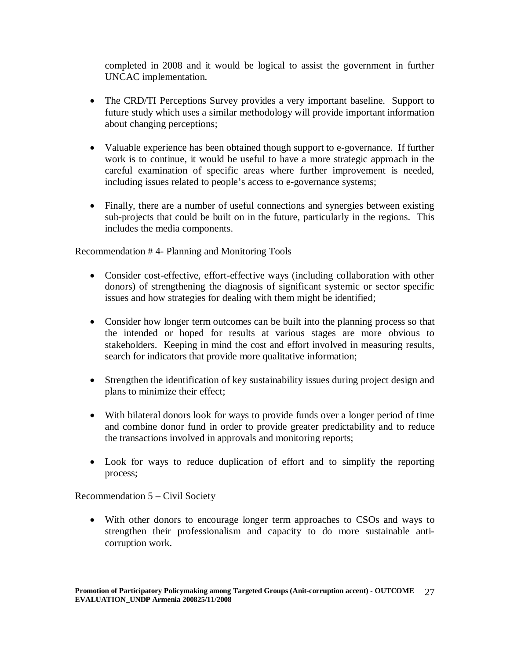completed in 2008 and it would be logical to assist the government in further UNCAC implementation.

- The CRD/TI Perceptions Survey provides a very important baseline. Support to future study which uses a similar methodology will provide important information about changing perceptions;
- Valuable experience has been obtained though support to e-governance. If further work is to continue, it would be useful to have a more strategic approach in the careful examination of specific areas where further improvement is needed, including issues related to people's access to e-governance systems;
- Finally, there are a number of useful connections and synergies between existing sub-projects that could be built on in the future, particularly in the regions. This includes the media components.

Recommendation # 4- Planning and Monitoring Tools

- Consider cost-effective, effort-effective ways (including collaboration with other donors) of strengthening the diagnosis of significant systemic or sector specific issues and how strategies for dealing with them might be identified;
- Consider how longer term outcomes can be built into the planning process so that the intended or hoped for results at various stages are more obvious to stakeholders. Keeping in mind the cost and effort involved in measuring results, search for indicators that provide more qualitative information;
- Strengthen the identification of key sustainability issues during project design and plans to minimize their effect;
- With bilateral donors look for ways to provide funds over a longer period of time and combine donor fund in order to provide greater predictability and to reduce the transactions involved in approvals and monitoring reports;
- Look for ways to reduce duplication of effort and to simplify the reporting process;

Recommendation 5 – Civil Society

• With other donors to encourage longer term approaches to CSOs and ways to strengthen their professionalism and capacity to do more sustainable anticorruption work.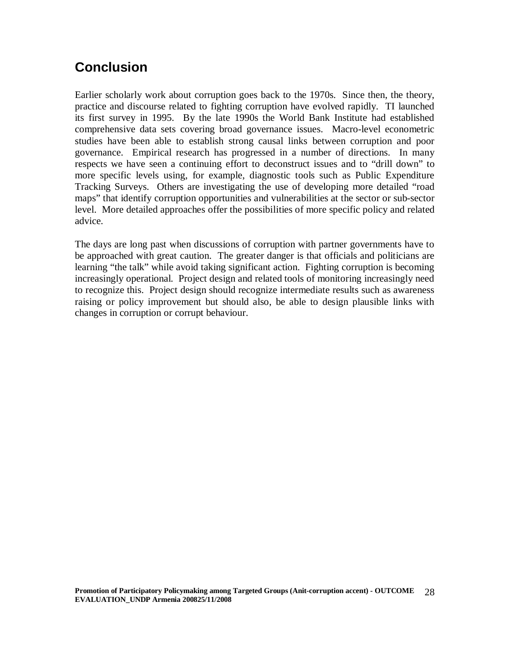# **Conclusion**

Earlier scholarly work about corruption goes back to the 1970s. Since then, the theory, practice and discourse related to fighting corruption have evolved rapidly. TI launched its first survey in 1995. By the late 1990s the World Bank Institute had established comprehensive data sets covering broad governance issues. Macro-level econometric studies have been able to establish strong causal links between corruption and poor governance. Empirical research has progressed in a number of directions. In many respects we have seen a continuing effort to deconstruct issues and to "drill down" to more specific levels using, for example, diagnostic tools such as Public Expenditure Tracking Surveys. Others are investigating the use of developing more detailed "road maps" that identify corruption opportunities and vulnerabilities at the sector or sub-sector level. More detailed approaches offer the possibilities of more specific policy and related advice.

The days are long past when discussions of corruption with partner governments have to be approached with great caution. The greater danger is that officials and politicians are learning "the talk" while avoid taking significant action. Fighting corruption is becoming increasingly operational. Project design and related tools of monitoring increasingly need to recognize this. Project design should recognize intermediate results such as awareness raising or policy improvement but should also, be able to design plausible links with changes in corruption or corrupt behaviour.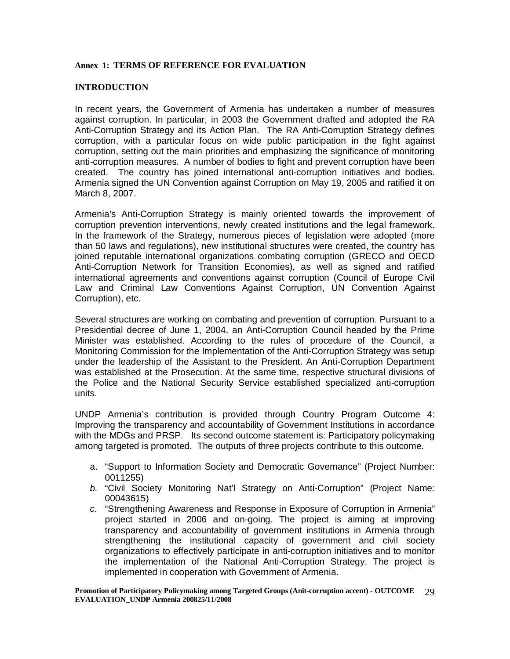#### **Annex 1: TERMS OF REFERENCE FOR EVALUATION**

#### **INTRODUCTION**

In recent years, the Government of Armenia has undertaken a number of measures against corruption. In particular, in 2003 the Government drafted and adopted the RA Anti-Corruption Strategy and its Action Plan. The RA Anti-Corruption Strategy defines corruption, with a particular focus on wide public participation in the fight against corruption, setting out the main priorities and emphasizing the significance of monitoring anti-corruption measures. A number of bodies to fight and prevent corruption have been created. The country has joined international anti-corruption initiatives and bodies. Armenia signed the UN Convention against Corruption on May 19, 2005 and ratified it on March 8, 2007.

Armenia's Anti-Corruption Strategy is mainly oriented towards the improvement of corruption prevention interventions, newly created institutions and the legal framework. In the framework of the Strategy, numerous pieces of legislation were adopted (more than 50 laws and regulations), new institutional structures were created, the country has joined reputable international organizations combating corruption (GRECO and OECD Anti-Corruption Network for Transition Economies), as well as signed and ratified international agreements and conventions against corruption (Council of Europe Civil Law and Criminal Law Conventions Against Corruption, UN Convention Against Corruption), etc.

Several structures are working on combating and prevention of corruption. Pursuant to a Presidential decree of June 1, 2004, an Anti-Corruption Council headed by the Prime Minister was established. According to the rules of procedure of the Council, a Monitoring Commission for the Implementation of the Anti-Corruption Strategy was setup under the leadership of the Assistant to the President. An Anti-Corruption Department was established at the Prosecution. At the same time, respective structural divisions of the Police and the National Security Service established specialized anti-corruption units.

UNDP Armenia's contribution is provided through Country Program Outcome 4: Improving the transparency and accountability of Government Institutions in accordance with the MDGs and PRSP. Its second outcome statement is: Participatory policymaking among targeted is promoted. The outputs of three projects contribute to this outcome.

- a. "Support to Information Society and Democratic Governance" (Project Number: 0011255)
- *b.* "Civil Society Monitoring Nat'l Strategy on Anti-Corruption" (Project Name: 00043615)
- *c.* "Strengthening Awareness and Response in Exposure of Corruption in Armenia" project started in 2006 and on-going. The project is aiming at improving transparency and accountability of government institutions in Armenia through strengthening the institutional capacity of government and civil society organizations to effectively participate in anti-corruption initiatives and to monitor the implementation of the National Anti-Corruption Strategy. The project is implemented in cooperation with Government of Armenia.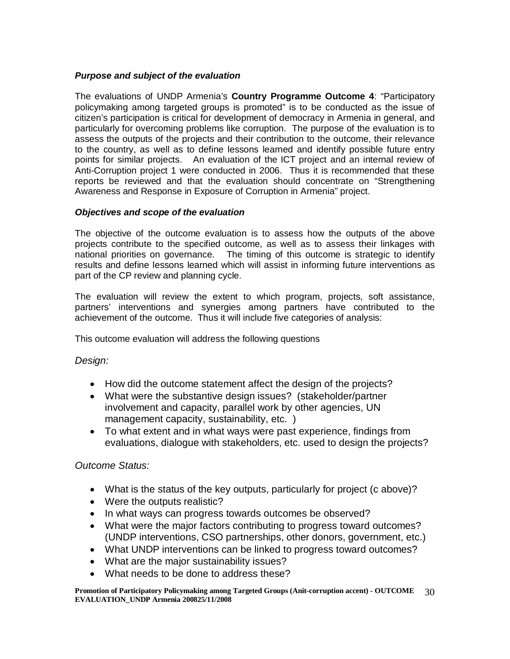## *Purpose and subject of the evaluation*

The evaluations of UNDP Armenia's **Country Programme Outcome 4**: "Participatory policymaking among targeted groups is promoted" is to be conducted as the issue of citizen's participation is critical for development of democracy in Armenia in general, and particularly for overcoming problems like corruption. The purpose of the evaluation is to assess the outputs of the projects and their contribution to the outcome, their relevance to the country, as well as to define lessons learned and identify possible future entry points for similar projects. An evaluation of the ICT project and an internal review of Anti-Corruption project 1 were conducted in 2006. Thus it is recommended that these reports be reviewed and that the evaluation should concentrate on "Strengthening Awareness and Response in Exposure of Corruption in Armenia" project.

## *Objectives and scope of the evaluation*

The objective of the outcome evaluation is to assess how the outputs of the above projects contribute to the specified outcome, as well as to assess their linkages with national priorities on governance. The timing of this outcome is strategic to identify results and define lessons learned which will assist in informing future interventions as part of the CP review and planning cycle.

The evaluation will review the extent to which program, projects, soft assistance, partners' interventions and synergies among partners have contributed to the achievement of the outcome. Thus it will include five categories of analysis:

This outcome evaluation will address the following questions

## *Design:*

- How did the outcome statement affect the design of the projects?
- What were the substantive design issues? (stakeholder/partner involvement and capacity, parallel work by other agencies, UN management capacity, sustainability, etc. )
- To what extent and in what ways were past experience, findings from evaluations, dialogue with stakeholders, etc. used to design the projects?

## *Outcome Status:*

- What is the status of the key outputs, particularly for project (c above)?
- Were the outputs realistic?
- In what ways can progress towards outcomes be observed?
- What were the major factors contributing to progress toward outcomes? (UNDP interventions, CSO partnerships, other donors, government, etc.)
- What UNDP interventions can be linked to progress toward outcomes?
- What are the major sustainability issues?
- What needs to be done to address these?

**Promotion of Participatory Policymaking among Targeted Groups (Anit-corruption accent) - OUTCOME** 30 **EVALUATION\_UNDP Armenia 200825/11/2008**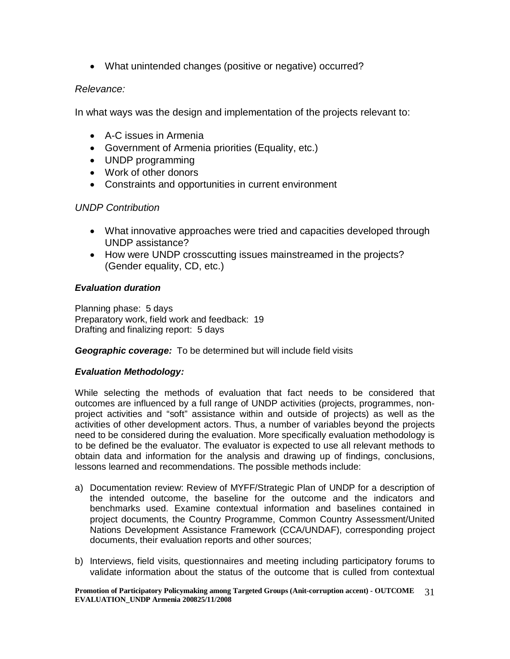• What unintended changes (positive or negative) occurred?

## *Relevance:*

In what ways was the design and implementation of the projects relevant to:

- A-C issues in Armenia
- Government of Armenia priorities (Equality, etc.)
- UNDP programming
- Work of other donors
- Constraints and opportunities in current environment

## *UNDP Contribution*

- What innovative approaches were tried and capacities developed through UNDP assistance?
- How were UNDP crosscutting issues mainstreamed in the projects? (Gender equality, CD, etc.)

## *Evaluation duration*

Planning phase: 5 days Preparatory work, field work and feedback: 19 Drafting and finalizing report: 5 days

## *Geographic coverage:* To be determined but will include field visits

## *Evaluation Methodology:*

While selecting the methods of evaluation that fact needs to be considered that outcomes are influenced by a full range of UNDP activities (projects, programmes, nonproject activities and "soft" assistance within and outside of projects) as well as the activities of other development actors. Thus, a number of variables beyond the projects need to be considered during the evaluation. More specifically evaluation methodology is to be defined be the evaluator. The evaluator is expected to use all relevant methods to obtain data and information for the analysis and drawing up of findings, conclusions, lessons learned and recommendations. The possible methods include:

- a) Documentation review: Review of MYFF/Strategic Plan of UNDP for a description of the intended outcome, the baseline for the outcome and the indicators and benchmarks used. Examine contextual information and baselines contained in project documents, the Country Programme, Common Country Assessment/United Nations Development Assistance Framework (CCA/UNDAF), corresponding project documents, their evaluation reports and other sources;
- b) Interviews, field visits, questionnaires and meeting including participatory forums to validate information about the status of the outcome that is culled from contextual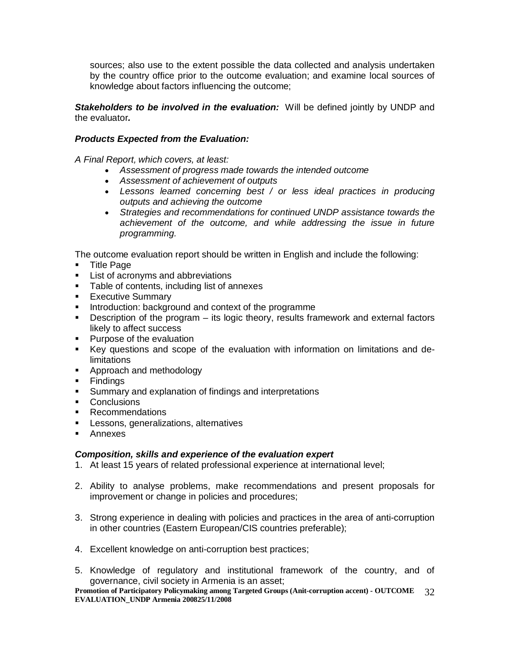sources; also use to the extent possible the data collected and analysis undertaken by the country office prior to the outcome evaluation; and examine local sources of knowledge about factors influencing the outcome;

**Stakeholders to be involved in the evaluation:** Will be defined jointly by UNDP and the evaluator*.*

## *Products Expected from the Evaluation:*

*A Final Report, which covers, at least:*

- x *Assessment of progress made towards the intended outcome*
- x *Assessment of achievement of outputs*
- x *Lessons learned concerning best / or less ideal practices in producing outputs and achieving the outcome*
- x *Strategies and recommendations for continued UNDP assistance towards the achievement of the outcome, and while addressing the issue in future programming.*

The outcome evaluation report should be written in English and include the following:

- **Title Page**
- **List of acronyms and abbreviations**
- **Table of contents, including list of annexes**
- **Executive Summary**
- Introduction: background and context of the programme
- Description of the program its logic theory, results framework and external factors likely to affect success
- **Purpose of the evaluation**
- Key questions and scope of the evaluation with information on limitations and delimitations
- **Approach and methodology**
- **Findings**
- Summary and explanation of findings and interpretations
- **Conclusions**
- Recommendations
- **Lessons, generalizations, alternatives**
- Annexes

#### *Composition, skills and experience of the evaluation expert*

- 1. At least 15 years of related professional experience at international level;
- 2. Ability to analyse problems, make recommendations and present proposals for improvement or change in policies and procedures;
- 3. Strong experience in dealing with policies and practices in the area of anti-corruption in other countries (Eastern European/CIS countries preferable);
- 4. Excellent knowledge on anti-corruption best practices;
- 5. Knowledge of regulatory and institutional framework of the country, and of governance, civil society in Armenia is an asset;

**Promotion of Participatory Policymaking among Targeted Groups (Anit-corruption accent) - OUTCOME** 32 **EVALUATION\_UNDP Armenia 200825/11/2008**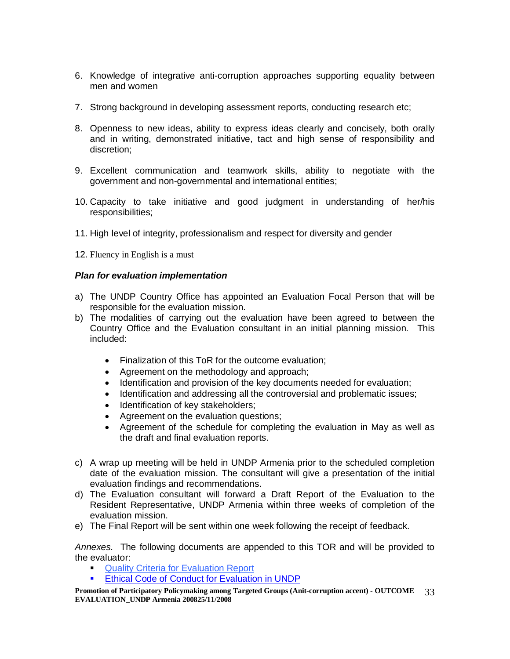- 6. Knowledge of integrative anti-corruption approaches supporting equality between men and women
- 7. Strong background in developing assessment reports, conducting research etc;
- 8. Openness to new ideas, ability to express ideas clearly and concisely, both orally and in writing, demonstrated initiative, tact and high sense of responsibility and discretion;
- 9. Excellent communication and teamwork skills, ability to negotiate with the government and non-governmental and international entities;
- 10. Capacity to take initiative and good judgment in understanding of her/his responsibilities;
- 11. High level of integrity, professionalism and respect for diversity and gender
- 12. Fluency in English is a must

#### *Plan for evaluation implementation*

- a) The UNDP Country Office has appointed an Evaluation Focal Person that will be responsible for the evaluation mission.
- b) The modalities of carrying out the evaluation have been agreed to between the Country Office and the Evaluation consultant in an initial planning mission. This included:
	- Finalization of this ToR for the outcome evaluation;
	- Agreement on the methodology and approach;
	- Identification and provision of the key documents needed for evaluation;
	- Identification and addressing all the controversial and problematic issues;
	- Identification of key stakeholders;
	- Agreement on the evaluation questions;
	- Agreement of the schedule for completing the evaluation in May as well as the draft and final evaluation reports.
- c) A wrap up meeting will be held in UNDP Armenia prior to the scheduled completion date of the evaluation mission. The consultant will give a presentation of the initial evaluation findings and recommendations.
- d) The Evaluation consultant will forward a Draft Report of the Evaluation to the Resident Representative, UNDP Armenia within three weeks of completion of the evaluation mission.
- e) The Final Report will be sent within one week following the receipt of feedback.

*Annexes.* The following documents are appended to this TOR and will be provided to the evaluator:

- **Cauality Criteria for Evaluation Report**
- Ethical Code of Conduct for Evaluation in UNDP

**Promotion of Participatory Policymaking among Targeted Groups (Anit-corruption accent) - OUTCOME** 33 **EVALUATION\_UNDP Armenia 200825/11/2008**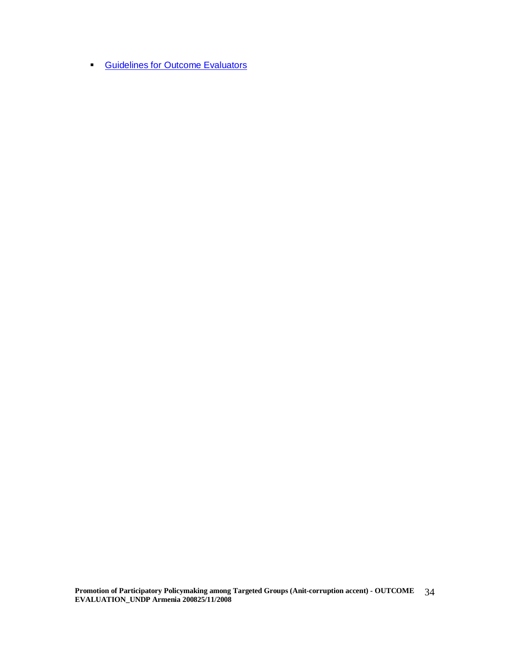**Guidelines for Outcome Evaluators**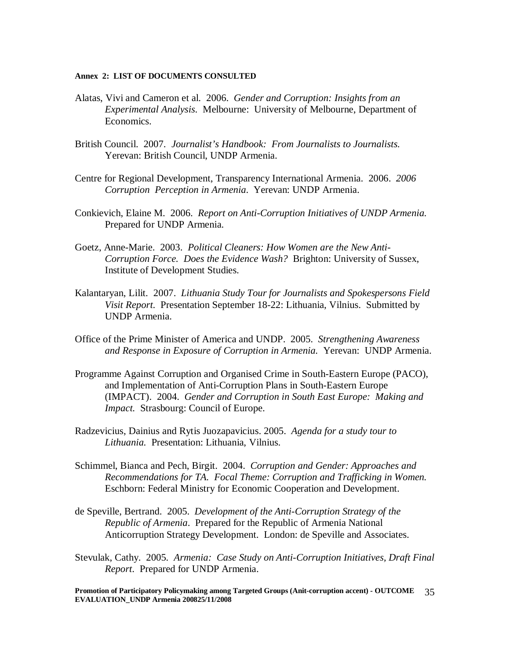#### **Annex 2: LIST OF DOCUMENTS CONSULTED**

- Alatas, Vivi and Cameron et al. 2006. *Gender and Corruption: Insights from an Experimental Analysis*. Melbourne: University of Melbourne, Department of Economics.
- British Council. 2007. *Journalist's Handbook: From Journalists to Journalists.* Yerevan: British Council, UNDP Armenia.
- Centre for Regional Development, Transparency International Armenia. 2006. *2006 Corruption Perception in Armenia*. Yerevan: UNDP Armenia.
- Conkievich, Elaine M. 2006. *Report on Anti-Corruption Initiatives of UNDP Armenia.* Prepared for UNDP Armenia.
- Goetz, Anne-Marie. 2003. *Political Cleaners: How Women are the New Anti-Corruption Force. Does the Evidence Wash?* Brighton: University of Sussex, Institute of Development Studies.
- Kalantaryan, Lilit. 2007. *Lithuania Study Tour for Journalists and Spokespersons Field Visit Report*. Presentation September 18-22: Lithuania, Vilnius. Submitted by UNDP Armenia.
- Office of the Prime Minister of America and UNDP. 2005. *Strengthening Awareness and Response in Exposure of Corruption in Armenia.* Yerevan: UNDP Armenia.
- Programme Against Corruption and Organised Crime in South-Eastern Europe (PACO), and Implementation of Anti-Corruption Plans in South-Eastern Europe (IMPACT). 2004. *Gender and Corruption in South East Europe: Making and Impact.* Strasbourg: Council of Europe.
- Radzevicius, Dainius and Rytis Juozapavicius. 2005. *Agenda for a study tour to Lithuania.* Presentation: Lithuania, Vilnius.
- Schimmel, Bianca and Pech, Birgit. 2004. *Corruption and Gender: Approaches and Recommendations for TA. Focal Theme: Corruption and Trafficking in Women.* Eschborn: Federal Ministry for Economic Cooperation and Development.
- de Speville, Bertrand. 2005. *Development of the Anti-Corruption Strategy of the Republic of Armenia*. Prepared for the Republic of Armenia National Anticorruption Strategy Development. London: de Speville and Associates.
- Stevulak, Cathy. 2005*. Armenia: Case Study on Anti-Corruption Initiatives, Draft Final Report*. Prepared for UNDP Armenia.

**Promotion of Participatory Policymaking among Targeted Groups (Anit-corruption accent) - OUTCOME** 35 **EVALUATION\_UNDP Armenia 200825/11/2008**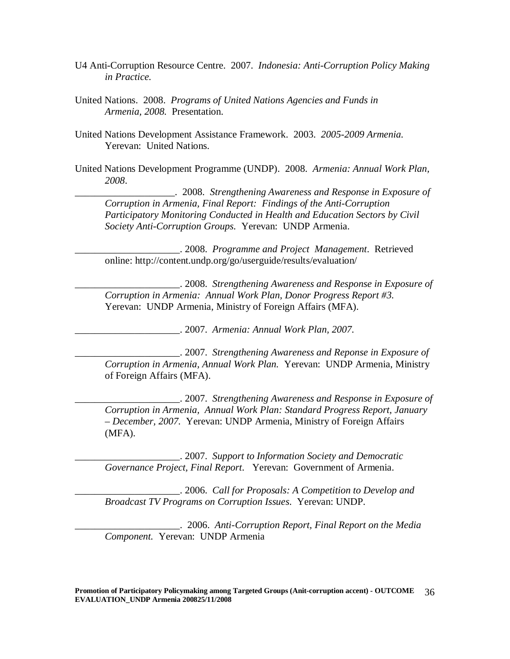- U4 Anti-Corruption Resource Centre. 2007. *Indonesia: Anti-Corruption Policy Making in Practice.*
- United Nations. 2008. *Programs of United Nations Agencies and Funds in Armenia, 2008.* Presentation.
- United Nations Development Assistance Framework. 2003. *2005-2009 Armenia.* Yerevan: United Nations.
- United Nations Development Programme (UNDP). 2008. *Armenia: Annual Work Plan, 2008*.

\_\_\_\_\_\_\_\_\_\_\_\_\_\_\_\_\_\_\_\_. 2008. *Strengthening Awareness and Response in Exposure of Corruption in Armenia, Final Report: Findings of the Anti-Corruption Participatory Monitoring Conducted in Health and Education Sectors by Civil Society Anti-Corruption Groups.* Yerevan: UNDP Armenia.

\_\_\_\_\_\_\_\_\_\_\_\_\_\_\_\_\_\_\_\_\_. 2008. *Programme and Project Management*. Retrieved online:<http://content.undp.org/go/userguide/results/evaluation/>

\_\_\_\_\_\_\_\_\_\_\_\_\_\_\_\_\_\_\_\_\_. 2008. *Strengthening Awareness and Response in Exposure of Corruption in Armenia: Annual Work Plan, Donor Progress Report #3.* Yerevan: UNDP Armenia, Ministry of Foreign Affairs (MFA).

\_\_\_\_\_\_\_\_\_\_\_\_\_\_\_\_\_\_\_\_\_. 2007. *Armenia: Annual Work Plan, 2007.*

\_\_\_\_\_\_\_\_\_\_\_\_\_\_\_\_\_\_\_\_\_. 2007. *Strengthening Awareness and Reponse in Exposure of Corruption in Armenia, Annual Work Plan.* Yerevan: UNDP Armenia, Ministry of Foreign Affairs (MFA).

\_\_\_\_\_\_\_\_\_\_\_\_\_\_\_\_\_\_\_\_\_. 2007. *Strengthening Awareness and Response in Exposure of Corruption in Armenia, Annual Work Plan: Standard Progress Report, January – December, 2007.* Yerevan: UNDP Armenia, Ministry of Foreign Affairs (MFA).

\_\_\_\_\_\_\_\_\_\_\_\_\_\_\_\_\_\_\_\_\_. 2007. *Support to Information Society and Democratic Governance Project, Final Report*. Yerevan: Government of Armenia.

\_\_\_\_\_\_\_\_\_\_\_\_\_\_\_\_\_\_\_\_\_. 2006. *Call for Proposals: A Competition to Develop and Broadcast TV Programs on Corruption Issues*. Yerevan: UNDP.

\_\_\_\_\_\_\_\_\_\_\_\_\_\_\_\_\_\_\_\_\_. 2006. *Anti-Corruption Report, Final Report on the Media Component.* Yerevan: UNDP Armenia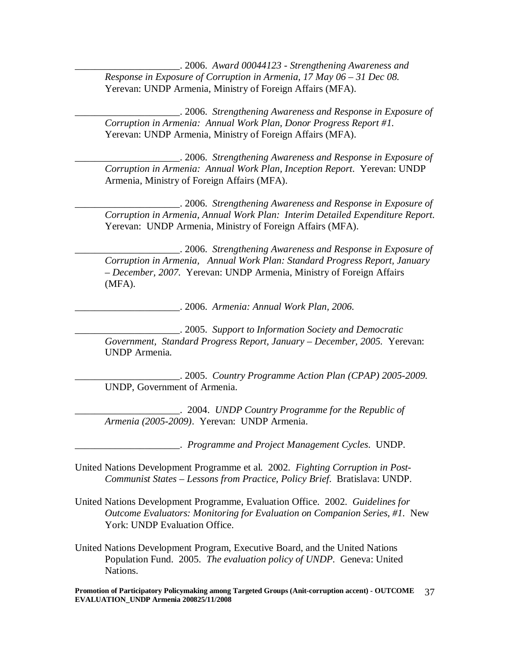\_\_\_\_\_\_\_\_\_\_\_\_\_\_\_\_\_\_\_\_\_. 2006. *Award 00044123 - Strengthening Awareness and Response in Exposure of Corruption in Armenia, 17 May 06 – 31 Dec 08.* Yerevan: UNDP Armenia, Ministry of Foreign Affairs (MFA).

\_\_\_\_\_\_\_\_\_\_\_\_\_\_\_\_\_\_\_\_\_. 2006. *Strengthening Awareness and Response in Exposure of Corruption in Armenia: Annual Work Plan, Donor Progress Report #1.* Yerevan: UNDP Armenia, Ministry of Foreign Affairs (MFA).

\_\_\_\_\_\_\_\_\_\_\_\_\_\_\_\_\_\_\_\_\_. 2006. *Strengthening Awareness and Response in Exposure of Corruption in Armenia: Annual Work Plan, Inception Report*. Yerevan: UNDP Armenia, Ministry of Foreign Affairs (MFA).

\_\_\_\_\_\_\_\_\_\_\_\_\_\_\_\_\_\_\_\_\_. 2006. *Strengthening Awareness and Response in Exposure of Corruption in Armenia, Annual Work Plan: Interim Detailed Expenditure Report*. Yerevan: UNDP Armenia, Ministry of Foreign Affairs (MFA).

\_\_\_\_\_\_\_\_\_\_\_\_\_\_\_\_\_\_\_\_\_. 2006. *Strengthening Awareness and Response in Exposure of Corruption in Armenia, Annual Work Plan: Standard Progress Report, January – December, 2007.* Yerevan: UNDP Armenia, Ministry of Foreign Affairs (MFA).

\_\_\_\_\_\_\_\_\_\_\_\_\_\_\_\_\_\_\_\_\_. 2006. *Armenia: Annual Work Plan, 2006.*

\_\_\_\_\_\_\_\_\_\_\_\_\_\_\_\_\_\_\_\_\_. 2005. *Support to Information Society and Democratic Government, Standard Progress Report, January – December, 2005.* Yerevan: UNDP Armenia.

\_\_\_\_\_\_\_\_\_\_\_\_\_\_\_\_\_\_\_\_\_. 2005. *Country Programme Action Plan (CPAP) 2005-2009.* UNDP, Government of Armenia.

\_\_\_\_\_\_\_\_\_\_\_\_\_\_\_\_\_\_\_\_\_. 2004. *UNDP Country Programme for the Republic of Armenia (2005-2009)*. Yerevan: UNDP Armenia.

\_\_\_\_\_\_\_\_\_\_\_\_\_\_\_\_\_\_\_\_\_. *Programme and Project Management Cycles*. UNDP.

- United Nations Development Programme et al. 2002. *Fighting Corruption in Post-Communist States – Lessons from Practice, Policy Brief*. Bratislava: UNDP.
- United Nations Development Programme, Evaluation Office. 2002. *Guidelines for Outcome Evaluators: Monitoring for Evaluation on Companion Series, #1.* New York: UNDP Evaluation Office.
- United Nations Development Program, Executive Board, and the United Nations Population Fund. 2005. *The evaluation policy of UNDP*. Geneva: United Nations.

**Promotion of Participatory Policymaking among Targeted Groups (Anit-corruption accent) - OUTCOME** 37 **EVALUATION\_UNDP Armenia 200825/11/2008**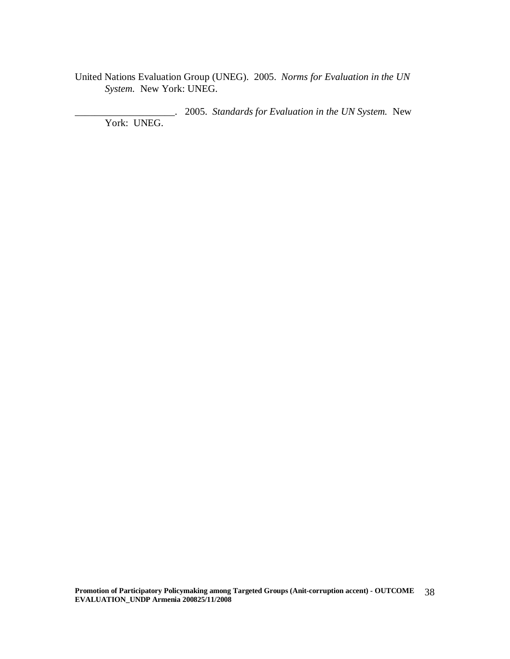United Nations Evaluation Group (UNEG). 2005. *Norms for Evaluation in the UN System.* New York: UNEG.

\_\_\_\_\_\_\_\_\_\_\_\_\_\_\_\_\_\_\_\_. 2005. *Standards for Evaluation in the UN System.* New York: UNEG.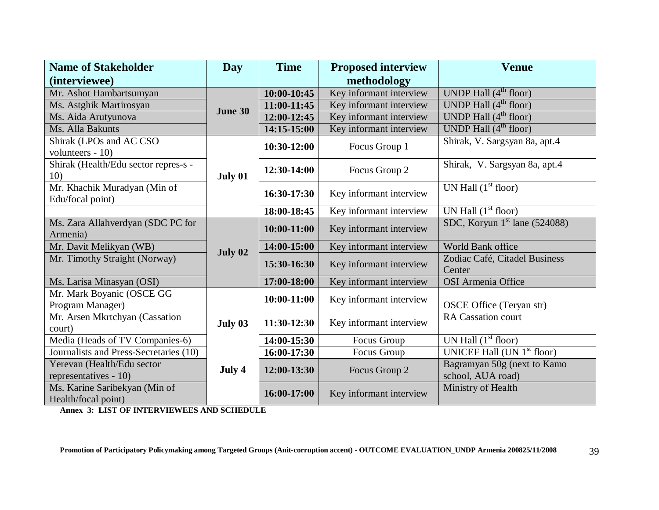| <b>Name of Stakeholder</b>                           | <b>Day</b> | <b>Time</b>   | <b>Proposed interview</b> | <b>Venue</b>                                     |
|------------------------------------------------------|------------|---------------|---------------------------|--------------------------------------------------|
| (interviewee)                                        |            |               | methodology               |                                                  |
| Mr. Ashot Hambartsumyan                              |            | 10:00-10:45   | Key informant interview   | UNDP Hall $(4th floor)$                          |
| Ms. Astghik Martirosyan                              | June 30    | 11:00-11:45   | Key informant interview   | UNDP Hall $(4^{th}$ floor)                       |
| Ms. Aida Arutyunova                                  |            | 12:00-12:45   | Key informant interview   | UNDP Hall $(4th$ floor)                          |
| Ms. Alla Bakunts                                     |            | 14:15-15:00   | Key informant interview   | UNDP Hall $(4^{th}$ floor)                       |
| Shirak (LPOs and AC CSO<br>volunteers - 10)          |            | 10:30-12:00   | Focus Group 1             | Shirak, V. Sargsyan 8a, apt.4                    |
| Shirak (Health/Edu sector repres-s -<br>10)          | July 01    | 12:30-14:00   | Focus Group 2             | Shirak, V. Sargsyan 8a, apt.4                    |
| Mr. Khachik Muradyan (Min of<br>Edu/focal point)     |            | 16:30-17:30   | Key informant interview   | UN Hall $(1st$ floor)                            |
|                                                      |            | 18:00-18:45   | Key informant interview   | UN Hall $(1st$ floor)                            |
| Ms. Zara Allahverdyan (SDC PC for<br>Armenia)        |            | 10:00-11:00   | Key informant interview   | SDC, Koryun $1st$ lane (524088)                  |
| Mr. Davit Melikyan (WB)                              | July 02    | 14:00-15:00   | Key informant interview   | World Bank office                                |
| Mr. Timothy Straight (Norway)                        |            | 15:30-16:30   | Key informant interview   | Zodiac Café, Citadel Business<br>Center          |
| Ms. Larisa Minasyan (OSI)                            |            | 17:00-18:00   | Key informant interview   | <b>OSI</b> Armenia Office                        |
| Mr. Mark Boyanic (OSCE GG<br>Program Manager)        |            | $10:00-11:00$ | Key informant interview   | OSCE Office (Teryan str)                         |
| Mr. Arsen Mkrtchyan (Cassation<br>court)             | July 03    | 11:30-12:30   | Key informant interview   | <b>RA Cassation court</b>                        |
| Media (Heads of TV Companies-6)                      |            | 14:00-15:30   | Focus Group               | UN Hall $(1st floor)$                            |
| Journalists and Press-Secretaries (10)               |            | 16:00-17:30   | Focus Group               | UNICEF Hall (UN 1 <sup>st</sup> floor)           |
| Yerevan (Health/Edu sector<br>representatives - 10)  | July 4     | 12:00-13:30   | Focus Group 2             | Bagramyan 50g (next to Kamo<br>school, AUA road) |
| Ms. Karine Saribekyan (Min of<br>Health/focal point) |            | 16:00-17:00   | Key informant interview   | Ministry of Health                               |

**Annex 3: LIST OF INTERVIEWEES AND SCHEDULE**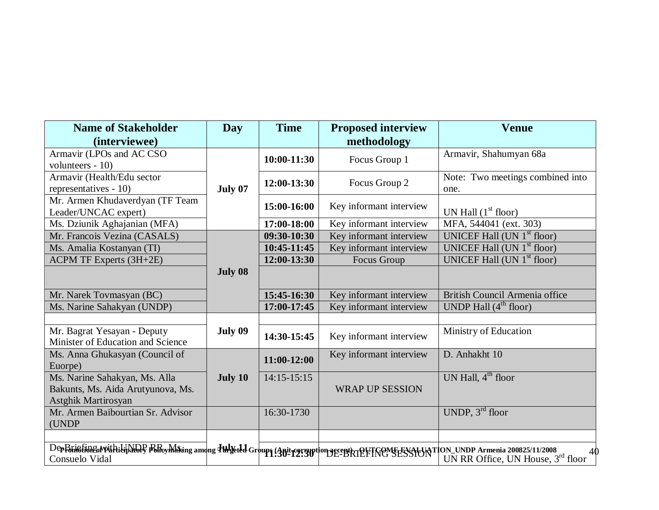| <b>Name of Stakeholder</b>                                                                                                             | Day     | <b>Time</b>   | <b>Proposed interview</b> | <b>Venue</b>                           |
|----------------------------------------------------------------------------------------------------------------------------------------|---------|---------------|---------------------------|----------------------------------------|
| (interviewee)                                                                                                                          |         |               | methodology               |                                        |
| Armavir (LPOs and AC CSO                                                                                                               |         | $10:00-11:30$ | Focus Group 1             | Armavir, Shahumyan 68a                 |
| volunteers - 10)                                                                                                                       |         |               |                           |                                        |
| Armavir (Health/Edu sector                                                                                                             |         | 12:00-13:30   | Focus Group 2             | Note: Two meetings combined into       |
| representatives - 10)                                                                                                                  | July 07 |               |                           | one.                                   |
| Mr. Armen Khudaverdyan (TF Team                                                                                                        |         | 15:00-16:00   | Key informant interview   |                                        |
| Leader/UNCAC expert)                                                                                                                   |         |               |                           | UN Hall $(1st$ floor)                  |
| Ms. Dziunik Aghajanian (MFA)                                                                                                           |         | 17:00-18:00   | Key informant interview   | MFA, 544041 (ext. 303)                 |
| Mr. Francois Vezina (CASALS)                                                                                                           |         | 09:30-10:30   | Key informant interview   | UNICEF Hall $(UN 1st floor)$           |
| Ms. Amalia Kostanyan (TI)                                                                                                              |         | 10:45-11:45   | Key informant interview   | UNICEF Hall (UN 1 <sup>st</sup> floor) |
| ACPM TF Experts (3H+2E)                                                                                                                |         | 12:00-13:30   | Focus Group               | UNICEF Hall $(UN 1st floor)$           |
|                                                                                                                                        | July 08 |               |                           |                                        |
|                                                                                                                                        |         |               |                           |                                        |
| Mr. Narek Tovmasyan (BC)                                                                                                               |         | 15:45-16:30   | Key informant interview   | British Council Armenia office         |
| Ms. Narine Sahakyan (UNDP)                                                                                                             |         | 17:00-17:45   | Key informant interview   | UNDP Hall $(4th floor)$                |
|                                                                                                                                        |         |               |                           |                                        |
| Mr. Bagrat Yesayan - Deputy                                                                                                            | July 09 | 14:30-15:45   | Key informant interview   | Ministry of Education                  |
| Minister of Education and Science                                                                                                      |         |               |                           |                                        |
| Ms. Anna Ghukasyan (Council of                                                                                                         |         | 11:00-12:00   | Key informant interview   | D. Anhakht 10                          |
| Euorpe)                                                                                                                                |         |               |                           |                                        |
| Ms. Narine Sahakyan, Ms. Alla                                                                                                          | July 10 | $14:15-15:15$ |                           | UN Hall, $4th$ floor                   |
| Bakunts, Ms. Aida Arutyunova, Ms.                                                                                                      |         |               | <b>WRAP UP SESSION</b>    |                                        |
| Astghik Martirosyan                                                                                                                    |         |               |                           |                                        |
| Mr. Armen Baibourtian Sr. Advisor                                                                                                      |         | 16:30-1730    |                           | UNDP, $3^{rd}$ floor                   |
| (UNDP                                                                                                                                  |         |               |                           |                                        |
|                                                                                                                                        |         |               |                           |                                        |
| DepBriefing Withitipatory Policymaking among Turgeted Groups (Apit corruption accept) TO THROME ENALUATION UNDP Armenia 200825/11/2008 |         |               |                           |                                        |
| Consuelo Vidal                                                                                                                         |         |               |                           | UN RR Office, UN House, 3rd floor      |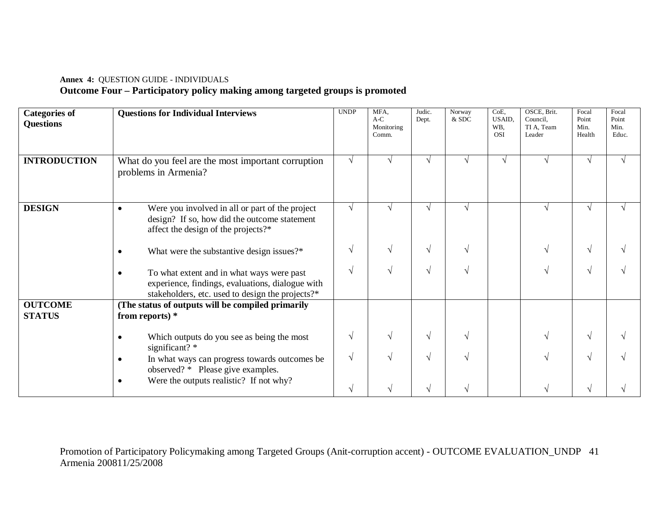# **Annex 4:** QUESTION GUIDE - INDIVIDUALS

## **Outcome Four – Participatory policy making among targeted groups is promoted**

| <b>Categories of</b><br><b>Questions</b> | <b>Questions for Individual Interviews</b>                                                                                                          | <b>UNDP</b> | MFA,<br>$A-C$<br>Monitoring<br>Comm. | Judic.<br>Dept. | Norway<br>& SDC | CoE.<br>USAID.<br>WB.<br><b>OSI</b> | OSCE, Brit.<br>Council,<br>TI A, Team<br>Leader | Focal<br>Point<br>Min.<br>Health | Focal<br>Point<br>Min.<br>Educ. |
|------------------------------------------|-----------------------------------------------------------------------------------------------------------------------------------------------------|-------------|--------------------------------------|-----------------|-----------------|-------------------------------------|-------------------------------------------------|----------------------------------|---------------------------------|
| <b>INTRODUCTION</b>                      | What do you feel are the most important corruption<br>problems in Armenia?                                                                          | V           | $\sqrt{ }$                           | N               |                 | $\sqrt{ }$                          | $\sqrt{ }$                                      | $\mathcal{L}$                    |                                 |
| <b>DESIGN</b>                            | Were you involved in all or part of the project<br>$\bullet$<br>design? If so, how did the outcome statement<br>affect the design of the projects?* | V           | $\sqrt{ }$                           | $\sqrt{ }$      |                 |                                     | V                                               | $\sqrt{ }$                       |                                 |
|                                          | What were the substantive design issues?*                                                                                                           | V           | $\sim$                               | $\sqrt{ }$      |                 |                                     | $\sqrt{}$                                       | $\mathcal{L}$                    |                                 |
|                                          | To what extent and in what ways were past<br>experience, findings, evaluations, dialogue with<br>stakeholders, etc. used to design the projects?*   | $\sqrt{ }$  |                                      | $\sqrt{ }$      |                 |                                     | $\sqrt{ }$                                      | $\mathcal{L}$                    |                                 |
| <b>OUTCOME</b><br><b>STATUS</b>          | (The status of outputs will be compiled primarily<br>from reports) $*$                                                                              |             |                                      |                 |                 |                                     |                                                 |                                  |                                 |
|                                          | Which outputs do you see as being the most<br>significant? *                                                                                        | $\sqrt{ }$  | $\sqrt{ }$                           | $\sqrt{ }$      |                 |                                     | $\sqrt{ }$                                      | $\mathcal{L}$                    |                                 |
|                                          | In what ways can progress towards outcomes be<br>observed? * Please give examples.                                                                  | $\sqrt{ }$  | $\sim$                               | V               |                 |                                     | V                                               | $\mathcal{L}$                    |                                 |
|                                          | Were the outputs realistic? If not why?                                                                                                             | V           |                                      |                 |                 |                                     |                                                 |                                  |                                 |

Promotion of Participatory Policymaking among Targeted Groups (Anit-corruption accent) - OUTCOME EVALUATION\_UNDP 41 Armenia 200811/25/2008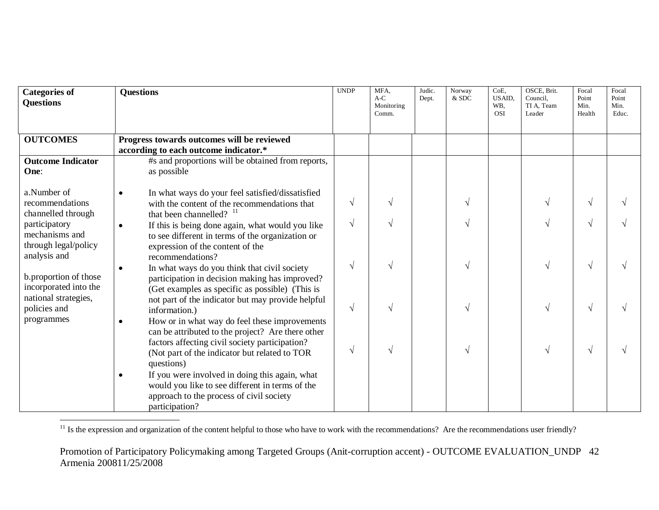| <b>Categories of</b><br><b>Questions</b>                       | <b>Questions</b>                                                                                                                                                      | <b>UNDP</b> | MFA,<br>$A-C$<br>Monitoring<br>Comm. | Judic.<br>Dept. | Norway<br>& SDC | CoE,<br>USAID,<br>WB.<br><b>OSI</b> | OSCE, Brit.<br>Council,<br>TI A. Team<br>Leader | Focal<br>Point<br>Min.<br>Health | Focal<br>Point<br>Min.<br>Educ. |
|----------------------------------------------------------------|-----------------------------------------------------------------------------------------------------------------------------------------------------------------------|-------------|--------------------------------------|-----------------|-----------------|-------------------------------------|-------------------------------------------------|----------------------------------|---------------------------------|
| <b>OUTCOMES</b>                                                | Progress towards outcomes will be reviewed<br>according to each outcome indicator.*                                                                                   |             |                                      |                 |                 |                                     |                                                 |                                  |                                 |
| <b>Outcome Indicator</b><br>One:                               | #s and proportions will be obtained from reports,<br>as possible                                                                                                      |             |                                      |                 |                 |                                     |                                                 |                                  |                                 |
| a.Number of<br>recommendations<br>channelled through           | In what ways do your feel satisfied/dissatisfied<br>with the content of the recommendations that<br>that been channelled? <sup>11</sup>                               | $\sqrt{ }$  | $\mathcal{N}$                        |                 |                 |                                     | $\sqrt{ }$                                      | V                                |                                 |
| participatory<br>mechanisms and<br>through legal/policy        | If this is being done again, what would you like<br>to see different in terms of the organization or<br>expression of the content of the                              | $\sqrt{ }$  | $\mathcal{A}$                        |                 |                 |                                     |                                                 | $\mathcal{N}$                    |                                 |
| analysis and<br>b.proportion of those<br>incorporated into the | recommendations?<br>In what ways do you think that civil society<br>participation in decision making has improved?<br>(Get examples as specific as possible) (This is | $\sqrt{ }$  | $\mathcal{N}$                        |                 |                 |                                     | V                                               | $\mathcal{N}$                    |                                 |
| national strategies,<br>policies and<br>programmes             | not part of the indicator but may provide helpful<br>information.)<br>How or in what way do feel these improvements                                                   | $\sqrt{ }$  | $\mathcal{L}$                        |                 |                 |                                     | $\sqrt{ }$                                      | $\sqrt{ }$                       |                                 |
|                                                                | can be attributed to the project? Are there other<br>factors affecting civil society participation?<br>(Not part of the indicator but related to TOR<br>questions)    |             | $\mathcal{N}$                        |                 |                 |                                     | $\sqrt{ }$                                      | V                                |                                 |
|                                                                | If you were involved in doing this again, what<br>would you like to see different in terms of the<br>approach to the process of civil society<br>participation?       |             |                                      |                 |                 |                                     |                                                 |                                  |                                 |

 $\frac{11}{11}$  Is the expression and organization of the content helpful to those who have to work with the recommendations? Are the recommendations user friendly?

Promotion of Participatory Policymaking among Targeted Groups (Anit-corruption accent) - OUTCOME EVALUATION\_UNDP 42 Armenia 200811/25/2008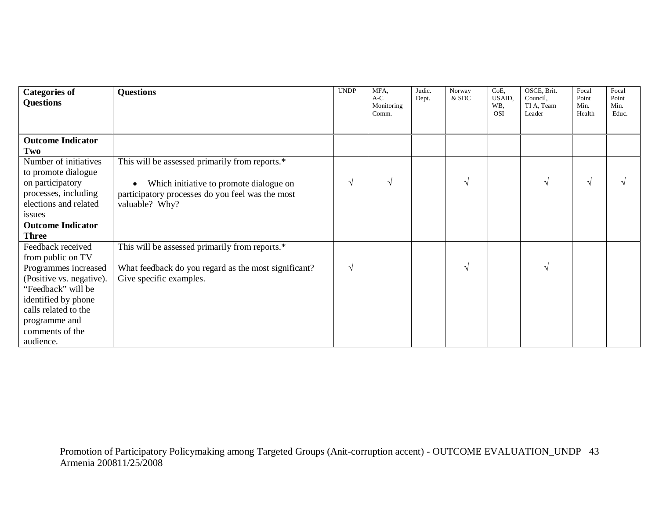| <b>Categories of</b><br><b>Questions</b>                                                                                                                                                                         | <b>Questions</b>                                                                                                                                                | <b>UNDP</b> | MFA,<br>$A-C$<br>Monitoring<br>Comm. | Judic.<br>Dept. | Norway<br>& SDC | CoE.<br>USAID,<br>WB.<br><b>OSI</b> | OSCE, Brit.<br>Council,<br>TI A, Team<br>Leader | Focal<br>Point<br>Min.<br>Health | Focal<br>Point<br>Min.<br>Educ. |
|------------------------------------------------------------------------------------------------------------------------------------------------------------------------------------------------------------------|-----------------------------------------------------------------------------------------------------------------------------------------------------------------|-------------|--------------------------------------|-----------------|-----------------|-------------------------------------|-------------------------------------------------|----------------------------------|---------------------------------|
| <b>Outcome Indicator</b>                                                                                                                                                                                         |                                                                                                                                                                 |             |                                      |                 |                 |                                     |                                                 |                                  |                                 |
| Two                                                                                                                                                                                                              |                                                                                                                                                                 |             |                                      |                 |                 |                                     |                                                 |                                  |                                 |
| Number of initiatives<br>to promote dialogue<br>on participatory<br>processes, including<br>elections and related<br>issues                                                                                      | This will be assessed primarily from reports.*<br>Which initiative to promote dialogue on<br>participatory processes do you feel was the most<br>valuable? Why? | $\sqrt{ }$  | $\sqrt{ }$                           |                 |                 |                                     | $\sqrt{ }$                                      | $\sqrt{ }$                       |                                 |
| <b>Outcome Indicator</b><br><b>Three</b>                                                                                                                                                                         |                                                                                                                                                                 |             |                                      |                 |                 |                                     |                                                 |                                  |                                 |
| Feedback received<br>from public on TV<br>Programmes increased<br>(Positive vs. negative).<br>"Feedback" will be<br>identified by phone<br>calls related to the<br>programme and<br>comments of the<br>audience. | This will be assessed primarily from reports.*<br>What feedback do you regard as the most significant?<br>Give specific examples.                               | $\sqrt{ }$  |                                      |                 |                 |                                     | $\sqrt{ }$                                      |                                  |                                 |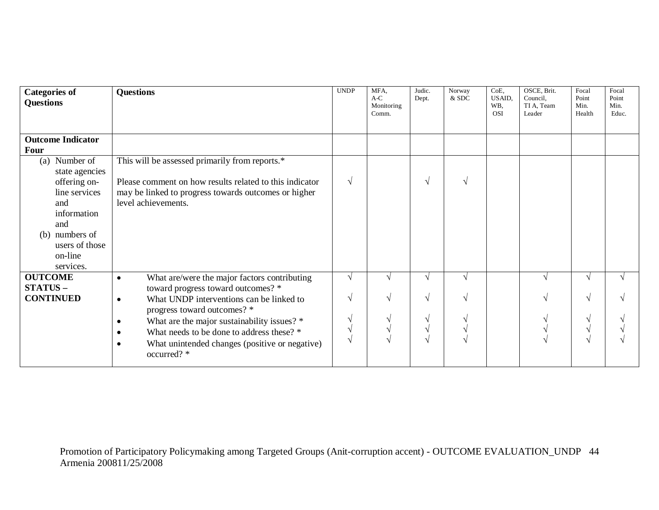| <b>Categories of</b><br><b>Questions</b>                                                                                                                     | <b>Questions</b>                                                                                                                                                                                                                                                                                                                                     | <b>UNDP</b>                 | MFA,<br>$A-C$<br>Monitoring<br>Comm. | Judic.<br>Dept.                                                    | Norway<br>& SDC                                                      | CoE.<br>USAID,<br>WB,<br>OSI | OSCE, Brit.<br>Council.<br>TI A, Team<br>Leader | Focal<br>Point<br>Min.<br>Health                             | Focal<br>Point<br>Min.<br>Educ. |
|--------------------------------------------------------------------------------------------------------------------------------------------------------------|------------------------------------------------------------------------------------------------------------------------------------------------------------------------------------------------------------------------------------------------------------------------------------------------------------------------------------------------------|-----------------------------|--------------------------------------|--------------------------------------------------------------------|----------------------------------------------------------------------|------------------------------|-------------------------------------------------|--------------------------------------------------------------|---------------------------------|
| <b>Outcome Indicator</b><br>Four                                                                                                                             |                                                                                                                                                                                                                                                                                                                                                      |                             |                                      |                                                                    |                                                                      |                              |                                                 |                                                              |                                 |
| Number of<br>(a)<br>state agencies<br>offering on-<br>line services<br>and<br>information<br>and<br>(b) numbers of<br>users of those<br>on-line<br>services. | This will be assessed primarily from reports.*<br>Please comment on how results related to this indicator<br>may be linked to progress towards outcomes or higher<br>level achievements.                                                                                                                                                             | $\sqrt{ }$                  |                                      | $\sqrt{ }$                                                         | $\sqrt{ }$                                                           |                              |                                                 |                                                              |                                 |
| <b>OUTCOME</b><br>STATUS-<br><b>CONTINUED</b>                                                                                                                | What are/were the major factors contributing<br>$\bullet$<br>toward progress toward outcomes? *<br>What UNDP interventions can be linked to<br>$\bullet$<br>progress toward outcomes? *<br>What are the major sustainability issues? *<br>What needs to be done to address these? *<br>What unintended changes (positive or negative)<br>occurred? * | $\mathcal{N}$<br>$\sqrt{ }$ | $\Delta$<br>$\mathcal{N}$            | $\sqrt{ }$<br>$\sqrt{ }$<br>$\sqrt{ }$<br>$\sqrt{ }$<br>$\sqrt{ }$ | $\sqrt{ }$<br>$\sqrt{ }$<br>$\mathcal N$<br>$\sqrt{ }$<br>$\sqrt{ }$ |                              | $\mathcal{N}$                                   | $\sqrt{ }$<br>$\sqrt{ }$<br>V<br>$\mathcal{A}$<br>$\sqrt{ }$ |                                 |

Promotion of Participatory Policymaking among Targeted Groups (Anit-corruption accent) - OUTCOME EVALUATION\_UNDP Armenia 200811/25/2008 44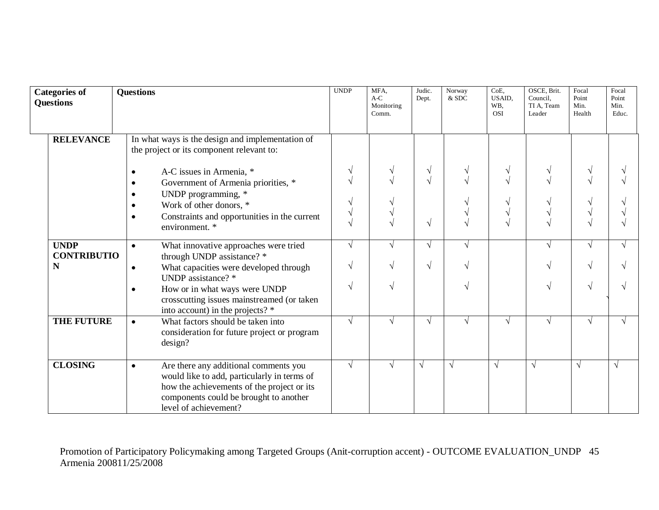| <b>Categories of</b><br><b>Questions</b> | <b>Questions</b>                                                                                                                                                                                                                                                                              | <b>UNDP</b>                                      | MFA,<br>$A-C$<br>Monitoring<br>Comm. | Judic.<br>Dept. | Norway<br>& SDC | CoE,<br>USAID,<br>WB,<br><b>OSI</b> | OSCE, Brit.<br>Council,<br>TI A, Team<br>Leader | Focal<br>Point<br>Min.<br>Health             | Focal<br>Point<br>Min.<br>Educ. |
|------------------------------------------|-----------------------------------------------------------------------------------------------------------------------------------------------------------------------------------------------------------------------------------------------------------------------------------------------|--------------------------------------------------|--------------------------------------|-----------------|-----------------|-------------------------------------|-------------------------------------------------|----------------------------------------------|---------------------------------|
| <b>RELEVANCE</b>                         | In what ways is the design and implementation of<br>the project or its component relevant to:                                                                                                                                                                                                 |                                                  |                                      |                 |                 |                                     |                                                 |                                              |                                 |
|                                          | A-C issues in Armenia, *<br>Government of Armenia priorities, *<br>UNDP programming, *<br>Work of other donors, *<br>$\bullet$<br>Constraints and opportunities in the current<br>$\bullet$<br>environment. *                                                                                 | V<br>$\sqrt{ }$<br>V<br>$\sqrt{ }$<br>$\sqrt{ }$ | V                                    |                 |                 | V                                   |                                                 | $\sqrt{ }$                                   |                                 |
| <b>UNDP</b><br><b>CONTRIBUTIO</b><br>N   | What innovative approaches were tried<br>$\bullet$<br>through UNDP assistance? *<br>What capacities were developed through<br>$\bullet$<br>UNDP assistance? *<br>How or in what ways were UNDP<br>$\bullet$<br>crosscutting issues mainstreamed (or taken<br>into account) in the projects? * | $\sqrt{ }$<br>$\sqrt{ }$<br>$\sqrt{ }$           | V                                    | $\sqrt{ }$      | $\sqrt{ }$      |                                     | $\sqrt{ }$<br>$\mathcal{L}$                     | $\sqrt{ }$<br>$\mathcal{N}$<br>$\mathcal{N}$ |                                 |
| THE FUTURE                               | What factors should be taken into<br>$\bullet$<br>consideration for future project or program<br>design?                                                                                                                                                                                      | $\sqrt{ }$                                       | $\sqrt{}$                            |                 | $\sqrt{ }$      | $\sqrt{ }$                          | $\sqrt{ }$                                      | V                                            |                                 |
| <b>CLOSING</b>                           | Are there any additional comments you<br>$\bullet$<br>would like to add, particularly in terms of<br>how the achievements of the project or its<br>components could be brought to another<br>level of achievement?                                                                            | $\sqrt{ }$                                       | $\sqrt{}$                            | $\sqrt{ }$      | $\sqrt{ }$      | $\sqrt{ }$                          | $\sqrt{ }$                                      | $\sqrt{ }$                                   | $\sqrt{ }$                      |

Promotion of Participatory Policymaking among Targeted Groups (Anit-corruption accent) - OUTCOME EVALUATION\_UNDP Armenia 200811/25/2008 45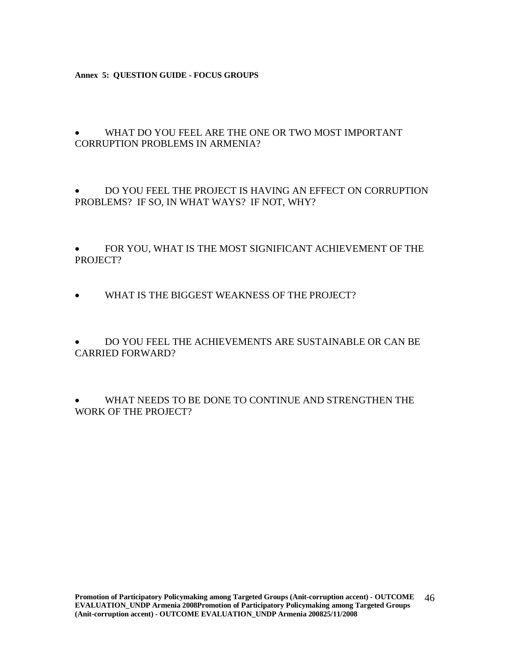**Annex 5: QUESTION GUIDE - FOCUS GROUPS**

x WHAT DO YOU FEEL ARE THE ONE OR TWO MOST IMPORTANT CORRUPTION PROBLEMS IN ARMENIA?

**• DO YOU FEEL THE PROJECT IS HAVING AN EFFECT ON CORRUPTION** PROBLEMS? IF SO, IN WHAT WAYS? IF NOT, WHY?

 $\bullet$  FOR YOU, WHAT IS THE MOST SIGNIFICANT ACHIEVEMENT OF THE PROJECT?

x WHAT IS THE BIGGEST WEAKNESS OF THE PROJECT?

 $\bullet$  DO YOU FEEL THE ACHIEVEMENTS ARE SUSTAINABLE OR CAN BE CARRIED FORWARD?

x WHAT NEEDS TO BE DONE TO CONTINUE AND STRENGTHEN THE WORK OF THE PROJECT?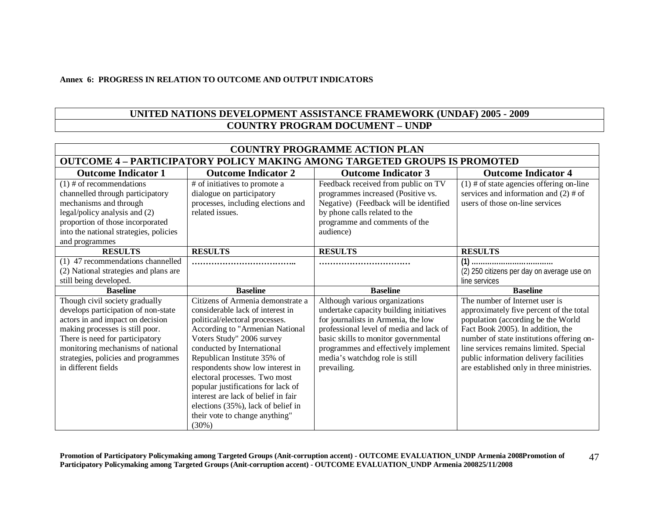#### **Annex 6: PROGRESS IN RELATION TO OUTCOME AND OUTPUT INDICATORS**

## **UNITED NATIONS DEVELOPMENT ASSISTANCE FRAMEWORK (UNDAF) 2005 - 2009 COUNTRY PROGRAM DOCUMENT – UNDP**

| <b>COUNTRY PROGRAMME ACTION PLAN</b>                                                                                                                                                                                                                                               |                                                                                                                                                                                                                                                                                                                                                                                                                                                                            |                                                                                                                                                                                                                                                                                              |                                                                                                                                                                                                                                                                                                                                    |  |  |  |  |  |  |
|------------------------------------------------------------------------------------------------------------------------------------------------------------------------------------------------------------------------------------------------------------------------------------|----------------------------------------------------------------------------------------------------------------------------------------------------------------------------------------------------------------------------------------------------------------------------------------------------------------------------------------------------------------------------------------------------------------------------------------------------------------------------|----------------------------------------------------------------------------------------------------------------------------------------------------------------------------------------------------------------------------------------------------------------------------------------------|------------------------------------------------------------------------------------------------------------------------------------------------------------------------------------------------------------------------------------------------------------------------------------------------------------------------------------|--|--|--|--|--|--|
|                                                                                                                                                                                                                                                                                    |                                                                                                                                                                                                                                                                                                                                                                                                                                                                            | <b>OUTCOME 4 - PARTICIPATORY POLICY MAKING AMONG TARGETED GROUPS IS PROMOTED</b>                                                                                                                                                                                                             |                                                                                                                                                                                                                                                                                                                                    |  |  |  |  |  |  |
| <b>Outcome Indicator 1</b>                                                                                                                                                                                                                                                         | <b>Outcome Indicator 2</b>                                                                                                                                                                                                                                                                                                                                                                                                                                                 | <b>Outcome Indicator 3</b>                                                                                                                                                                                                                                                                   | <b>Outcome Indicator 4</b>                                                                                                                                                                                                                                                                                                         |  |  |  |  |  |  |
| $(1)$ # of recommendations<br>channelled through participatory<br>mechanisms and through<br>legal/policy analysis and (2)<br>proportion of those incorporated<br>into the national strategies, policies<br>and programmes                                                          | # of initiatives to promote a<br>dialogue on participatory<br>processes, including elections and<br>related issues.                                                                                                                                                                                                                                                                                                                                                        | Feedback received from public on TV<br>programmes increased (Positive vs.<br>Negative) (Feedback will be identified<br>by phone calls related to the<br>programme and comments of the<br>audience)                                                                                           | $(1)$ # of state agencies offering on-line<br>services and information and $(2)$ # of<br>users of those on-line services                                                                                                                                                                                                           |  |  |  |  |  |  |
| <b>RESULTS</b>                                                                                                                                                                                                                                                                     | <b>RESULTS</b>                                                                                                                                                                                                                                                                                                                                                                                                                                                             | <b>RESULTS</b>                                                                                                                                                                                                                                                                               | <b>RESULTS</b>                                                                                                                                                                                                                                                                                                                     |  |  |  |  |  |  |
| (1) 47 recommendations channelled<br>(2) National strategies and plans are<br>still being developed.                                                                                                                                                                               |                                                                                                                                                                                                                                                                                                                                                                                                                                                                            |                                                                                                                                                                                                                                                                                              | (2) 250 citizens per day on average use on<br>line services                                                                                                                                                                                                                                                                        |  |  |  |  |  |  |
| <b>Baseline</b>                                                                                                                                                                                                                                                                    | <b>Baseline</b>                                                                                                                                                                                                                                                                                                                                                                                                                                                            | <b>Baseline</b>                                                                                                                                                                                                                                                                              | <b>Baseline</b>                                                                                                                                                                                                                                                                                                                    |  |  |  |  |  |  |
| Though civil society gradually<br>develops participation of non-state<br>actors in and impact on decision<br>making processes is still poor.<br>There is need for participatory<br>monitoring mechanisms of national<br>strategies, policies and programmes<br>in different fields | Citizens of Armenia demonstrate a<br>considerable lack of interest in<br>political/electoral processes.<br>According to "Armenian National<br>Voters Study" 2006 survey<br>conducted by International<br>Republican Institute 35% of<br>respondents show low interest in<br>electoral processes. Two most<br>popular justifications for lack of<br>interest are lack of belief in fair<br>elections (35%), lack of belief in<br>their vote to change anything"<br>$(30\%)$ | Although various organizations<br>undertake capacity building initiatives<br>for journalists in Armenia, the low<br>professional level of media and lack of<br>basic skills to monitor governmental<br>programmes and effectively implement<br>media's watchdog role is still<br>prevailing. | The number of Internet user is<br>approximately five percent of the total<br>population (according be the World<br>Fact Book 2005). In addition, the<br>number of state institutions offering on-<br>line services remains limited. Special<br>public information delivery facilities<br>are established only in three ministries. |  |  |  |  |  |  |

**Promotion of Participatory Policymaking among Targeted Groups (Anit-corruption accent) - OUTCOME EVALUATION\_UNDP Armenia 2008Promotion of Participatory Policymaking among Targeted Groups (Anit-corruption accent) - OUTCOME EVALUATION\_UNDP Armenia 200825/11/2008** 47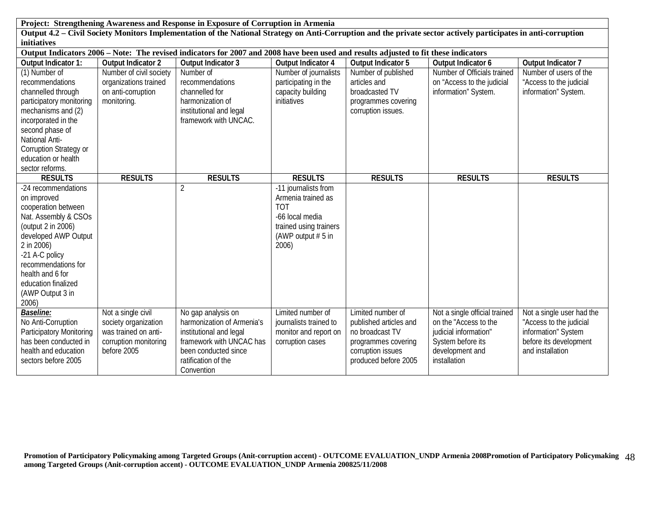**Project: Strengthening Awareness and Response in Exposure of Corruption in Armenia**

**Output 4.2 – Civil Society Monitors Implementation of the National Strategy on Anti-Corruption and the private sector actively participates in anti-corruption initiatives**

|                          |                         | Output Indicators 2006 – Note: The revised indicators for 2007 and 2008 have been used and results adjusted to fit these indicators |                        |                        |                               |                           |
|--------------------------|-------------------------|-------------------------------------------------------------------------------------------------------------------------------------|------------------------|------------------------|-------------------------------|---------------------------|
| Output Indicator 1:      | Output Indicator 2      | Output Indicator 3                                                                                                                  | Output Indicator 4     | Output Indicator 5     | Output Indicator 6            | Output Indicator 7        |
| (1) Number of            | Number of civil society | Number of                                                                                                                           | Number of journalists  | Number of published    | Number of Officials trained   | Number of users of the    |
| recommendations          | organizations trained   | recommendations                                                                                                                     | participating in the   | articles and           | on "Access to the judicial    | "Access to the judicial   |
| channelled through       | on anti-corruption      | channelled for                                                                                                                      | capacity building      | broadcasted TV         | information" System.          | information" System.      |
| participatory monitoring | monitoring.             | harmonization of                                                                                                                    | initiatives            | programmes covering    |                               |                           |
| mechanisms and (2)       |                         | institutional and legal                                                                                                             |                        | corruption issues.     |                               |                           |
| incorporated in the      |                         | framework with UNCAC.                                                                                                               |                        |                        |                               |                           |
| second phase of          |                         |                                                                                                                                     |                        |                        |                               |                           |
| National Anti-           |                         |                                                                                                                                     |                        |                        |                               |                           |
| Corruption Strategy or   |                         |                                                                                                                                     |                        |                        |                               |                           |
| education or health      |                         |                                                                                                                                     |                        |                        |                               |                           |
| sector reforms.          |                         |                                                                                                                                     |                        |                        |                               |                           |
| <b>RESULTS</b>           | <b>RESULTS</b>          | <b>RESULTS</b>                                                                                                                      | <b>RESULTS</b>         | <b>RESULTS</b>         | <b>RESULTS</b>                | <b>RESULTS</b>            |
| -24 recommendations      |                         | $\overline{2}$                                                                                                                      | -11 journalists from   |                        |                               |                           |
| on improved              |                         |                                                                                                                                     | Armenia trained as     |                        |                               |                           |
| cooperation between      |                         |                                                                                                                                     | <b>TOT</b>             |                        |                               |                           |
| Nat. Assembly & CSOs     |                         |                                                                                                                                     | -66 local media        |                        |                               |                           |
| (output 2 in 2006)       |                         |                                                                                                                                     | trained using trainers |                        |                               |                           |
| developed AWP Output     |                         |                                                                                                                                     | (AWP output $# 5$ in   |                        |                               |                           |
| 2 in 2006)               |                         |                                                                                                                                     | 2006)                  |                        |                               |                           |
| -21 A-C policy           |                         |                                                                                                                                     |                        |                        |                               |                           |
| recommendations for      |                         |                                                                                                                                     |                        |                        |                               |                           |
| health and 6 for         |                         |                                                                                                                                     |                        |                        |                               |                           |
| education finalized      |                         |                                                                                                                                     |                        |                        |                               |                           |
| (AWP Output 3 in         |                         |                                                                                                                                     |                        |                        |                               |                           |
| 2006)                    |                         |                                                                                                                                     |                        |                        |                               |                           |
| Baseline:                | Not a single civil      | No gap analysis on                                                                                                                  | Limited number of      | Limited number of      | Not a single official trained | Not a single user had the |
| No Anti-Corruption       | society organization    | harmonization of Armenia's                                                                                                          | journalists trained to | published articles and | on the "Access to the         | "Access to the judicial   |
| Participatory Monitoring | was trained on anti-    | institutional and legal                                                                                                             | monitor and report on  | no broadcast TV        | judicial information"         | information" System       |
| has been conducted in    | corruption monitoring   | framework with UNCAC has                                                                                                            | corruption cases       | programmes covering    | System before its             | before its development    |
| health and education     | before 2005             | been conducted since                                                                                                                |                        | corruption issues      | development and               | and installation          |
| sectors before 2005      |                         | ratification of the                                                                                                                 |                        | produced before 2005   | installation                  |                           |
|                          |                         | Convention                                                                                                                          |                        |                        |                               |                           |

**Promotion of Participatory Policymaking among Targeted Groups (Anit-corruption accent) - OUTCOME EVALUATION\_UNDP Armenia 2008Promotion of Participatory Policymaking** 48 **among Targeted Groups (Anit-corruption accent) - OUTCOME EVALUATION\_UNDP Armenia 200825/11/2008**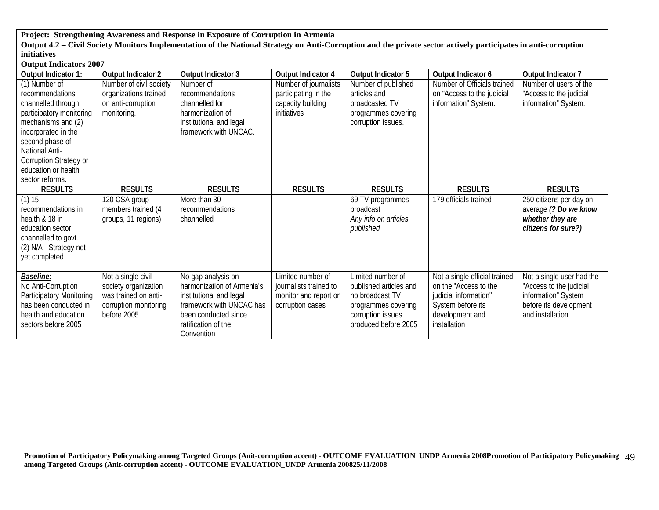#### **Project: Strengthening Awareness and Response in Exposure of Corruption in Armenia**

#### **Output 4.2 – Civil Society Monitors Implementation of the National Strategy on Anti-Corruption and the private sector actively participates in anti-corruption initiatives**

| Output Indicator 7<br>Number of users of the           |
|--------------------------------------------------------|
|                                                        |
|                                                        |
| "Access to the judicial                                |
| information" System.                                   |
|                                                        |
|                                                        |
|                                                        |
|                                                        |
|                                                        |
|                                                        |
|                                                        |
|                                                        |
| 250 citizens per day on                                |
| average (? Do we know                                  |
|                                                        |
| citizens for sure?)                                    |
|                                                        |
|                                                        |
|                                                        |
|                                                        |
| Not a single user had the                              |
| "Access to the judicial                                |
| information" System                                    |
| before its development                                 |
|                                                        |
|                                                        |
| <b>RESULTS</b><br>whether they are<br>and installation |

**Promotion of Participatory Policymaking among Targeted Groups (Anit-corruption accent) - OUTCOME EVALUATION\_UNDP Armenia 2008Promotion of Participatory Policymaking** Promotion of Participatory Policymaking among Targeted Groups (Anit-corruption accent) - OUTCOME EVALUATION\_UNDP Armenia 2008Promotion of Participatory Policymaking *49*<br>among Targeted Groups (Anit-corruption accent) - OUT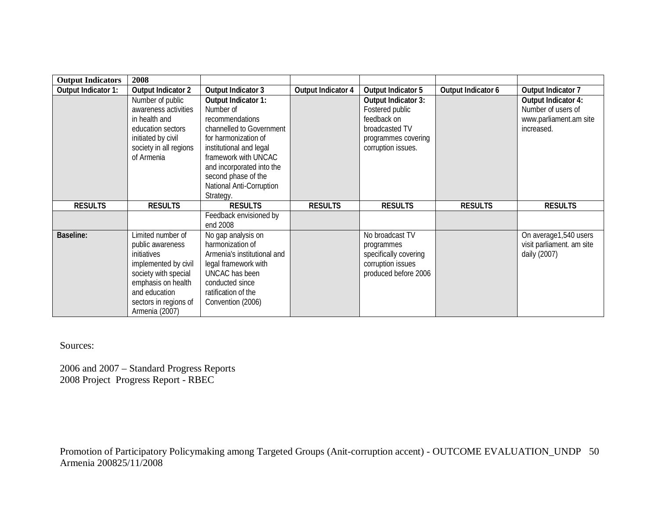| <b>Output Indicators</b> | 2008                                                                                                                                                                                   |                                                                                                                                                                                                                                                         |                    |                                                                                                                      |                    |                                                                                   |
|--------------------------|----------------------------------------------------------------------------------------------------------------------------------------------------------------------------------------|---------------------------------------------------------------------------------------------------------------------------------------------------------------------------------------------------------------------------------------------------------|--------------------|----------------------------------------------------------------------------------------------------------------------|--------------------|-----------------------------------------------------------------------------------|
| Output Indicator 1:      | Output Indicator 2                                                                                                                                                                     | Output Indicator 3                                                                                                                                                                                                                                      | Output Indicator 4 | Output Indicator 5                                                                                                   | Output Indicator 6 | Output Indicator 7                                                                |
|                          | Number of public<br>awareness activities<br>in health and<br>education sectors<br>initiated by civil<br>society in all regions<br>of Armenia                                           | Output Indicator 1:<br>Number of<br>recommendations<br>channelled to Government<br>for harmonization of<br>institutional and legal<br>framework with UNCAC<br>and incorporated into the<br>second phase of the<br>National Anti-Corruption<br>Strategy. |                    | Output Indicator 3:<br>Fostered public<br>feedback on<br>broadcasted TV<br>programmes covering<br>corruption issues. |                    | Output Indicator 4:<br>Number of users of<br>www.parliament.am site<br>increased. |
| <b>RESULTS</b>           | <b>RESULTS</b>                                                                                                                                                                         | <b>RESULTS</b>                                                                                                                                                                                                                                          | <b>RESULTS</b>     | <b>RESULTS</b>                                                                                                       | <b>RESULTS</b>     | <b>RESULTS</b>                                                                    |
|                          |                                                                                                                                                                                        | Feedback envisioned by<br>end 2008                                                                                                                                                                                                                      |                    |                                                                                                                      |                    |                                                                                   |
| Baseline:                | Limited number of<br>public awareness<br>initiatives<br>implemented by civil<br>society with special<br>emphasis on health<br>and education<br>sectors in regions of<br>Armenia (2007) | No gap analysis on<br>harmonization of<br>Armenia's institutional and<br>legal framework with<br>UNCAC has been<br>conducted since<br>ratification of the<br>Convention (2006)                                                                          |                    | No broadcast TV<br>programmes<br>specifically covering<br>corruption issues<br>produced before 2006                  |                    | On average1,540 users<br>visit parliament. am site<br>daily (2007)                |

Sources:

2006 and 2007 – Standard Progress Reports 2008 Project Progress Report - RBEC

Promotion of Participatory Policymaking among Targeted Groups (Anit-corruption accent) - OUTCOME EVALUATION\_UNDP 50 Armenia 200825/11/2008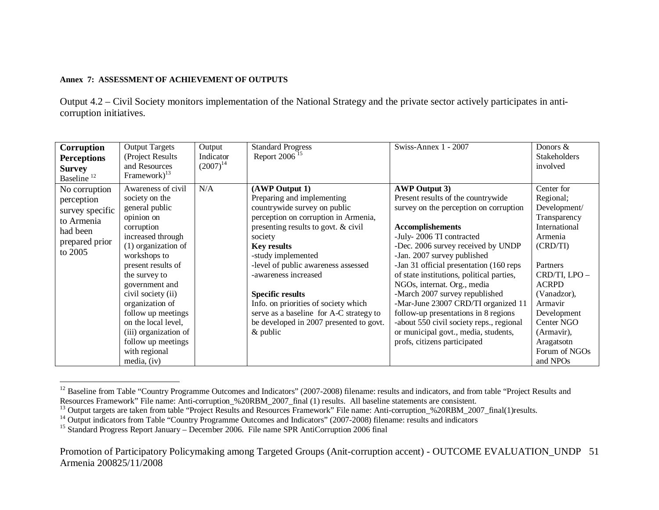#### **Annex 7: ASSESSMENT OF ACHIEVEMENT OF OUTPUTS**

Output 4.2 – Civil Society monitors implementation of the National Strategy and the private sector actively participates in anticorruption initiatives.

| <b>Corruption</b><br><b>Perceptions</b><br><b>Survey</b><br>Baseline <sup>12</sup>                    | <b>Output Targets</b><br>(Project Results)<br>and Resources<br>Framework $)^{13}$                                                                                                                                                                                                                                                                                            | Output<br>Indicator<br>$(2007)^{14}$ | <b>Standard Progress</b><br>Report 2006 <sup>15</sup>                                                                                                                                                                                                                                                                                                                                                                                                    | Swiss-Annex 1 - 2007                                                                                                                                                                                                                                                                                                                                                                                                                                                                                                                                                                         | Donors $&$<br><b>Stakeholders</b><br>involved                                                                                                                                                                                                                |
|-------------------------------------------------------------------------------------------------------|------------------------------------------------------------------------------------------------------------------------------------------------------------------------------------------------------------------------------------------------------------------------------------------------------------------------------------------------------------------------------|--------------------------------------|----------------------------------------------------------------------------------------------------------------------------------------------------------------------------------------------------------------------------------------------------------------------------------------------------------------------------------------------------------------------------------------------------------------------------------------------------------|----------------------------------------------------------------------------------------------------------------------------------------------------------------------------------------------------------------------------------------------------------------------------------------------------------------------------------------------------------------------------------------------------------------------------------------------------------------------------------------------------------------------------------------------------------------------------------------------|--------------------------------------------------------------------------------------------------------------------------------------------------------------------------------------------------------------------------------------------------------------|
| No corruption<br>perception<br>survey specific<br>to Armenia<br>had been<br>prepared prior<br>to 2005 | Awareness of civil<br>society on the<br>general public<br>opinion on<br>corruption<br>increased through<br>(1) organization of<br>workshops to<br>present results of<br>the survey to<br>government and<br>civil society (ii)<br>organization of<br>follow up meetings<br>on the local level,<br>(iii) organization of<br>follow up meetings<br>with regional<br>media, (iv) | N/A                                  | (AWP Output 1)<br>Preparing and implementing<br>countrywide survey on public<br>perception on corruption in Armenia,<br>presenting results to govt. & civil<br>society<br><b>Key results</b><br>-study implemented<br>-level of public awareness assessed<br>-awareness increased<br><b>Specific results</b><br>Info. on priorities of society which<br>serve as a baseline for A-C strategy to<br>be developed in 2007 presented to govt.<br>$&$ public | <b>AWP Output 3)</b><br>Present results of the countrywide<br>survey on the perception on corruption<br><b>Accomplishements</b><br>-July-2006 TI contracted<br>-Dec. 2006 survey received by UNDP<br>-Jan. 2007 survey published<br>-Jan 31 official presentation (160 reps<br>of state institutions, political parties,<br>NGOs, internat. Org., media<br>-March 2007 survey republished<br>-Mar-June 23007 CRD/TI organized 11<br>follow-up presentations in 8 regions<br>-about 550 civil society reps., regional<br>or municipal govt., media, students,<br>profs, citizens participated | Center for<br>Regional;<br>Development/<br>Transparency<br>International<br>Armenia<br>(CRD/TI)<br>Partners<br>CRD/TI, LPO -<br><b>ACRPD</b><br>(Vanadzor),<br>Armavir<br>Development<br>Center NGO<br>(Armavir),<br>Aragatsotn<br>Forum of NGOs<br>and NPOs |

<sup>&</sup>lt;sup>12</sup> Baseline from Table "Country Programme Outcomes and Indicators" (2007-2008) filename: results and indicators, and from table "Project Results and Resources Framework" File name: Anti-corruption\_%20RBM\_2007\_final (1) results. All baseline statements are consistent.

<sup>&</sup>lt;sup>13</sup> Output targets are taken from table "Project Results and Resources Framework" File name: Anti-corruption\_%20RBM\_2007\_final(1)results.

<sup>&</sup>lt;sup>14</sup> Output indicators from Table "Country Programme Outcomes and Indicators" (2007-2008) filename: results and indicators

<sup>&</sup>lt;sup>15</sup> Standard Progress Report January – December 2006. File name SPR AntiCorruption 2006 final

Promotion of Participatory Policymaking among Targeted Groups (Anit-corruption accent) - OUTCOME EVALUATION\_UNDP 51 Armenia 200825/11/2008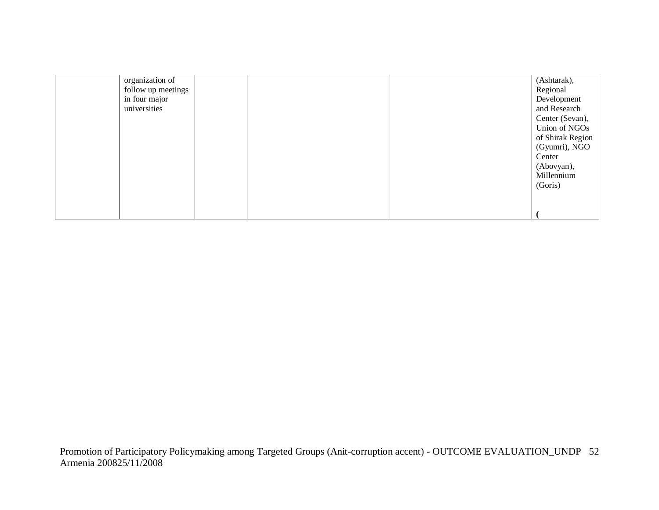| organization of<br>follow up meetings<br>in four major<br>universities |  | (Ashtarak),<br>Regional<br>Development<br>and Research<br>Center (Sevan),<br>Union of NGOs<br>of Shirak Region<br>(Gyumri), NGO<br>Center<br>(Abovyan),<br>Millennium<br>(Goris) |
|------------------------------------------------------------------------|--|----------------------------------------------------------------------------------------------------------------------------------------------------------------------------------|
|                                                                        |  |                                                                                                                                                                                  |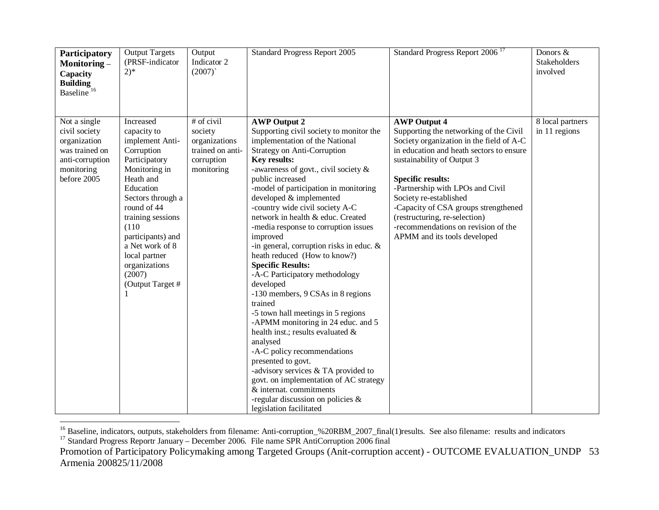| Participatory<br>Monitoring -<br>Capacity<br><b>Building</b><br>Baseline <sup>16</sup>                          | <b>Output Targets</b><br>(PRSF-indicator<br>$2)$ *                                                                                                                                                                                                                                                   | Output<br>Indicator 2<br>(2007)                                                        | <b>Standard Progress Report 2005</b>                                                                                                                                                                                                                                                                                                                                                                                                                                                                                                                                                                                                                                                                                                                                                                                                                                                                                                                                                          | Standard Progress Report 2006 <sup>17</sup>                                                                                                                                                                                                                                                                                                                                                                                   | Donors &<br><b>Stakeholders</b><br>involved |
|-----------------------------------------------------------------------------------------------------------------|------------------------------------------------------------------------------------------------------------------------------------------------------------------------------------------------------------------------------------------------------------------------------------------------------|----------------------------------------------------------------------------------------|-----------------------------------------------------------------------------------------------------------------------------------------------------------------------------------------------------------------------------------------------------------------------------------------------------------------------------------------------------------------------------------------------------------------------------------------------------------------------------------------------------------------------------------------------------------------------------------------------------------------------------------------------------------------------------------------------------------------------------------------------------------------------------------------------------------------------------------------------------------------------------------------------------------------------------------------------------------------------------------------------|-------------------------------------------------------------------------------------------------------------------------------------------------------------------------------------------------------------------------------------------------------------------------------------------------------------------------------------------------------------------------------------------------------------------------------|---------------------------------------------|
| Not a single<br>civil society<br>organization<br>was trained on<br>anti-corruption<br>monitoring<br>before 2005 | Increased<br>capacity to<br>implement Anti-<br>Corruption<br>Participatory<br>Monitoring in<br>Heath and<br>Education<br>Sectors through a<br>round of 44<br>training sessions<br>(110)<br>participants) and<br>a Net work of 8<br>local partner<br>organizations<br>(2007)<br>(Output Target #<br>1 | # of civil<br>society<br>organizations<br>trained on anti-<br>corruption<br>monitoring | <b>AWP Output 2</b><br>Supporting civil society to monitor the<br>implementation of the National<br><b>Strategy on Anti-Corruption</b><br>Key results:<br>-awareness of govt., civil society &<br>public increased<br>-model of participation in monitoring<br>developed & implemented<br>-country wide civil society A-C<br>network in health & educ. Created<br>-media response to corruption issues<br>improved<br>-in general, corruption risks in educ. $\&$<br>heath reduced (How to know?)<br><b>Specific Results:</b><br>-A-C Participatory methodology<br>developed<br>-130 members, 9 CSAs in 8 regions<br>trained<br>-5 town hall meetings in 5 regions<br>-APMM monitoring in 24 educ. and 5<br>health inst.; results evaluated &<br>analysed<br>-A-C policy recommendations<br>presented to govt.<br>-advisory services & TA provided to<br>govt. on implementation of AC strategy<br>& internat. commitments<br>-regular discussion on policies $\&$<br>legislation facilitated | <b>AWP Output 4</b><br>Supporting the networking of the Civil<br>Society organization in the field of A-C<br>in education and heath sectors to ensure<br>sustainability of Output 3<br><b>Specific results:</b><br>-Partnership with LPOs and Civil<br>Society re-established<br>-Capacity of CSA groups strengthened<br>(restructuring, re-selection)<br>-recommendations on revision of the<br>APMM and its tools developed | 8 local partners<br>in 11 regions           |

<sup>&</sup>lt;sup>16</sup> Baseline, indicators, outputs, stakeholders from filename: Anti-corruption\_%20RBM\_2007\_final(1)results. See also filename: results and indicators

<sup>&</sup>lt;sup>17</sup> Standard Progress Reportr January – December 2006. File name SPR AntiCorruption 2006 final

Promotion of Participatory Policymaking among Targeted Groups (Anit-corruption accent) - OUTCOME EVALUATION\_UNDP 53 Armenia 200825/11/2008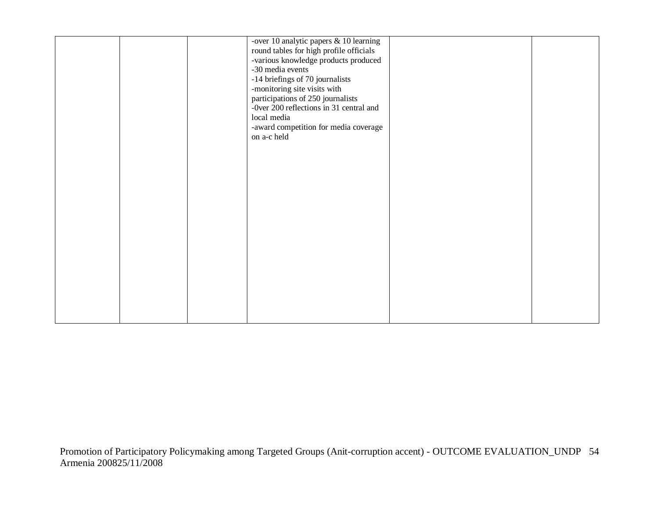|  | -over 10 analytic papers & 10 learning<br>round tables for high profile officials<br>-various knowledge products produced<br>-30 media events<br>-14 briefings of 70 journalists<br>-monitoring site visits with<br>participations of 250 journalists<br>-0ver 200 reflections in 31 central and<br>local media<br>-award competition for media coverage<br>on a-c held |  |
|--|-------------------------------------------------------------------------------------------------------------------------------------------------------------------------------------------------------------------------------------------------------------------------------------------------------------------------------------------------------------------------|--|
|  |                                                                                                                                                                                                                                                                                                                                                                         |  |

Promotion of Participatory Policymaking among Targeted Groups (Anit-corruption accent) - OUTCOME EVALUATION\_UNDP Armenia 200825/11/2008 54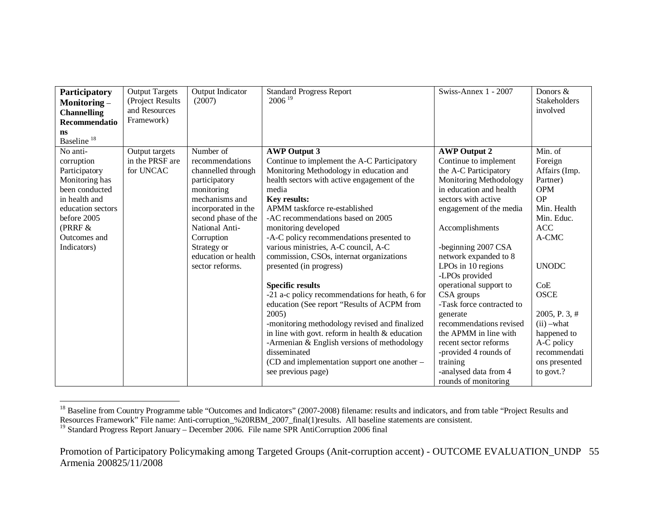| Participatory<br>Monitoring -<br><b>Channelling</b><br><b>Recommendatio</b><br><b>ns</b><br>Baseline <sup>18</sup> | <b>Output Targets</b><br>(Project Results)<br>and Resources<br>Framework) | Output Indicator<br>(2007)  | <b>Standard Progress Report</b><br>$2006^{19}$        | Swiss-Annex 1 - 2007                              | Donors $&$<br>Stakeholders<br>involved |
|--------------------------------------------------------------------------------------------------------------------|---------------------------------------------------------------------------|-----------------------------|-------------------------------------------------------|---------------------------------------------------|----------------------------------------|
| No anti-                                                                                                           | Output targets                                                            | Number of                   | <b>AWP Output 3</b>                                   | <b>AWP Output 2</b>                               | Min. of                                |
| corruption                                                                                                         | in the PRSF are                                                           | recommendations             | Continue to implement the A-C Participatory           | Continue to implement                             | Foreign                                |
| Participatory                                                                                                      | for UNCAC                                                                 | channelled through          | Monitoring Methodology in education and               | the A-C Participatory                             | Affairs (Imp.                          |
| Monitoring has<br>been conducted                                                                                   |                                                                           | participatory<br>monitoring | health sectors with active engagement of the<br>media | Monitoring Methodology<br>in education and health | Partner)<br><b>OPM</b>                 |
| in health and                                                                                                      |                                                                           | mechanisms and              | Key results:                                          | sectors with active                               | <b>OP</b>                              |
| education sectors                                                                                                  |                                                                           | incorporated in the         | APMM taskforce re-established                         | engagement of the media                           | Min. Health                            |
| before 2005                                                                                                        |                                                                           | second phase of the         | -AC recommendations based on 2005                     |                                                   | Min. Educ.                             |
| (PRRF $&$                                                                                                          |                                                                           | National Anti-              | monitoring developed                                  | Accomplishments                                   | ACC                                    |
| Outcomes and                                                                                                       |                                                                           | Corruption                  | -A-C policy recommendations presented to              |                                                   | A-CMC                                  |
| Indicators)                                                                                                        |                                                                           | Strategy or                 | various ministries, A-C council, A-C                  | -beginning 2007 CSA                               |                                        |
|                                                                                                                    |                                                                           | education or health         | commission, CSOs, internat organizations              | network expanded to 8                             |                                        |
|                                                                                                                    |                                                                           | sector reforms.             | presented (in progress)                               | LPOs in 10 regions                                | <b>UNODC</b>                           |
|                                                                                                                    |                                                                           |                             |                                                       | -LPOs provided                                    |                                        |
|                                                                                                                    |                                                                           |                             | <b>Specific results</b>                               | operational support to                            | CoE                                    |
|                                                                                                                    |                                                                           |                             | -21 a-c policy recommendations for heath, 6 for       | CSA groups                                        | <b>OSCE</b>                            |
|                                                                                                                    |                                                                           |                             | education (See report "Results of ACPM from           | -Task force contracted to                         |                                        |
|                                                                                                                    |                                                                           |                             | 2005                                                  | generate                                          | $2005$ , P. 3, #                       |
|                                                                                                                    |                                                                           |                             | -monitoring methodology revised and finalized         | recommendations revised                           | $(ii)$ -what                           |
|                                                                                                                    |                                                                           |                             | in line with govt. reform in health $&$ education     | the APMM in line with                             | happened to                            |
|                                                                                                                    |                                                                           |                             | -Armenian & English versions of methodology           | recent sector reforms                             | A-C policy                             |
|                                                                                                                    |                                                                           |                             | disseminated                                          | -provided 4 rounds of                             | recommendati                           |
|                                                                                                                    |                                                                           |                             | (CD and implementation support one another -          | training                                          | ons presented                          |
|                                                                                                                    |                                                                           |                             | see previous page)                                    | -analysed data from 4                             | to govt.?                              |
|                                                                                                                    |                                                                           |                             |                                                       | rounds of monitoring                              |                                        |

<sup>&</sup>lt;sup>18</sup> Baseline from Country Programme table "Outcomes and Indicators" (2007-2008) filename: results and indicators, and from table "Project Results and Resources Framework" File name: Anti-corruption\_%20RBM\_2007\_final(1)results. All baseline statements are consistent.

<sup>&</sup>lt;sup>19</sup> Standard Progress Report January – December 2006. File name SPR AntiCorruption 2006 final

Promotion of Participatory Policymaking among Targeted Groups (Anit-corruption accent) - OUTCOME EVALUATION\_UNDP 55 Armenia 200825/11/2008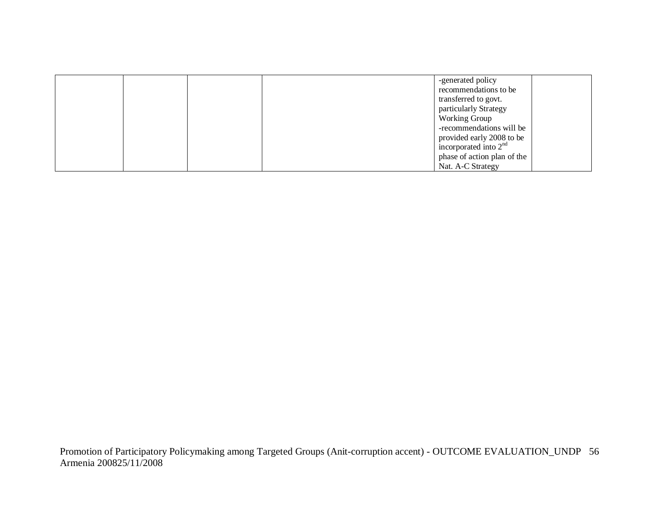|  | -generated policy           |  |
|--|-----------------------------|--|
|  | recommendations to be       |  |
|  | transferred to govt.        |  |
|  | particularly Strategy       |  |
|  | <b>Working Group</b>        |  |
|  | -recommendations will be    |  |
|  | provided early 2008 to be   |  |
|  | incorporated into $2nd$     |  |
|  | phase of action plan of the |  |
|  | Nat. A-C Strategy           |  |

Promotion of Participatory Policymaking among Targeted Groups (Anit-corruption accent) - OUTCOME EVALUATION\_UNDP Armenia 200825/11/2008 56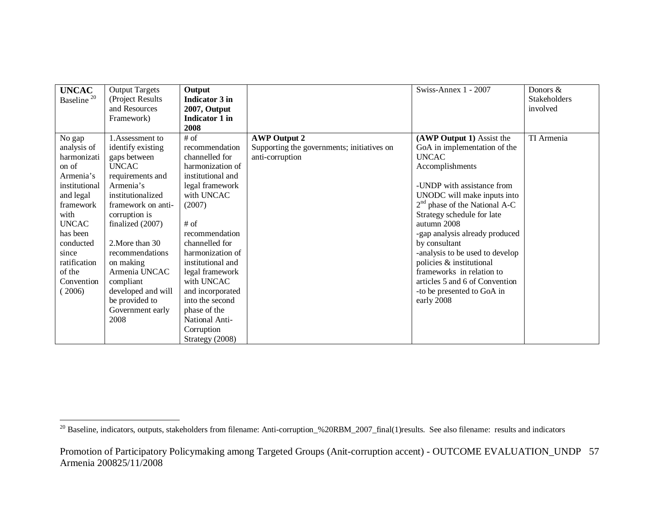| <b>UNCAC</b><br>Baseline <sup>20</sup>                                                                                                                                                                            | <b>Output Targets</b><br>(Project Results)<br>and Resources                                                                                                                                                                                                                                                                                   | Output<br>Indicator 3 in<br>2007, Output                                                                                                                                                                                                                                                                                                                       |                                                                                      | Swiss-Annex 1 - 2007                                                                                                                                                                                                                                                                                                                                                                                                                                                   | Donors $&$<br>Stakeholders<br>involved |
|-------------------------------------------------------------------------------------------------------------------------------------------------------------------------------------------------------------------|-----------------------------------------------------------------------------------------------------------------------------------------------------------------------------------------------------------------------------------------------------------------------------------------------------------------------------------------------|----------------------------------------------------------------------------------------------------------------------------------------------------------------------------------------------------------------------------------------------------------------------------------------------------------------------------------------------------------------|--------------------------------------------------------------------------------------|------------------------------------------------------------------------------------------------------------------------------------------------------------------------------------------------------------------------------------------------------------------------------------------------------------------------------------------------------------------------------------------------------------------------------------------------------------------------|----------------------------------------|
|                                                                                                                                                                                                                   | Framework)                                                                                                                                                                                                                                                                                                                                    | Indicator 1 in<br>2008                                                                                                                                                                                                                                                                                                                                         |                                                                                      |                                                                                                                                                                                                                                                                                                                                                                                                                                                                        |                                        |
| No gap<br>analysis of<br>harmonizati<br>on of<br>Armenia's<br>institutional<br>and legal<br>framework<br>with<br><b>UNCAC</b><br>has been<br>conducted<br>since<br>ratification<br>of the<br>Convention<br>(2006) | 1. Assessment to<br>identify existing<br>gaps between<br><b>UNCAC</b><br>requirements and<br>Armenia's<br>institutionalized<br>framework on anti-<br>corruption is<br>finalized $(2007)$<br>2. More than 30<br>recommendations<br>on making<br>Armenia UNCAC<br>compliant<br>developed and will<br>be provided to<br>Government early<br>2008 | $#$ of<br>recommendation<br>channelled for<br>harmonization of<br>institutional and<br>legal framework<br>with UNCAC<br>(2007)<br># of<br>recommendation<br>channelled for<br>harmonization of<br>institutional and<br>legal framework<br>with UNCAC<br>and incorporated<br>into the second<br>phase of the<br>National Anti-<br>Corruption<br>Strategy (2008) | <b>AWP Output 2</b><br>Supporting the governments; initiatives on<br>anti-corruption | (AWP Output 1) Assist the<br>GoA in implementation of the<br><b>UNCAC</b><br>Accomplishments<br>-UNDP with assistance from<br>UNODC will make inputs into<br>$2nd$ phase of the National A-C<br>Strategy schedule for late<br>autumn 2008<br>-gap analysis already produced<br>by consultant<br>-analysis to be used to develop<br>policies & institutional<br>frameworks in relation to<br>articles 5 and 6 of Convention<br>-to be presented to GoA in<br>early 2008 | TI Armenia                             |

 $\frac{20}{20}$  Baseline, indicators, outputs, stakeholders from filename: Anti-corruption\_%20RBM\_2007\_final(1)results. See also filename: results and indicators

Promotion of Participatory Policymaking among Targeted Groups (Anit-corruption accent) - OUTCOME EVALUATION\_UNDP 57 Armenia 200825/11/2008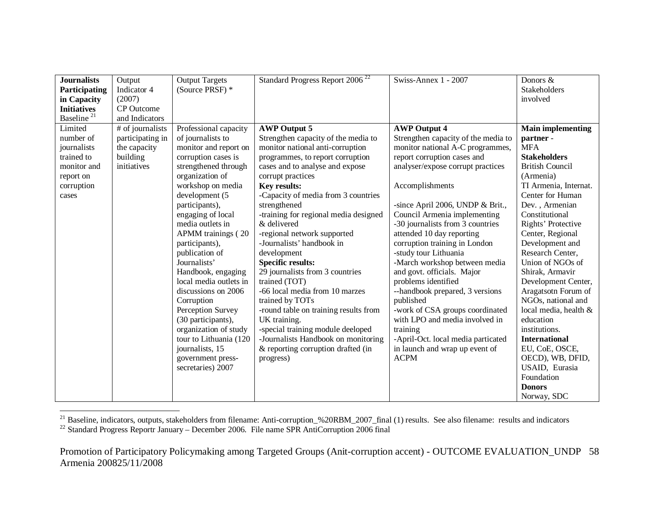| <b>Journalists</b>     | Output            | <b>Output Targets</b>  | Standard Progress Report 2006 <sup>22</sup> | Swiss-Annex 1 - 2007                | Donors &                 |
|------------------------|-------------------|------------------------|---------------------------------------------|-------------------------------------|--------------------------|
| Participating          | Indicator 4       | (Source PRSF) *        |                                             |                                     | Stakeholders             |
| in Capacity            | (2007)            |                        |                                             |                                     | involved                 |
| <b>Initiatives</b>     | <b>CP</b> Outcome |                        |                                             |                                     |                          |
| Baseline <sup>21</sup> | and Indicators    |                        |                                             |                                     |                          |
| Limited                | # of journalists  | Professional capacity  | <b>AWP Output 5</b>                         | <b>AWP Output 4</b>                 | <b>Main implementing</b> |
| number of              | participating in  | of journalists to      | Strengthen capacity of the media to         | Strengthen capacity of the media to | partner -                |
| journalists            | the capacity      | monitor and report on  | monitor national anti-corruption            | monitor national A-C programmes,    | <b>MFA</b>               |
| trained to             | building          | corruption cases is    | programmes, to report corruption            | report corruption cases and         | <b>Stakeholders</b>      |
| monitor and            | initiatives       | strengthened through   | cases and to analyse and expose             | analyser/expose corrupt practices   | <b>British Council</b>   |
| report on              |                   | organization of        | corrupt practices                           |                                     | (Armenia)                |
| corruption             |                   | workshop on media      | <b>Key results:</b>                         | Accomplishments                     | TI Armenia, Internat.    |
| cases                  |                   | development (5         | -Capacity of media from 3 countries         |                                     | Center for Human         |
|                        |                   | participants),         | strengthened                                | -since April 2006, UNDP & Brit.,    | Dev., Armenian           |
|                        |                   | engaging of local      | -training for regional media designed       | Council Armenia implementing        | Constitutional           |
|                        |                   | media outlets in       | & delivered                                 | -30 journalists from 3 countries    | Rights' Protective       |
|                        |                   | APMM trainings (20     | -regional network supported                 | attended 10 day reporting           | Center, Regional         |
|                        |                   | participants),         | -Journalists' handbook in                   | corruption training in London       | Development and          |
|                        |                   | publication of         | development                                 | -study tour Lithuania               | Research Center,         |
|                        |                   | Journalists'           | <b>Specific results:</b>                    | -March workshop between media       | Union of NGOs of         |
|                        |                   | Handbook, engaging     | 29 journalists from 3 countries             | and govt. officials. Major          | Shirak, Armavir          |
|                        |                   | local media outlets in | trained (TOT)                               | problems identified                 | Development Center,      |
|                        |                   | discussions on 2006    | -66 local media from 10 marzes              | --handbook prepared, 3 versions     | Aragatsotn Forum of      |
|                        |                   | Corruption             | trained by TOTs                             | published                           | NGOs, national and       |
|                        |                   | Perception Survey      | -round table on training results from       | -work of CSA groups coordinated     | local media, health &    |
|                        |                   | (30 participants),     | UK training.                                | with LPO and media involved in      | education                |
|                        |                   | organization of study  | -special training module deeloped           | training                            | institutions.            |
|                        |                   | tour to Lithuania (120 | -Journalists Handbook on monitoring         | -April-Oct. local media particated  | <b>International</b>     |
|                        |                   | journalists, 15        | & reporting corruption drafted (in          | in launch and wrap up event of      | EU, CoE, OSCE,           |
|                        |                   | government press-      | progress)                                   | <b>ACPM</b>                         | OECD), WB, DFID,         |
|                        |                   | secretaries) 2007      |                                             |                                     | USAID, Eurasia           |
|                        |                   |                        |                                             |                                     | Foundation               |
|                        |                   |                        |                                             |                                     | <b>Donors</b>            |
|                        |                   |                        |                                             |                                     | Norway, SDC              |

<sup>&</sup>lt;sup>21</sup> Baseline, indicators, outputs, stakeholders from filename: Anti-corruption\_%20RBM\_2007\_final (1) results. See also filename: results and indicators  $^{22}$  Standard Progress Reportr January – December 2006. File name SPR AntiCorruption 2006 final

Promotion of Participatory Policymaking among Targeted Groups (Anit-corruption accent) - OUTCOME EVALUATION\_UNDP 58 Armenia 200825/11/2008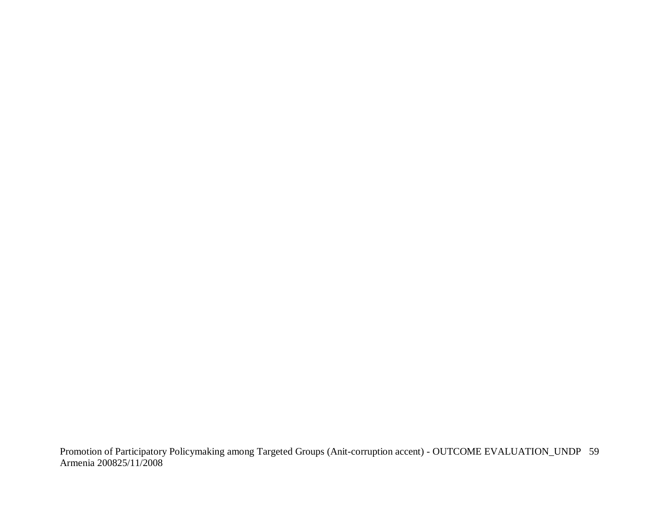Promotion of Participatory Policymaking among Targeted Groups (Anit-corruption accent) - OUTCOME EVALUATION\_UNDP Armenia 200825/11/2008 59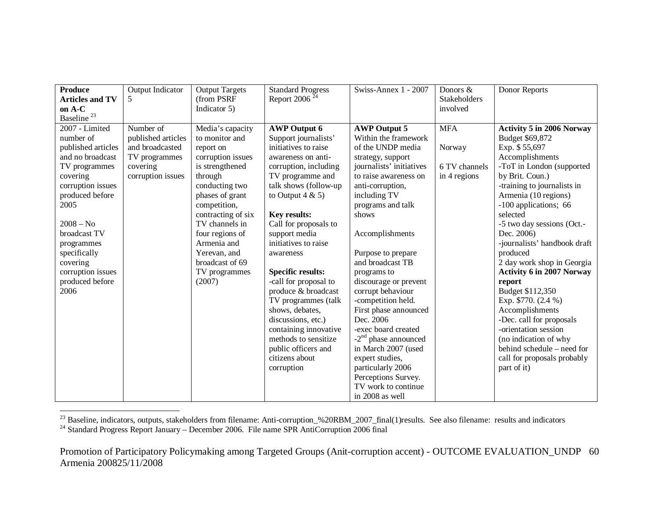| <b>Produce</b>         | Output Indicator   | <b>Output Targets</b> | <b>Standard Progress</b> | Swiss-Annex 1 - 2007     | Donors &      | Donor Reports                    |
|------------------------|--------------------|-----------------------|--------------------------|--------------------------|---------------|----------------------------------|
| <b>Articles and TV</b> | 5                  | (from PSRF            | Report 2006 $^{24}$      |                          | Stakeholders  |                                  |
| on A-C                 |                    | Indicator 5)          |                          |                          | involved      |                                  |
| Baseline <sup>23</sup> |                    |                       |                          |                          |               |                                  |
| $2007$ - Limited       | Number of          | Media's capacity      | <b>AWP</b> Output 6      | <b>AWP Output 5</b>      | <b>MFA</b>    | <b>Activity 5 in 2006 Norway</b> |
| number of              | published articles | to monitor and        | Support journalists'     | Within the framework     |               | Budget \$69,872                  |
| published articles     | and broadcasted    | report on             | initiatives to raise     | of the UNDP media        | Norway        | Exp. \$55,697                    |
| and no broadcast       | TV programmes      | corruption issues     | awareness on anti-       | strategy, support        |               | Accomplishments                  |
| TV programmes          | covering           | is strengthened       | corruption, including    | journalists' initiatives | 6 TV channels | -ToT in London (supported        |
| covering               | corruption issues  | through               | TV programme and         | to raise awareness on    | in 4 regions  | by Brit. Coun.)                  |
| corruption issues      |                    | conducting two        | talk shows (follow-up    | anti-corruption,         |               | -training to journalists in      |
| produced before        |                    | phases of grant       | to Output $4 & 5$ )      | including TV             |               | Armenia (10 regions)             |
| 2005                   |                    | competition,          |                          | programs and talk        |               | -100 applications; 66            |
|                        |                    | contracting of six    | Key results:             | shows                    |               | selected                         |
| $2008 - No$            |                    | TV channels in        | Call for proposals to    |                          |               | -5 two day sessions (Oct.-       |
| broadcast TV           |                    | four regions of       | support media            | Accomplishments          |               | Dec. 2006)                       |
| programmes             |                    | Armenia and           | initiatives to raise     |                          |               | -journalists' handbook draft     |
| specifically           |                    | Yerevan, and          | awareness                | Purpose to prepare       |               | produced                         |
| covering               |                    | broadcast of 69       |                          | and broadcast TB         |               | 2 day work shop in Georgia       |
| corruption issues      |                    | TV programmes         | <b>Specific results:</b> | programs to              |               | <b>Activity 6 in 2007 Norway</b> |
| produced before        |                    | (2007)                | -call for proposal to    | discourage or prevent    |               | report                           |
| 2006                   |                    |                       | produce & broadcast      | corrupt behaviour        |               | Budget \$112,350                 |
|                        |                    |                       | TV programmes (talk      | -competition held.       |               | Exp. \$770. (2.4 %)              |
|                        |                    |                       | shows, debates,          | First phase announced    |               | Accomplishments                  |
|                        |                    |                       | discussions, etc.)       | Dec. 2006                |               | -Dec. call for proposals         |
|                        |                    |                       | containing innovative    | -exec board created      |               | -orientation session             |
|                        |                    |                       | methods to sensitize     | $-2nd$ phase announced   |               | (no indication of why            |
|                        |                    |                       | public officers and      | in March 2007 (used      |               | behind schedule - need for       |
|                        |                    |                       | citizens about           | expert studies,          |               | call for proposals probably      |
|                        |                    |                       | corruption               | particularly 2006        |               | part of it)                      |
|                        |                    |                       |                          | Perceptions Survey.      |               |                                  |
|                        |                    |                       |                          | TV work to continue      |               |                                  |
|                        |                    |                       |                          | in 2008 as well          |               |                                  |

<sup>&</sup>lt;sup>23</sup> Baseline, indicators, outputs, stakeholders from filename: Anti-corruption\_%20RBM\_2007\_final(1)results. See also filename: results and indicators

 $^{24}$  Standard Progress Report January – December 2006. File name SPR AntiCorruption 2006 final

Promotion of Participatory Policymaking among Targeted Groups (Anit-corruption accent) - OUTCOME EVALUATION\_UNDP 60 Armenia 200825/11/2008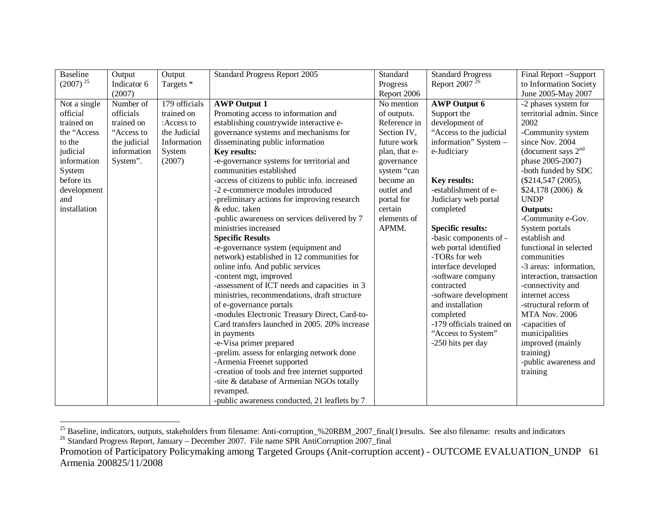| <b>Baseline</b> | Output       | Output               | <b>Standard Progress Report 2005</b>           | Standard      | <b>Standard Progress</b>  | Final Report -Support    |
|-----------------|--------------|----------------------|------------------------------------------------|---------------|---------------------------|--------------------------|
| $(2007)^{25}$   | Indicator 6  | Targets <sup>*</sup> |                                                | Progress      | Report 2007 $^{26}$       | to Information Society   |
|                 | (2007)       |                      |                                                | Report 2006   |                           | June 2005-May 2007       |
| Not a single    | Number of    | 179 officials        | <b>AWP Output 1</b>                            | No mention    | <b>AWP Output 6</b>       | -2 phases system for     |
| official        | officials    | trained on           | Promoting access to information and            | of outputs.   | Support the               | territorial admin. Since |
| trained on      | trained on   | :Access to           | establishing countrywide interactive e-        | Reference in  | development of            | 2002                     |
| the "Access     | "Access to   | the Judicial         | governance systems and mechanisms for          | Section IV,   | "Access to the judicial   | -Community system        |
| to the          | the judicial | Information          | disseminating public information               | future work   | information" System -     | since Nov. 2004          |
| judicial        | information  | System               | Key results:                                   | plan, that e- | e-Judiciary               | (document says $2nd$     |
| information     | System".     | (2007)               | -e-governance systems for territorial and      | governance    |                           | phase 2005-2007)         |
| System          |              |                      | communities established                        | system "can   |                           | -both funded by SDC      |
| before its      |              |                      | -access of citizens to public info. increased  | become an     | Key results:              | (\$214,547 (2005),       |
| development     |              |                      | -2 e-commerce modules introduced               | outlet and    | -establishment of e-      | \$24,178 (2006) &        |
| and             |              |                      | -preliminary actions for improving research    | portal for    | Judiciary web portal      | <b>UNDP</b>              |
| installation    |              |                      | & educ. taken                                  | certain       | completed                 | <b>Outputs:</b>          |
|                 |              |                      | -public awareness on services delivered by 7   | elements of   |                           | -Community e-Gov.        |
|                 |              |                      | ministries increased                           | APMM.         | <b>Specific results:</b>  | System portals           |
|                 |              |                      | <b>Specific Results</b>                        |               | -basic components of -    | establish and            |
|                 |              |                      | -e-governance system (equipment and            |               | web portal identified     | functional in selected   |
|                 |              |                      | network) established in 12 communities for     |               | -TORs for web             | communities              |
|                 |              |                      | online info. And public services               |               | interface developed       | -3 areas: information,   |
|                 |              |                      | -content mgt, improved                         |               | -software company         | interaction, transaction |
|                 |              |                      | -assessment of ICT needs and capacities in 3   |               | contracted                | -connectivity and        |
|                 |              |                      | ministries, recommendations, draft structure   |               | -software development     | internet access          |
|                 |              |                      | of e-governance portals                        |               | and installation          | -structural reform of    |
|                 |              |                      | -modules Electronic Treasury Direct, Card-to-  |               | completed                 | <b>MTA Nov. 2006</b>     |
|                 |              |                      | Card transfers launched in 2005. 20% increase  |               | -179 officials trained on | -capacities of           |
|                 |              |                      | in payments                                    |               | "Access to System"        | municipalities           |
|                 |              |                      | -e-Visa primer prepared                        |               | -250 hits per day         | improved (mainly         |
|                 |              |                      | -prelim. assess for enlarging network done     |               |                           | training)                |
|                 |              |                      | -Armenia Freenet supported                     |               |                           | -public awareness and    |
|                 |              |                      | -creation of tools and free internet supported |               |                           | training                 |
|                 |              |                      | -site & database of Armenian NGOs totally      |               |                           |                          |
|                 |              |                      | revamped.                                      |               |                           |                          |
|                 |              |                      | -public awareness conducted, 21 leaflets by 7  |               |                           |                          |

<sup>&</sup>lt;sup>25</sup> Baseline, indicators, outputs, stakeholders from filename: Anti-corruption\_%20RBM\_2007\_final(1)results. See also filename: results and indicators <sup>26</sup> Standard Progress Report, January – December 2007. File name SPR AntiCorruption 2007\_final

Promotion of Participatory Policymaking among Targeted Groups (Anit-corruption accent) - OUTCOME EVALUATION\_UNDP 61 Armenia 200825/11/2008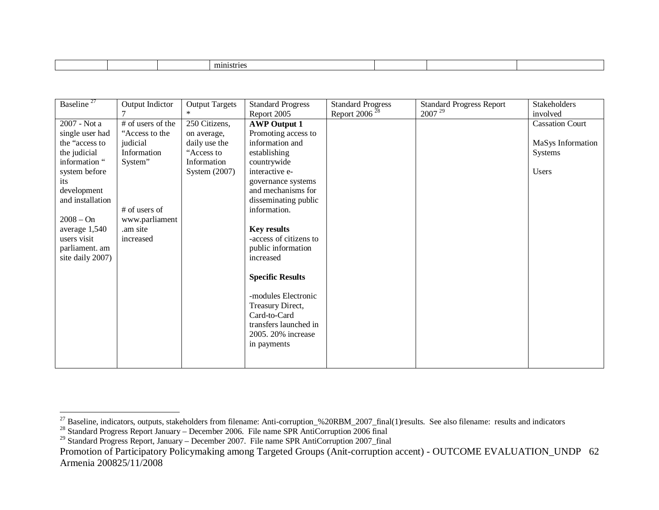|  | tr1 a<br>m<br>mistr<br>. |  |  |
|--|--------------------------|--|--|
|  |                          |  |  |

| Baseline <sup>27</sup> | Output Indictor   | <b>Output Targets</b> | <b>Standard Progress</b>         | <b>Standard Progress</b>   | <b>Standard Progress Report</b> | <b>Stakeholders</b>    |
|------------------------|-------------------|-----------------------|----------------------------------|----------------------------|---------------------------------|------------------------|
|                        |                   | *                     | Report 2005                      | Report 2006 $\frac{28}{3}$ | $2007^{29}$                     | involved               |
| 2007 - Not a           | # of users of the | 250 Citizens,         | <b>AWP Output 1</b>              |                            |                                 | <b>Cassation Court</b> |
| single user had        | "Access to the    | on average,           | Promoting access to              |                            |                                 |                        |
| the "access to         | judicial          | daily use the         | information and                  |                            |                                 | MaSys Information      |
| the judicial           | Information       | "Access to            | establishing                     |                            |                                 | <b>Systems</b>         |
| information "          | System"           | Information           | countrywide                      |                            |                                 |                        |
| system before          |                   | System $(2007)$       | interactive e-                   |                            |                                 | Users                  |
| its                    |                   |                       | governance systems               |                            |                                 |                        |
| development            |                   |                       | and mechanisms for               |                            |                                 |                        |
| and installation       |                   |                       | disseminating public             |                            |                                 |                        |
|                        | # of users of     |                       | information.                     |                            |                                 |                        |
| $2008 - On$            | www.parliament    |                       |                                  |                            |                                 |                        |
| average 1,540          | .am site          |                       | <b>Key results</b>               |                            |                                 |                        |
| users visit            | increased         |                       | -access of citizens to           |                            |                                 |                        |
| parliament. am         |                   |                       | public information               |                            |                                 |                        |
| site daily 2007)       |                   |                       | increased                        |                            |                                 |                        |
|                        |                   |                       | <b>Specific Results</b>          |                            |                                 |                        |
|                        |                   |                       |                                  |                            |                                 |                        |
|                        |                   |                       | -modules Electronic              |                            |                                 |                        |
|                        |                   |                       | Treasury Direct,<br>Card-to-Card |                            |                                 |                        |
|                        |                   |                       | transfers launched in            |                            |                                 |                        |
|                        |                   |                       | 2005. 20% increase               |                            |                                 |                        |
|                        |                   |                       | in payments                      |                            |                                 |                        |
|                        |                   |                       |                                  |                            |                                 |                        |
|                        |                   |                       |                                  |                            |                                 |                        |

 $^{27}$  Baseline, indicators, outputs, stakeholders from filename: Anti-corruption\_%20RBM\_2007\_final(1)results. See also filename: results and indicators

 $^{28}$  Standard Progress Report January – December 2006. File name SPR AntiCorruption 2006 final

<sup>&</sup>lt;sup>29</sup> Standard Progress Report, January – December 2007. File name SPR AntiCorruption 2007\_final

Promotion of Participatory Policymaking among Targeted Groups (Anit-corruption accent) - OUTCOME EVALUATION\_UNDP 62 Armenia 200825/11/2008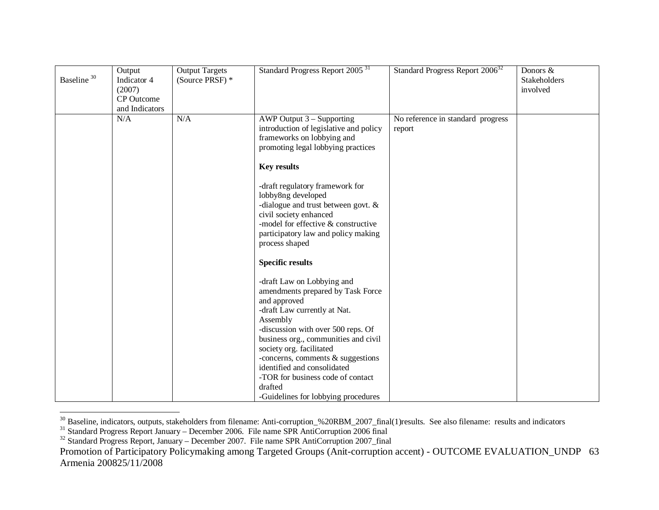| Baseline $^{\rm 30}$ | Output<br>Indicator 4<br>(2007)<br>CP Outcome<br>and Indicators | <b>Output Targets</b><br>(Source PRSF) * | Standard Progress Report 2005 <sup>31</sup>                                                                                                                                                                                                                                                                                                                                                                                                                                                                                                                                                                                                                                                                                                                                       | Standard Progress Report 2006 <sup>32</sup> | Donors &<br>Stakeholders<br>involved |
|----------------------|-----------------------------------------------------------------|------------------------------------------|-----------------------------------------------------------------------------------------------------------------------------------------------------------------------------------------------------------------------------------------------------------------------------------------------------------------------------------------------------------------------------------------------------------------------------------------------------------------------------------------------------------------------------------------------------------------------------------------------------------------------------------------------------------------------------------------------------------------------------------------------------------------------------------|---------------------------------------------|--------------------------------------|
|                      | N/A                                                             | N/A                                      | AWP Output $3 -$ Supporting<br>introduction of legislative and policy<br>frameworks on lobbying and<br>promoting legal lobbying practices<br><b>Key results</b><br>-draft regulatory framework for<br>lobby8ng developed<br>-dialogue and trust between govt. &<br>civil society enhanced<br>-model for effective & constructive<br>participatory law and policy making<br>process shaped<br><b>Specific results</b><br>-draft Law on Lobbying and<br>amendments prepared by Task Force<br>and approved<br>-draft Law currently at Nat.<br>Assembly<br>-discussion with over 500 reps. Of<br>business org., communities and civil<br>society org. facilitated<br>-concerns, comments & suggestions<br>identified and consolidated<br>-TOR for business code of contact<br>drafted | No reference in standard progress<br>report |                                      |
|                      |                                                                 |                                          | -Guidelines for lobbying procedures                                                                                                                                                                                                                                                                                                                                                                                                                                                                                                                                                                                                                                                                                                                                               |                                             |                                      |

<sup>&</sup>lt;sup>30</sup> Baseline, indicators, outputs, stakeholders from filename: Anti-corruption\_%20RBM\_2007\_final(1)results. See also filename: results and indicators

<sup>&</sup>lt;sup>31</sup> Standard Progress Report January – December 2006. File name SPR AntiCorruption 2006 final

<sup>&</sup>lt;sup>32</sup> Standard Progress Report, January – December 2007. File name SPR AntiCorruption 2007\_final

Promotion of Participatory Policymaking among Targeted Groups (Anit-corruption accent) - OUTCOME EVALUATION\_UNDP 63 Armenia 200825/11/2008